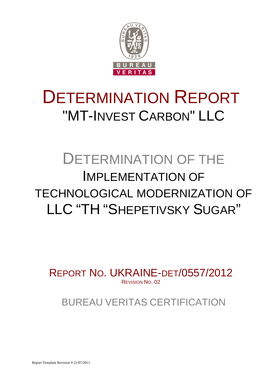

# DETERMINATION REPORT "MT-INVEST CARBON" LLC

## DETERMINATION OF THE IMPLEMENTATION OF TECHNOLOGICAL MODERNIZATION OF LLC "TH "SHEPETIVSKY SUGAR"

REPORT NO. UKRAINE-DET/0557/2012 REVISION NO. 02

BUREAU VERITAS CERTIFICATION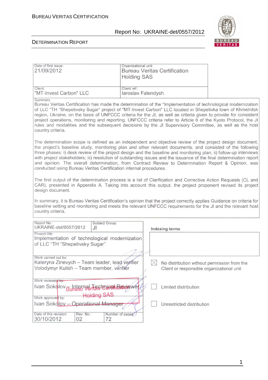

| Date of first issue:<br>21/09/2012                                                                                                                                                                                                                                                                                                                                                                                                                                                                                                                                                                          | Organizational unit:<br><b>Bureau Veritas Certification</b><br><b>Holding SAS</b>                                                                                                                                                                                                                                                                                                                                                                                                                                                                                                                                                               |  |  |  |
|-------------------------------------------------------------------------------------------------------------------------------------------------------------------------------------------------------------------------------------------------------------------------------------------------------------------------------------------------------------------------------------------------------------------------------------------------------------------------------------------------------------------------------------------------------------------------------------------------------------|-------------------------------------------------------------------------------------------------------------------------------------------------------------------------------------------------------------------------------------------------------------------------------------------------------------------------------------------------------------------------------------------------------------------------------------------------------------------------------------------------------------------------------------------------------------------------------------------------------------------------------------------------|--|--|--|
| Client:<br>"MT-Invest Carbon" LLC                                                                                                                                                                                                                                                                                                                                                                                                                                                                                                                                                                           | Client ref.:<br>laroslav Falendysh                                                                                                                                                                                                                                                                                                                                                                                                                                                                                                                                                                                                              |  |  |  |
| Summary:<br>Bureau Veritas Certification has made the determination of the "Implementation of technological modernization<br>of LLC "TH "Shepetivsky Sugar" project of "MT-Invest Carbon" LLC located in Shepetivka town of Khmelnitsk<br>region, Ukraine, on the basis of UNFCCC criteria for the JI, as well as criteria given to provide for consistent<br>project operations, monitoring and reporting. UNFCCC criteria refer to Article 6 of the Kyoto Protocol, the JI<br>rules and modalities and the subsequent decisions by the JI Supervisory Committee, as well as the host<br>country criteria. |                                                                                                                                                                                                                                                                                                                                                                                                                                                                                                                                                                                                                                                 |  |  |  |
|                                                                                                                                                                                                                                                                                                                                                                                                                                                                                                                                                                                                             | The determination scope is defined as an independent and objective review of the project design document,<br>the project's baseline study, monitoring plan and other relevant documents, and consisted of the following<br>three phases: i) desk review of the project design and the baseline and monitoring plan; ii) follow-up interviews<br>with project stakeholders; iii) resolution of outstanding issues and the issuance of the final determination report<br>and opinion. The overall determination, from Contract Review to Determination Report & Opinion, was<br>conducted using Bureau Veritas Certification internal procedures. |  |  |  |
| design document.                                                                                                                                                                                                                                                                                                                                                                                                                                                                                                                                                                                            | The first output of the determination process is a list of Clarification and Corrective Action Requests (CL and<br>CAR), presented in Appendix A. Taking into account this output, the project proponent revised its project                                                                                                                                                                                                                                                                                                                                                                                                                    |  |  |  |
| In summary, it is Bureau Veritas Certification's opinion that the project correctly applies Guidance on criteria for<br>baseline setting and monitoring and meets the relevant UNFCCC requirements for the JI and the relevant host<br>country criteria.                                                                                                                                                                                                                                                                                                                                                    |                                                                                                                                                                                                                                                                                                                                                                                                                                                                                                                                                                                                                                                 |  |  |  |
| Report No.:<br>Subject Group:<br>UKRAINE-det/0557/2012<br>JI                                                                                                                                                                                                                                                                                                                                                                                                                                                                                                                                                | <b>Indexing terms</b>                                                                                                                                                                                                                                                                                                                                                                                                                                                                                                                                                                                                                           |  |  |  |
| Project title:<br>Implementation of technological modernization<br>of LLC "TH "Shepetivsky Sugar"                                                                                                                                                                                                                                                                                                                                                                                                                                                                                                           |                                                                                                                                                                                                                                                                                                                                                                                                                                                                                                                                                                                                                                                 |  |  |  |
| Work carried out by:<br>Kateryna Zinevych – Team leader, lead verifier<br>Volodymyr Kulish - Team member, verifier                                                                                                                                                                                                                                                                                                                                                                                                                                                                                          | No distribution without permission from the<br>Client or responsible organizational unit                                                                                                                                                                                                                                                                                                                                                                                                                                                                                                                                                        |  |  |  |
| Work reviewed by:<br>Ivan Sokolov <sub>Burga</sub> rnal Tigshrucat Baviewer                                                                                                                                                                                                                                                                                                                                                                                                                                                                                                                                 | Limited distribution                                                                                                                                                                                                                                                                                                                                                                                                                                                                                                                                                                                                                            |  |  |  |
| <b>Holding SAS</b><br>Work approved by:<br>Ivan Sokolov - Operational Manager                                                                                                                                                                                                                                                                                                                                                                                                                                                                                                                               | Unrestricted distribution                                                                                                                                                                                                                                                                                                                                                                                                                                                                                                                                                                                                                       |  |  |  |
| Date of this revision:<br>Rev. No.:<br>30/10/2012<br>02<br>72                                                                                                                                                                                                                                                                                                                                                                                                                                                                                                                                               | Number of pages.                                                                                                                                                                                                                                                                                                                                                                                                                                                                                                                                                                                                                                |  |  |  |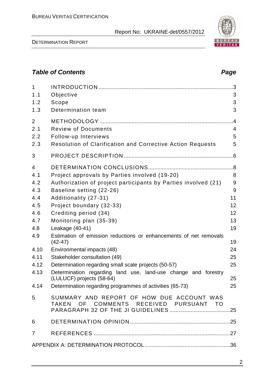DETERMINATION REPORT

## 2.1 Review of Documents 4 2.2 Follow-up Interviews 5

1 INTRODUCTION ......................................................................................... 3 1.1 Objective 3 1.2 Scope 3 1.3 Determination team 3

2 METHODOLOGY ........................................................................................ 4

| 2.3  | <b>Resolution of Clarification and Corrective Action Requests</b>                           | 5               |
|------|---------------------------------------------------------------------------------------------|-----------------|
| 3    |                                                                                             |                 |
| 4    |                                                                                             |                 |
| 4.1  | Project approvals by Parties involved (19-20)                                               | 8               |
| 4.2  | Authorization of project participants by Parties involved (21)                              | 9               |
| 4.3  | Baseline setting (22-26)                                                                    | 9               |
| 4.4  | Additionality (27-31)                                                                       | 11              |
| 4.5  | Project boundary (32-33)                                                                    | 12 <sup>2</sup> |
| 4.6  | Crediting period (34)                                                                       | 12 <sup>2</sup> |
| 4.7  | Monitoring plan (35-39)                                                                     | 13              |
| 4.8  | Leakage (40-41)                                                                             | 19              |
| 4.9  | Estimation of emission reductions or enhancements of net removals<br>(42-47)                | 19              |
| 4.10 | Environmental impacts (48)                                                                  | 24              |
| 4.11 | Stakeholder consultation (49)                                                               | 25              |
| 4.12 | Determination regarding small scale projects (50-57)                                        | 25              |
| 4.13 | Determination regarding land use, land-use change and forestry<br>(LULUCF) projects (58-64) | 25              |
| 4.14 | Determination regarding programmes of activities (65-73)                                    | 25              |

| $5^{\circ}$ | SUMMARY AND REPORT OF HOW DUE ACCOUNT WAS<br>TAKEN OF COMMENTS RECEIVED PURSUANT TO |  |
|-------------|-------------------------------------------------------------------------------------|--|
|             |                                                                                     |  |
|             |                                                                                     |  |
|             |                                                                                     |  |

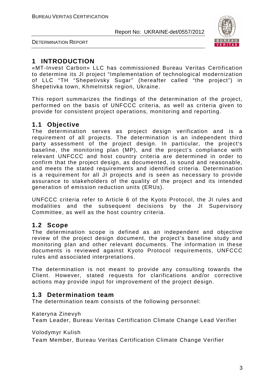



## **1 INTRODUCTION**

«MT-Invest Carbon» LLC has commissioned Bureau Veritas Certification to determine its JI project "Implementation of technological modernization of LLC "TH "Shepetivsky Sugar" (hereafter called "the project") in Shepetivka town, Khmelnitsk region, Ukraine.

This report summarizes the findings of the determination of the project, performed on the basis of UNFCCC criteria, as well as criteria given to provide for consistent project operations, monitoring and reporting.

## **1.1 Objective**

The determination serves as project design verification and is a requirement of all projects. The determination is an independent third party assessment of the project design. In particular, the project's baseline, the monitoring plan (MP), and the project's compliance with relevant UNFCCC and host country criteria are determined in order to confirm that the project design, as documented, is sound and reasonable, and meets the stated requirements and identified criteria. Determination is a requirement for all JI projects and is seen as necessary to provide assurance to stakeholders of the quality of the project and its intended generation of emission reduction units (ERUs).

UNFCCC criteria refer to Article 6 of the Kyoto Protocol, the JI rules and modalities and the subsequent decisions by the JI Supervisory Committee, as well as the host country criteria.

## **1.2 Scope**

The determination scope is defined as an independent and objective review of the project design document, the project's baseline study and monitoring plan and other relevant documents. The information in these documents is reviewed against Kyoto Protocol requirements, UNFCCC rules and associated interpretations.

The determination is not meant to provide any consulting towards the Client. However, stated requests for clarifications and/or corrective actions may provide input for improvement of the project design.

## **1.3 Determination team**

The determination team consists of the following personnel:

Kateryna Zinevyh

Team Leader, Bureau Veritas Certification Climate Change Lead Verifier

Volodymyr Kulish

Team Member, Bureau Veritas Certification Climate Change Verifier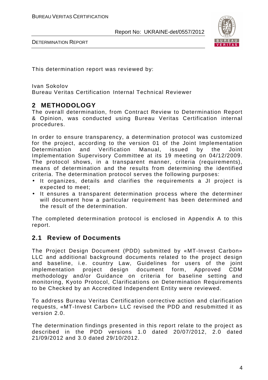

DETERMINATION REPORT

This determination report was reviewed by:

Ivan Sokolov Bureau Veritas Certification Internal Technical Reviewer

## **2 METHODOLOGY**

The overall determination, from Contract Review to Determination Report & Opinion, was conducted using Bureau Veritas Certification internal procedures.

In order to ensure transparency, a determination protocol was customized for the project, according to the version 01 of the Joint Implementation Determination and Verification Manual, issued by the Joint Implementation Supervisory Committee at its 19 meeting on 04/12/2009. The protocol shows, in a transparent manner, criteria (requirements), means of determination and the results from determining the identified criteria. The determination protocol serves the following purposes:

- It organizes, details and clarifies the requirements a JI project is expected to meet;
- It ensures a transparent determination process where the determiner will document how a particular requirement has been determined and the result of the determination.

The completed determination protocol is enclosed in Appendix A to this report.

## **2.1 Review of Documents**

The Project Design Document (PDD) submitted by «MT-Invest Carbon» LLC and additional background documents related to the project design and baseline, i.e. country Law, Guidelines for users of the joint implementation project design document form, Approved CDM methodology and/or Guidance on criteria for baseline setting and monitoring, Kyoto Protocol, Clarifications on Determination Requirements to be Checked by an Accredited Independent Entity were reviewed.

To address Bureau Veritas Certification corrective action and clarification requests, «MT-Invest Carbon» LLC revised the PDD and resubmitted it as version 2.0.

The determination findings presented in this report relate to the project as described in the PDD versions 1.0 dated 20/07/2012, 2.0 dated 21/09/2012 and 3.0 dated 29/10/2012.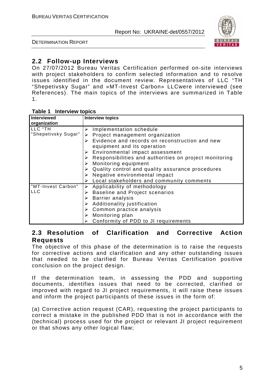

DETERMINATION REPORT

## **2.2 Follow-up Interviews**

On 27/07/2012 Bureau Veritas Certification performed on-site interviews with project stakeholders to confirm selected information and to resolve issues identified in the document review. Representatives of LLC "TH "Shepetivsky Sugar" and «MT-Invest Carbon» LLCwere interviewed (see References). The main topics of the interviews are summarized in Table 1.

#### **Table 1 Interview topics**

| Interviewed         | <b>Interview topics</b>                                                 |  |  |  |
|---------------------|-------------------------------------------------------------------------|--|--|--|
| organization        |                                                                         |  |  |  |
| LLC "TH             | Implementation schedule                                                 |  |  |  |
| "Shepetivsky Sugar" | Project management organization                                         |  |  |  |
|                     | Evidence and records on reconstruction and new<br>≻                     |  |  |  |
|                     | equipment and its operation                                             |  |  |  |
|                     | $\triangleright$ Environmental impact assessment                        |  |  |  |
|                     | $\triangleright$ Responsibilities and authorities on project monitoring |  |  |  |
|                     | Monitoring equipment                                                    |  |  |  |
|                     | $\triangleright$ Quality control and quality assurance procedures       |  |  |  |
|                     | $\triangleright$ Negative environmental impact                          |  |  |  |
|                     | Local stakeholders and community comments                               |  |  |  |
| "MT-Invest Carbon"  | Applicability of methodology                                            |  |  |  |
| <b>LLC</b>          | <b>Baseline and Project scenarios</b><br>➤                              |  |  |  |
|                     | Barrier analysis                                                        |  |  |  |
|                     | Additionality justification                                             |  |  |  |
|                     | Common practice analysis                                                |  |  |  |
|                     | Monitoring plan                                                         |  |  |  |
|                     | Conformity of PDD to JI requirements                                    |  |  |  |

## **2.3 Resolution of Clarification and Corrective Action Requests**

The objective of this phase of the determination is to raise the requests for corrective actions and clarification and any other outstanding issues that needed to be clarified for Bureau Veritas Certification positive conclusion on the project design.

If the determination team, in assessing the PDD and supporting documents, identifies issues that need to be corrected, clarified or improved with regard to JI project requirements, it will raise these issues and inform the project participants of these issues in the form of:

(a) Corrective action request (CAR), requesting the project participants to correct a mistake in the published PDD that is not in accordance with the (technical) process used for the project or relevant JI project requirement or that shows any other logical flaw;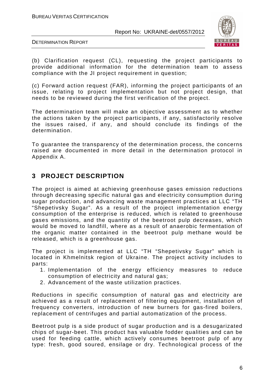

DETERMINATION REPORT

(b) Clarification request (CL), requesting the project participants to provide additional information for the determination team to assess compliance with the JI project requirement in question;

(c) Forward action request (FAR), informing the project participants of an issue, relating to project implementation but not project design, that needs to be reviewed during the first verification of the project.

The determination team will make an objective assessment as to whether the actions taken by the project participants, if any, satisfactorily resolve the issues raised, if any, and should conclude its findings of the determination.

To guarantee the transparency of the determination process, the concerns raised are documented in more detail in the determination protocol in Appendix A.

## **3 PROJECT DESCRIPTION**

The project is aimed at achieving greenhouse gases emission reductions through decreasing specific natural gas and electricity consumption during sugar production, and advancing waste management practices at LLC "TH "Shepetivsky Sugar". As a result of the project implementation energy consumption of the enterprise is reduced, which is related to greenhouse gases emissions, and the quantity of the beetroot pulp decreases, which would be moved to landfill, where as a result of anaerobic fermentation of the organic matter contained in the beetroot pulp methane would be released, which is a greenhouse gas.

The project is implemented at LLC "TH "Shepetivsky Sugar" which is located in Khmelnitsk region of Ukraine. The project activity includes to parts:

- 1. Implementation of the energy efficiency measures to reduce consumption of electricity and natural gas;
- 2. Advancement of the waste utilization practices.

Reductions in specific consumption of natural gas and electricity are achieved as a result of replacement of filtering equipment, installation of frequency converters, introduction of new burners for gas-fired boilers, replacement of centrifuges and partial automatization of the process.

Beetroot pulp is a side product of sugar production and is a desugarizated chips of sugar-beet. This product has valuable fodder qualities and can be used for feeding cattle, which actively consumes beetroot pulp of any type: fresh, good soured, ensilage or dry. Technological process of the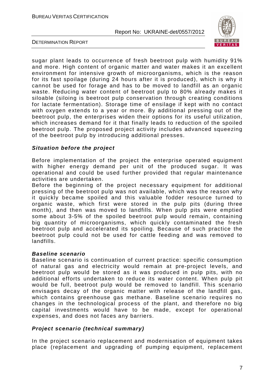

DETERMINATION REPORT

sugar plant leads to occurrence of fresh beetroot pulp with humidity 91% and more. High content of organic matter and water makes it an excellent environment for intensive growth of microorganisms, which is the reason for its fast spoilage (during 24 hours after it is produced), which is why it cannot be used for forage and has to be moved to landfill as an organic waste. Reducing water content of beetroot pulp to 80% already makes it siloable (siloing is beetroot pulp conservation through creating conditions for lactate fermentation). Storage time of ensilage if kept with no contact with oxygen extends to a year or more. By additional pressing out of the beetroot pulp, the enterprises widen their options for its useful utilization, which increases demand for it that finally leads to reduction of the spoiled beetroot pulp. The proposed project activity includes advanced squeezing of the beetroot pulp by introducing additional presses.

#### **Situation before the project**

Before implementation of the project the enterprise operated equipment with higher energy demand per unit of the produced sugar. It was operational and could be used further provided that regular maintenance activities are undertaken.

Before the beginning of the project necessary equipment for additional pressing of the beetroot pulp was not available, which was the reason why it quickly became spoiled and this valuable fodder resource turned to organic waste, which first were stored in the pulp pits (during three month), and then was moved to landfills. When pulp pits were emptied some about 3-5% of the spoiled beetroot pulp would remain, containing big quantity of microorganisms, which quickly contaminated the fresh beetroot pulp and accelerated its spoiling. Because of such practice the beetroot pulp could not be used for cattle feeding and was removed to landfills.

#### **Baseline scenario**

Baseline scenario is continuation of current practice: specific consumption of natural gas and electricity would remain at pre-project levels, and beetroot pulp would be stored as it was produced in pulp pits, with no additional efforts undertaken to reduce its water content. When pulp pit would be full, beetroot pulp would be removed to landfill. This scenario envisages decay of the organic matter with release of the landfill gas, which contains greenhouse gas methane. Baseline scenario requires no changes in the technological process of the plant, and therefore no big capital investments would have to be made, except for operational expenses, and does not faces any barriers.

#### **Project scenario (technical summary)**

In the project scenario replacement and modernisation of equipment takes place (replacement and upgrading of pumping equipment, replacement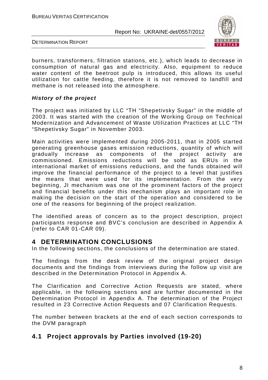

DETERMINATION REPORT

burners, transformers, filtration stations, etc.), which leads to decrease in consumption of natural gas and electricity. Also, equipment to reduce water content of the beetroot pulp is introduced, this allows its useful utilization for cattle feeding, therefore it is not removed to landfill and methane is not released into the atmosphere.

#### **History of the project**

The project was initiated by LLC "TH "Shepetivsky Sugar" in the middle of 2003. It was started with the creation of the Working Group on Technical Modernization and Advancement of Waste Utilization Practices at LLC "TH "Shepetivsky Sugar" in November 2003.

Main activities were implemented during 2005-2011, that in 2005 started generating greenhouse gases emission reductions, quantity of which will gradually increase as components of the project activity are commissioned. Emissions reductions will be sold as ERUs in the international market of emissions reductions, and the funds obtained will improve the financial performance of the project to a level that justifies the means that were used for its implementation. From the very beginning, JI mechanism was one of the prominent factors of the project and financial benefits under this mechanism plays an important role in making the decision on the start of the operation and considered to be one of the reasons for beginning of the project realization.

The identified areas of concern as to the project description, project participants response and BVC's conclusion are described in Appendix A (refer to CAR 01-CAR 09).

## **4 DETERMINATION CONCLUSIONS**

In the following sections, the conclusions of the determination are stated.

The findings from the desk review of the original project design documents and the findings from interviews during the follow up visit are described in the Determination Protocol in Appendix A.

The Clarification and Corrective Action Requests are stated, where applicable, in the following sections and are further documented in the Determination Protocol in Appendix A. The determination of the Project resulted in 23 Corrective Action Requests and 07 Clarification Requests.

The number between brackets at the end of each section corresponds to the DVM paragraph

## **4.1 Project approvals by Parties involved (19-20)**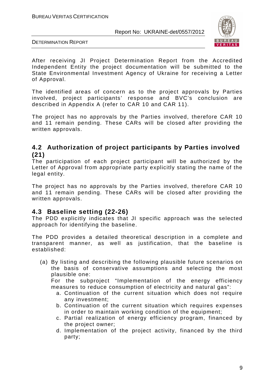

DETERMINATION REPORT

After receiving JI Project Determination Report from the Accredited Independent Entity the project documentation will be submitted to the State Environmental Investment Agency of Ukraine for receiving a Letter of Approval.

The identified areas of concern as to the project approvals by Parties involved, project participants' response and BVC's conclusion are described in Appendix A (refer to CAR 10 and CAR 11).

The project has no approvals by the Parties involved, therefore CAR 10 and 11 remain pending. These CARs will be closed after providing the written approvals.

## **4.2 Authorization of project participants by Parties involved (21)**

The participation of each project participant will be authorized by the Letter of Approval from appropriate party explicitly stating the name of the legal entity.

The project has no approvals by the Parties involved, therefore CAR 10 and 11 remain pending. These CARs will be closed after providing the written approvals.

## **4.3 Baseline setting (22-26)**

The PDD explicitly indicates that JI specific approach was the selected approach for identifying the baseline.

The PDD provides a detailed theoretical description in a complete and transparent manner, as well as justification, that the baseline is established:

(a) By listing and describing the following plausible future scenarios on the basis of conservative assumptions and selecting the most plausible one:

For the subproject "Implementation of the energy efficiency measures to reduce consumption of electricity and natural gas":

- a. Continuation of the current situation which does not require any investment;
- b. Continuation of the current situation which requires expenses in order to maintain working condition of the equipment;
- c. Partial realization of energy efficiency program, financed by the project owner;
- d. Implementation of the project activity, financed by the third party;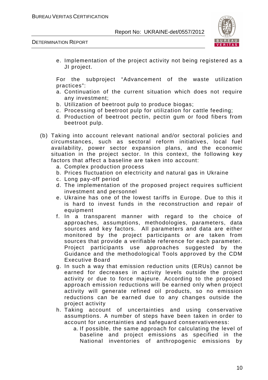

DETERMINATION REPORT

e. Implementation of the project activity not being registered as a JI project.

For the subproject "Advancement of the waste utilization practices":

- a. Continuation of the current situation which does not require any investment;
- b. Utilization of beetroot pulp to produce biogas;
- c. Processing of beetroot pulp for utilization for cattle feeding;
- d. Production of beetroot pectin, pectin gum or food fibers from beetroot pulp*.*
- (b) Taking into account relevant national and/or sectoral policies and circumstances, such as sectoral reform initiatives, local fuel availability, power sector expansion plans, and the economic situation in the project sector. In this context, the following key factors that affect a baseline are taken into account:
	- a. Complex production process
	- b. Prices fluctuation on electricity and natural gas in Ukraine
	- c. Long pay-off period
	- d. The implementation of the proposed project requires sufficient investment and personnel
	- e. Ukraine has one of the lowest tariffs in Europe. Due to this it is hard to invest funds in the reconstruction and repair of equipment
	- f. In a transparent manner with regard to the choice of approaches, assumptions, methodologies, parameters, data sources and key factors. All parameters and data are either monitored by the project participants or are taken from sources that provide a verifiable reference for each parameter. Project participants use approaches suggested by the Guidance and the methodological Tools approved by the CDM Executive Board
	- g. In such a way that emission reduction units (ERUs) cannot be earned for decreases in activity levels outside the project activity or due to force majeure. According to the proposed approach emission reductions will be earned only when project activity will generate refined oil products, so no emission reductions can be earned due to any changes outside the project activity
	- h. Taking account of uncertainties and using conservative assumptions. A number of steps have been taken in order to account for uncertainties and safeguard conservativeness:
		- a. If possible, the same approach for calculating the level of baseline and project emissions as specified in the National inventories of anthropogenic emissions by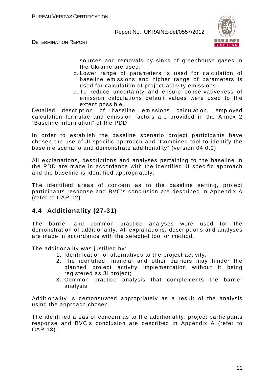



sources and removals by sinks of greenhouse gases in the Ukraine are used;

- b. Lower range of parameters is used for calculation of baseline emissions and higher range of parameters is used for calculation of project activity emissions;
- c. To reduce uncertainty and ensure conservativeness of emission calculations default values were used to the extent possible.

Detailed description of baseline emissions calculation, employed calculation formulae and emission factors are provided in the Annex 2 "Baseline information" of the PDD.

In order to establish the baseline scenario project participants have chosen the use of JI specific approach and "Combined tool to identify the baseline scenario and demonstrate additionality" (version 04.0.0).

All explanations, descriptions and analyses pertaining to the baseline in the PDD are made in accordance with the identified JI specific approach and the baseline is identified appropriately.

The identified areas of concern as to the baseline setting, project participants response and BVC's conclusion are described in Appendix A (refer to CAR 12).

## **4.4 Additionality (27-31)**

The barrier and common practice analyses were used for the demonstration of additionality. All explanations, descriptions and analyses are made in accordance with the selected tool or method.

The additionality was justified by:

- 1. Identification of alternatives to the project activity;
- 2. The identified financial and other barriers may hinder the planned project activity implementation without it being registered as JI project;
- 3. Common practice analysis that complements the barrier analysis

Additionality is demonstrated appropriately as a result of the analysis using the approach chosen.

The identified areas of concern as to the additionality, project participants response and BVC's conclusion are described in Appendix A (refer to CAR 13).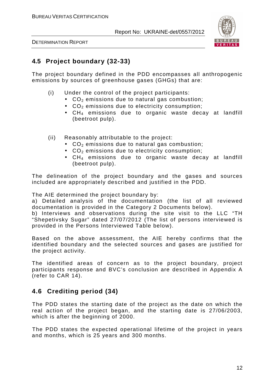

DETERMINATION REPORT

## **4.5 Project boundary (32-33)**

The project boundary defined in the PDD encompasses all anthropogenic emissions by sources of greenhouse gases (GHGs) that are:

- (i) Under the control of the project participants:
	- $CO<sub>2</sub>$  emissions due to natural gas combustion;
	- $\bullet$  CO<sub>2</sub> emissions due to electricity consumption;
	- CH<sub>4</sub> emissions due to organic waste decay at landfill (beetroot pulp).
- (ii) Reasonably attributable to the project:
	- $CO<sub>2</sub>$  emissions due to natural gas combustion;
	- $\bullet$  CO<sub>2</sub> emissions due to electricity consumption;
	- $CH_4$  emissions due to organic waste decay at landfill (beetroot pulp).

The delineation of the project boundary and the gases and sources included are appropriately described and justified in the PDD.

The AIE determined the project boundary by:

a) Detailed analysis of the documentation (the list of all reviewed documentation is provided in the Category 2 Documents below).

b) Interviews and observations during the site visit to the LLC "TH "Shepetivsky Sugar" dated 27/07/2012 (The list of persons interviewed is provided in the Persons Interviewed Table below).

Based on the above assessment, the AIE hereby confirms that the identified boundary and the selected sources and gases are justified for the project activity.

The identified areas of concern as to the project boundary, project participants response and BVC's conclusion are described in Appendix A (refer to CAR 14).

## **4.6 Crediting period (34)**

The PDD states the starting date of the project as the date on which the real action of the project began, and the starting date is 27/06/2003, which is after the beginning of 2000.

The PDD states the expected operational lifetime of the project in years and months, which is 25 years and 300 months.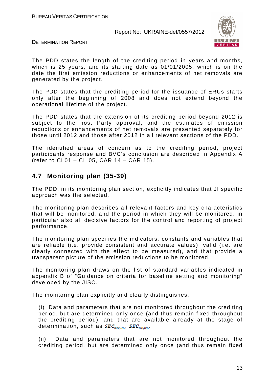

DETERMINATION REPORT

The PDD states the length of the crediting period in years and months, which is 25 years, and its starting date as 01/01/2005, which is on the date the first emission reductions or enhancements of net removals are generated by the project.

The PDD states that the crediting period for the issuance of ERUs starts only after the beginning of 2008 and does not extend beyond the operational lifetime of the project.

The PDD states that the extension of its crediting period beyond 2012 is subject to the host Party approval, and the estimates of emission reductions or enhancements of net removals are presented separately for those until 2012 and those after 2012 in all relevant sections of the PDD.

The identified areas of concern as to the crediting period, project participants response and BVC's conclusion are described in Appendix A (refer to CL01 – CL 05, CAR 14 – CAR 15).

## **4.7 Monitoring plan (35-39)**

The PDD, in its monitoring plan section, explicitly indicates that JI specific approach was the selected.

The monitoring plan describes all relevant factors and key characteristics that will be monitored, and the period in which they will be monitored, in particular also all decisive factors for the control and reporting of project performance.

The monitoring plan specifies the indicators, constants and variables that are reliable (i.e. provide consistent and accurate values), valid (i.e. are clearly connected with the effect to be measured), and that provide a transparent picture of the emission reductions to be monitored.

The monitoring plan draws on the list of standard variables indicated in appendix B of "Guidance on criteria for baseline setting and monitoring" developed by the JISC.

The monitoring plan explicitly and clearly distinguishes:

(i) Data and parameters that are not monitored throughout the crediting period, but are determined only once (and thus remain fixed throughout the crediting period), and that are available already at the stage of determination, such as  $SEC_{NG, BL}$ ,  $SEC_{EE, BL}$ .

(ii) Data and parameters that are not monitored throughout the crediting period, but are determined only once (and thus remain fixed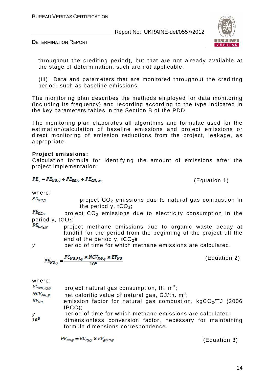

DETERMINATION REPORT

throughout the crediting period), but that are not already available at the stage of determination, such are not applicable.

(iii) Data and parameters that are monitored throughout the crediting period, such as baseline emissions.

The monitoring plan describes the methods employed for data monitoring (including its frequency) and recording according to the type indicated in the key parameters tables in the Section B of the PDD.

The monitoring plan elaborates all algorithms and formulae used for the estimation/calculation of baseline emissions and project emissions or direct monitoring of emission reductions from the project, leakage, as appropriate.

#### **Project emissions:**

Calculation formula for identifying the amount of emissions after the project implementation:

$$
PE_y = PE_{NG,y} + PE_{EE,y} + PE_{CH_A,y}
$$

, (Equation 1)

where:

 $PE_{NG,y}$  project CO<sub>2</sub> emissions due to natural gas combustion in the period y,  $tCO<sub>2</sub>$ ;

 $PE_{EE,y}$  project CO<sub>2</sub> emissions due to electricity consumption in the period y,  $tCO<sub>2</sub>$ ;<br> $PE<sub>CH<sub>4</sub></sub>$ , proi

 project methane emissions due to organic waste decay at landfill for the period from the beginning of the project till the end of the period y,  $tCO<sub>2</sub>e$ 

y period of time for which methane emissions are calculated.

$$
PE_{NG,\gamma} = \frac{FC_{NG,PJ,\gamma} \times NCV_{NG,\gamma} \times EF_{NG}}{10^6}
$$
 (Equation 2)

| where:<br>$FC_{NG,PI, V}$ |                                                               |
|---------------------------|---------------------------------------------------------------|
|                           | project natural gas consumption, th. $m^3$ ;                  |
| $NCV_{NG, \gamma}$        | net calorific value of natural gas, $GJ/th. m3$ ;             |
| $EF_{NG}$                 | emission factor for natural gas combustion, $kgCO2/TJ$ (2006) |
|                           | $\text{IPCC}$ );                                              |
|                           | period of time for which methane emissions are calculated;    |
| y<br>10 <sup>6</sup>      | dimensionless conversion factor, necessary for maintaining    |
|                           | formula dimensions correspondence.                            |

 $PE_{EE,v} = EC_{PL,v} \times EF_{arid,v}$ 

(Equation 3)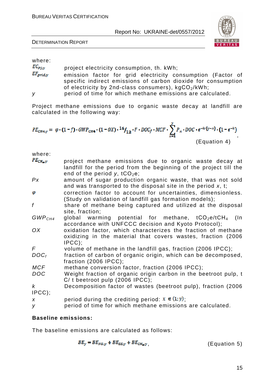

DETERMINATION REPORT

#### where:

 $EC_{PJ,x}$  project electricity consumption, th. kWh;

- $E_{grid,y}$  emission factor for grid electricity consumption (Factor of specific indirect emissions of carbon dioxide for consumption of electricity by 2nd-class consumers),  $kgCO<sub>2</sub>/kWh$ ;
- y period of time for which methane emissions are calculated.

Project methane emissions due to organic waste decay at landfill are calculated in the following way:

$$
PE_{CH4,y} = \varphi \cdot (1 - f) \cdot GWP_{CH4} \cdot (1 - 0X) \cdot 16 /_{12} \cdot F \cdot DOC_f \cdot MCF \cdot \sum_{x=1}^{y} P_x \cdot DOC \cdot e^{-k \cdot (y-x)} \cdot (1 - e^{-k})
$$
\n
$$
(Equation 4)
$$

where:

| $PE_{CH_2, y}$     | project methane emissions due to organic waste decay at<br>landfill for the period from the beginning of the project till the<br>end of the period y, $tCO2e$ ; |
|--------------------|-----------------------------------------------------------------------------------------------------------------------------------------------------------------|
| Px                 | amount of sugar production organic waste, that was not sold<br>and was transported to the disposal site in the period $x$ , t;                                  |
| φ                  | correction factor to account for uncertainties, dimensionless.<br>(Study on validation of landfill gas formation models);                                       |
| f                  | share of methane being captured and utilized at the disposal<br>site, fraction;                                                                                 |
| GWP <sub>CH4</sub> | global warming potential for methane, $tCO_2e/tCH_4$ (In<br>accordance with UNFCCC decision and Kyoto Protocol);                                                |
| 0X                 | oxidation factor, which characterizes the fraction of methane<br>oxidizing in the material that covers wastes, fraction (2006)<br>$IPCC$ );                     |
| F.                 | volume of methane in the landfill gas, fraction (2006 IPCC);                                                                                                    |
| DOC <sub>f</sub>   | fraction of carbon of organic origin, which can be decomposed,<br>fraction $(2006$ IPCC);                                                                       |
| <b>MCF</b>         | methane conversion factor, fraction (2006 IPCC);                                                                                                                |
| <b>DOC</b>         | Weight fraction of organic origin carbon in the beetroot pulp, t<br>$C/$ t beetroot pulp (2006 IPCC);                                                           |
| $\mathsf{k}$       | Decomposition factor of wastes (beetroot pulp), fraction (2006                                                                                                  |
| $ PCC$ );          |                                                                                                                                                                 |
| $\boldsymbol{X}$   | period during the crediting period: $x \in (1, y)$ ;                                                                                                            |
| У                  | period of time for which methane emissions are calculated.                                                                                                      |

#### **Baseline emissions:**

The baseline emissions are calculated as follows:

$$
BE_y = BE_{NG,y} + BE_{EE,y} + BE_{CH_{\clubsuit},y}, \tag{Equation 5}
$$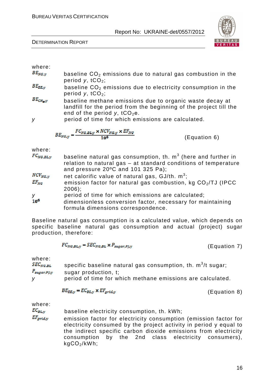#### DETERMINATION REPORT



| where: |  |
|--------|--|

- $B E_{NG,y}$  baseline CO<sub>2</sub> emissions due to natural gas combustion in the period  $y$ , tCO<sub>2</sub>;
- $BE_{EE,y}$  baseline CO<sub>2</sub> emissions due to electricity consumption in the period  $y$ , tCO<sub>2</sub>;
- $BE_{CH_4,\mathcal{Y}}$  baseline methane emissions due to organic waste decay at landfill for the period from the beginning of the project till the end of the period  $v$ , tCO<sub>2</sub>e.

y period of time for which emissions are calculated.

 $BE_{NG,y} = \frac{FC_{NG,BL,y} \times NCV_{NG,y} \times EF_{NG}}{10^6}$  (Equation 6)

where:

| $FC_{NG,BL,y}$            | baseline natural gas consumption, th. $m3$ (here and further in<br>relation to natural gas - at standard conditions of temperature<br>and pressure $20^{\circ}$ C and 101 325 Pa); |
|---------------------------|------------------------------------------------------------------------------------------------------------------------------------------------------------------------------------|
| $NCV_{NG,y}$<br>$EF_{NG}$ | net calorific value of natural gas, $GJ/th. m3$ ;<br>emission factor for natural gas combustion, kg $CO2/TJ$ (IPCC                                                                 |
| У<br>10 <sup>6</sup>      | $2006$ ;<br>period of time for which emissions are calculated;<br>dimensionless conversion factor, necessary for maintaining                                                       |
|                           | formula dimensions correspondence.                                                                                                                                                 |

Baseline natural gas consumption is a calculated value, which depends on specific baseline natural gas consumption and actual (project) sugar production, therefore:

$$
FC_{NG,BL,y} = SEC_{NG,BL} \times P_{sugar,Pj,y}
$$

where:

| $SEC_{NG, BL}$   | specific baseline natural gas consumption, th. $m^3/t$ sugar; |
|------------------|---------------------------------------------------------------|
| $P_{sugar,PI,y}$ | sugar production, t;                                          |
| V                | period of time for which methane emissions are calculated.    |

$$
BE_{EE,y} = EC_{BL,y} \times EF_{grid,y}
$$

(Equation 8)

(Equation 7)

where:

 $EC_{BL, y}$  baseline electricity consumption, th. kWh;

 $E_{grid,y}$  emission factor for electricity consumption (emission factor for electricity consumed by the project activity in period y equal to the indirect specific carbon dioxide emissions from electricity consumption by the 2nd class electricity consumers), kgСО2/kWh;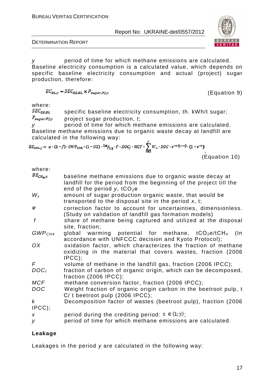

DETERMINATION REPORT

y period of time for which methane emissions are calculated. Baseline electricity consumption is a calculated value, which depends on specific baseline electricity consumption and actual (project) sugar production, therefore:

$$
EC_{BL, y} = SEC_{EE, BL} \times P_{sugar, Pj, y}
$$

(Equation 9)

where:

 $SEC_{EE,BL}$  specific baseline electricity consumption, th. kWh/t sugar;  $P_{sugar, PJ,y}$  project sugar production, t;

y period of time for which methane emissions are calculated. Baseline methane emissions due to organic waste decay at landfill are calculated in the following way:

$$
BE_{CH4,y} = \varphi \cdot (1-f) \cdot GWP_{CH4} \cdot (1-OX) \cdot 16 /_{12} \cdot F \cdot DOC_f \cdot MCF \cdot \sum_{x=1}^{y} W_x \cdot DOC \cdot e^{-k \cdot (y-x)} \cdot (1-e^{-k})
$$

```
 (Equation 10)
```

| $BE_{CH_{45}Y}$                      | baseline methane emissions due to organic waste decay at<br>landfill for the period from the beginning of the project till the<br>end of the period y, $tCO2e$ |
|--------------------------------------|----------------------------------------------------------------------------------------------------------------------------------------------------------------|
| $W_{x}$                              | amount of sugar production organic waste, that would be<br>transported to the disposal site in the period $x$ , t;                                             |
| φ                                    | correction factor to account for uncertainties, dimensionless.<br>(Study on validation of landfill gas formation models)                                       |
| $\boldsymbol{f}$                     | share of methane being captured and utilized at the disposal<br>site, fraction;                                                                                |
| GWP <sub>CH4</sub>                   | global warming potential for methane, $tCO_2e/tCH_4$<br>(In<br>accordance with UNFCCC decision and Kyoto Protocol);                                            |
| OX                                   | oxidation factor, which characterizes the fraction of methane<br>oxidizing in the material that covers wastes, fraction (2006)<br>$IPCC$ );                    |
| F                                    | volume of methane in the landfill gas, fraction (2006 IPCC);                                                                                                   |
| $DOC_f$                              | fraction of carbon of organic origin, which can be decomposed,<br>fraction $(2006$ IPCC);                                                                      |
| <b>MCF</b>                           | methane conversion factor, fraction (2006 IPCC);                                                                                                               |
| <b>DOC</b>                           | Weight fraction of organic origin carbon in the beetroot pulp, t<br>$C/$ t beetroot pulp (2006 IPCC);                                                          |
| $\boldsymbol{k}$<br>$\text{IPCC}$ ); | Decomposition factor of wastes (beetroot pulp), fraction (2006)                                                                                                |
| X                                    | period during the crediting period: $x \in (1, y)$ ;                                                                                                           |
| y                                    | period of time for which methane emissions are calculated.                                                                                                     |
|                                      |                                                                                                                                                                |

#### **Leakage**

Leakages in the period y are calculated in the following way: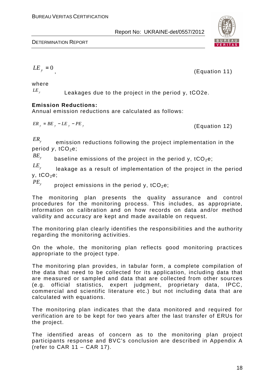#### DETERMINATION REPORT



, (Equation 11)

$$
LE_y = 0
$$

where

 $LE<sub>y</sub>$ 

Leakages due to the project in the period у, tСО2e.

#### **Emission Reductions:**

Annual emission reductions are calculated as follows:

$$
ER_y = BE_y - LE_y - PE_y
$$
 (Equation 12)

 $ER_{y}$ 

 emission reductions following the project implementation in the period  $y$ , tCO<sub>2</sub>e;

 $BE_{\gamma}$ baseline emissions of the project in the period y,  $tCO_2e$ ;

 $LE$ <sub>*y</sub></sub></sub>*  leakage as a result of implementation of the project in the period  $y, tCO<sub>2</sub>e;$ 

 $PE$ <sub>y</sub> project emissions in the period  $y$ ,  $tCO<sub>2</sub>e$ ;

The monitoring plan presents the quality assurance and control procedures for the monitoring process. This includes, as appropriate, information on calibration and on how records on data and/or method validity and accuracy are kept and made available on request.

The monitoring plan clearly identifies the responsibilities and the authority regarding the monitoring activities.

On the whole, the monitoring plan reflects good monitoring practices appropriate to the project type.

The monitoring plan provides, in tabular form, a complete compilation of the data that need to be collected for its application, including data that are measured or sampled and data that are collected from other sources (e.g. official statistics, expert judgment, proprietary data, IPCC, commercial and scientific literature etc.) but not including data that are calculated with equations.

The monitoring plan indicates that the data monitored and required for verification are to be kept for two years after the last transfer of ERUs for the project.

The identified areas of concern as to the monitoring plan project participants response and BVC's conclusion are described in Appendix A (refer to CAR 11 – CAR 17).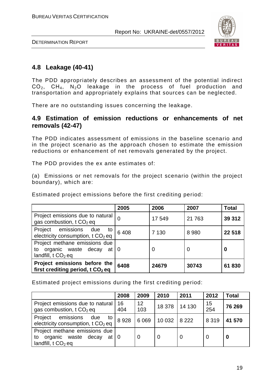

DETERMINATION REPORT

## **4.8 Leakage (40-41)**

The PDD appropriately describes an assessment of the potential indirect  $CO<sub>2</sub>$ ,  $CH<sub>4</sub>$ , N<sub>2</sub>O leakage in the process of fuel production and transportation and appropriately explains that sources can be neglected.

There are no outstanding issues concerning the leakage.

## **4.9 Estimation of emission reductions or enhancements of net removals (42-47)**

The PDD indicates assessment of emissions in the baseline scenario and in the project scenario as the approach chosen to estimate the emission reductions or enhancement of net removals generated by the project.

The PDD provides the ex ante estimates of:

(a) Emissions or net removals for the project scenario (within the project boundary), which are:

Estimated project emissions before the first crediting period:

|                                                                                   | 2005 | 2006    | 2007    | <b>Total</b> |
|-----------------------------------------------------------------------------------|------|---------|---------|--------------|
| Project emissions due to natural<br>gas combustion, t CO <sub>2</sub> eq          | 0    | 17 549  | 21 7 63 | 39 312       |
| Project emissions due<br>to '<br>electricity consumption, t CO <sub>2</sub> eq    | 6408 | 7 1 3 0 | 8 9 8 0 | 22 518       |
| Project methane emissions due<br>to organic waste decay at<br>landfill, $tCO2$ eq | l 0  | 0       |         | 0            |
| Project emissions before the<br>first crediting period, t CO <sub>2</sub> eq      | 6408 | 24679   | 30743   | 61830        |

Estimated project emissions during the first crediting period:

|                                                                                                  | 2008      | 2009                   | 2010    | 2011    | 2012           | Total  |
|--------------------------------------------------------------------------------------------------|-----------|------------------------|---------|---------|----------------|--------|
| Project emissions due to natural<br>gas combustion, $t CO2$ eq                                   | 16<br>404 | 12 <sup>2</sup><br>103 | 18 378  | 14 130  | 15<br>254      | 76 269 |
| Project emissions<br>due<br>to<br>electricity consumption, $t CO2$ eq                            | 8928      | 6 0 6 9                | 10 0 32 | 8 2 2 2 | 8 3 1 9        | 41 570 |
| Project methane emissions due<br>organic waste decay at 0<br>to<br>landfill, $t \text{ CO}_2$ eq |           | 0                      |         | 0       | $\overline{0}$ |        |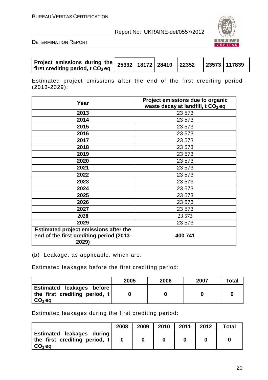



| Project emissions during the $ 25332 18172 28410 22352$<br>first crediting period, $t \text{ CO}_2$ eq |  |  |  |  |  | 23573 117839 |
|--------------------------------------------------------------------------------------------------------|--|--|--|--|--|--------------|
|--------------------------------------------------------------------------------------------------------|--|--|--|--|--|--------------|

Estimated project emissions after the end of the first crediting period  $(2013 - 2029)$ :

| Year                                              | Project emissions due to organic<br>waste decay at landfill, t CO <sub>2</sub> eq |
|---------------------------------------------------|-----------------------------------------------------------------------------------|
| 2013                                              | 23 573                                                                            |
| 2014                                              | 23 573                                                                            |
| 2015                                              | 23 573                                                                            |
| 2016                                              | 23 573                                                                            |
| 2017                                              | 23 573                                                                            |
| 2018                                              | 23 573                                                                            |
| 2019                                              | 23 573                                                                            |
| 2020                                              | 23 573                                                                            |
| 2021                                              | 23 573                                                                            |
| 2022                                              | 23 573                                                                            |
| 2023                                              | 23 573                                                                            |
| 2024                                              | 23 573                                                                            |
| 2025                                              | 23 573                                                                            |
| 2026                                              | 23 573                                                                            |
| 2027                                              | 23 573                                                                            |
| 2028                                              | 23 573                                                                            |
| 2029                                              | 23 573                                                                            |
| <b>Estimated project emissions after the</b>      |                                                                                   |
| end of the first crediting period (2013-<br>2029) | 400 741                                                                           |

(b) Leakage, as applicable, which are:

Estimated leakages before the first crediting period:

|                                                                            | 2005 | 2006 | 2007 | <b>Total</b> |
|----------------------------------------------------------------------------|------|------|------|--------------|
| Estimated leakages before<br>  the first crediting period, t  <br>$CO2$ eq |      |      |      |              |

Estimated leakages during the first crediting period:

|                                                                        | 2008 | 2009 | 2010 | 2011 | 2012 | <b>Total</b> |
|------------------------------------------------------------------------|------|------|------|------|------|--------------|
| Estimated leakages during<br>the first crediting period, t<br>$CO2$ eq |      |      |      |      |      |              |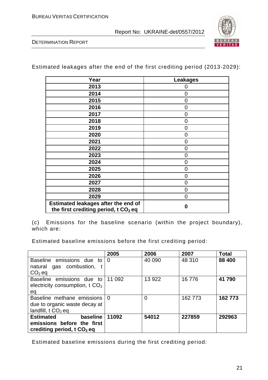

DETERMINATION REPORT

Estimated leakages after the end of the first crediting period (2013-2029):

| Year                                             | <b>Leakages</b> |
|--------------------------------------------------|-----------------|
| 2013                                             | $\mathcal{L}$   |
| 2014                                             | $\overline{0}$  |
| 2015                                             | 0               |
| 2016                                             | 0               |
| 2017                                             | 0               |
| 2018                                             | 0               |
| 2019                                             | 0               |
| 2020                                             | 0               |
| 2021                                             | $\overline{0}$  |
| 2022                                             | 0               |
| 2023                                             | 0               |
| 2024                                             | 0               |
| 2025                                             | 0               |
| 2026                                             | 0               |
| 2027                                             | 0               |
| 2028                                             | $\overline{0}$  |
| 2029                                             | 0               |
| <b>Estimated leakages after the end of</b>       | Ω               |
| the first crediting period, t CO <sub>2</sub> eq |                 |

(c) Emissions for the baseline scenario (within the project boundary), which are:

Estimated baseline emissions before the first crediting period:

|                                        | 2005     | 2006           | 2007    | <b>Total</b> |
|----------------------------------------|----------|----------------|---------|--------------|
| Baseline emissions due to              | $\Omega$ | 40 090         | 48 310  | 88 400       |
| natural gas combustion, t              |          |                |         |              |
| $CO2$ eq                               |          |                |         |              |
| Baseline emissions due to              | 11 092   | 13 922         | 16776   | 41 790       |
| electricity consumption, t $CO2$       |          |                |         |              |
| ea                                     |          |                |         |              |
| Baseline methane emissions             | $\Omega$ | $\overline{0}$ | 162 773 | 162 773      |
| due to organic waste decay at          |          |                |         |              |
| landfill, $t \text{ CO}_2$ eq          |          |                |         |              |
| <b>Estimated</b><br>baseline           | 11092    | 54012          | 227859  | 292963       |
| emissions before the first             |          |                |         |              |
| crediting period, t CO <sub>2</sub> eq |          |                |         |              |

Estimated baseline emissions during the first crediting period: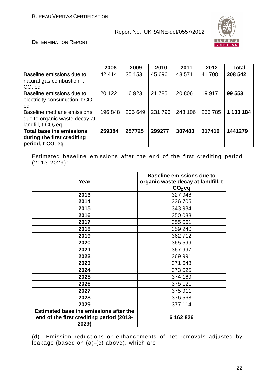

DETERMINATION REPORT

|                                 | 2008    | 2009    | 2010    | 2011    | 2012    | <b>Total</b> |
|---------------------------------|---------|---------|---------|---------|---------|--------------|
| Baseline emissions due to       | 42 414  | 35 153  | 45 696  | 43 571  | 41 708  | 208 542      |
| natural gas combustion, t       |         |         |         |         |         |              |
| $CO2$ eq                        |         |         |         |         |         |              |
| Baseline emissions due to       | 20 122  | 16 923  | 21 7 85 | 20 806  | 19 917  | 99 553       |
| electricity consumption, $tCO2$ |         |         |         |         |         |              |
| eq                              |         |         |         |         |         |              |
| Baseline methane emissions      | 196 848 | 205 649 | 231 796 | 243 106 | 255 785 | 1 133 184    |
| due to organic waste decay at   |         |         |         |         |         |              |
| landfill, $tCO2$ eq             |         |         |         |         |         |              |
| <b>Total baseline emissions</b> | 259384  | 257725  | 299277  | 307483  | 317410  | 1441279      |
| during the first crediting      |         |         |         |         |         |              |
| period, $t \, CO2$ eq           |         |         |         |         |         |              |

Estimated baseline emissions after the end of the first crediting period (2013-2029):

| Year                                              | <b>Baseline emissions due to</b><br>organic waste decay at landfill, t |
|---------------------------------------------------|------------------------------------------------------------------------|
|                                                   | $CO2$ eq                                                               |
| 2013                                              | 327 948                                                                |
| 2014                                              | 336 705                                                                |
| 2015                                              | 343 984                                                                |
| 2016                                              | 350 033                                                                |
| 2017                                              | 355 061                                                                |
| 2018                                              | 359 240                                                                |
| 2019                                              | 362712                                                                 |
| 2020                                              | 365 599                                                                |
| 2021                                              | 367 997                                                                |
| 2022                                              | 369 991                                                                |
| 2023                                              | 371 648                                                                |
| 2024                                              | 373 025                                                                |
| 2025                                              | 374 169                                                                |
| 2026                                              | 375 121                                                                |
| 2027                                              | 375 911                                                                |
| 2028                                              | 376 568                                                                |
| 2029                                              | 377 114                                                                |
| <b>Estimated baseline emissions after the</b>     |                                                                        |
| end of the first crediting period (2013-<br>2029) | 6 162 826                                                              |

(d) Emission reductions or enhancements of net removals adjusted by leakage (based on (a)-(c) above), which are: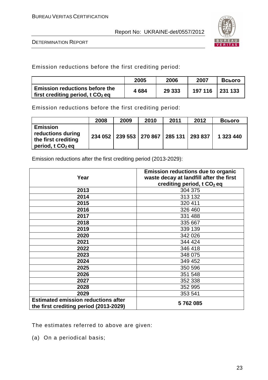

DETERMINATION REPORT

Emission reductions before the first crediting period:

|                                                                                         | 2005 | 2006   | 2007    | Всього             |
|-----------------------------------------------------------------------------------------|------|--------|---------|--------------------|
| <b>Emission reductions before the</b><br>If irst crediting period, t $\mathsf{CO}_2$ eq | 4684 | 29 333 | 197 116 | $\frac{1231133}{}$ |

Emission reductions before the first crediting period:

|                                                                                   | 2008 | 2009 | 2010                                  | 2011 | 2012    | Всього    |
|-----------------------------------------------------------------------------------|------|------|---------------------------------------|------|---------|-----------|
| <b>Emission</b><br>reductions during<br>the first crediting<br>period, t $CO2$ eq |      |      | 234 052   239 553   270 867   285 131 |      | 293 837 | 1 323 440 |

Emission reductions after the first crediting period (2013-2029):

| Year                                                                                 | <b>Emission reductions due to organic</b><br>waste decay at landfill after the first<br>crediting period, t CO <sub>2</sub> eq |
|--------------------------------------------------------------------------------------|--------------------------------------------------------------------------------------------------------------------------------|
| 2013                                                                                 | 304 375                                                                                                                        |
| 2014                                                                                 | 313 132                                                                                                                        |
| 2015                                                                                 | 320 411                                                                                                                        |
| 2016                                                                                 | 326 460                                                                                                                        |
| 2017                                                                                 | 331 488                                                                                                                        |
| 2018                                                                                 | 335 667                                                                                                                        |
| 2019                                                                                 | 339 139                                                                                                                        |
| 2020                                                                                 | 342 026                                                                                                                        |
| 2021                                                                                 | 344 424                                                                                                                        |
| 2022                                                                                 | 346 418                                                                                                                        |
| 2023                                                                                 | 348 075                                                                                                                        |
| 2024                                                                                 | 349 452                                                                                                                        |
| 2025                                                                                 | 350 596                                                                                                                        |
| 2026                                                                                 | 351 548                                                                                                                        |
| 2027                                                                                 | 352 338                                                                                                                        |
| 2028                                                                                 | 352 995                                                                                                                        |
| 2029                                                                                 | 353 541                                                                                                                        |
| <b>Estimated emission reductions after</b><br>the first crediting period (2013-2029) | 5762085                                                                                                                        |

The estimates referred to above are given:

(a) On a periodical basis;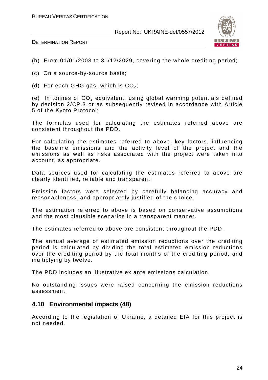



- (b) From 01/01/2008 to 31/12/2029, covering the whole crediting period;
- (c) On a source-by-source basis;
- (d) For each GHG gas, which is  $CO<sub>2</sub>$ ;

(e) In tonnes of  $CO<sub>2</sub>$  equivalent, using global warming potentials defined by decision 2/CP.3 or as subsequently revised in accordance with Article 5 of the Kyoto Protocol;

The formulas used for calculating the estimates referred above are consistent throughout the PDD.

For calculating the estimates referred to above, key factors, influencing the baseline emissions and the activity level of the project and the emissions as well as risks associated with the project were taken into account, as appropriate.

Data sources used for calculating the estimates referred to above are clearly identified, reliable and transparent.

Emission factors were selected by carefully balancing accuracy and reasonableness, and appropriately justified of the choice.

The estimation referred to above is based on conservative assumptions and the most plausible scenarios in a transparent manner.

The estimates referred to above are consistent throughout the PDD.

The annual average of estimated emission reductions over the crediting period is calculated by dividing the total estimated emission reductions over the crediting period by the total months of the crediting period, and multiplying by twelve.

The PDD includes an illustrative ex ante emissions calculation.

No outstanding issues were raised concerning the emission reductions assessment.

## **4.10 Environmental impacts (48)**

According to the legislation of Ukraine, a detailed EIA for this project is not needed.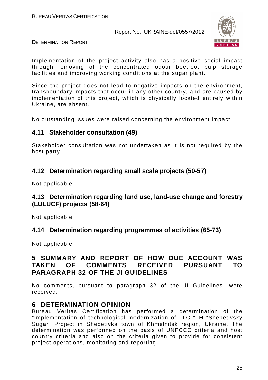

DETERMINATION REPORT

Implementation of the project activity also has a positive social impact through removing of the concentrated odour beetroot pulp storage facilities and improving working conditions at the sugar plant.

Since the project does not lead to negative impacts on the environment, transboundary impacts that occur in any other country, and are caused by implementation of this project, which is physically located entirely within Ukraine, are absent.

No outstanding issues were raised concerning the environment impact.

## **4.11 Stakeholder consultation (49)**

Stakeholder consultation was not undertaken as it is not required by the host party.

## **4.12 Determination regarding small scale projects (50-57)**

Not applicable

## **4.13 Determination regarding land use, land-use change and forestry (LULUCF) projects (58-64)**

Not applicable

## **4.14 Determination regarding programmes of activities (65-73)**

Not applicable

## **5 SUMMARY AND REPORT OF HOW DUE ACCOUNT WAS TAKEN OF COMMENTS RECEIVED PURSUANT TO PARAGRAPH 32 OF THE JI GUIDELINES**

No comments, pursuant to paragraph 32 of the JI Guidelines, were received.

## **6 DETERMINATION OPINION**

Bureau Veritas Certification has performed a determination of the "Implementation of technological modernization of LLC "TH "Shepetivsky Sugar" Project in Shepetivka town of Khmelnitsk region, Ukraine. The determination was performed on the basis of UNFCCC criteria and host country criteria and also on the criteria given to provide for consistent project operations, monitoring and reporting.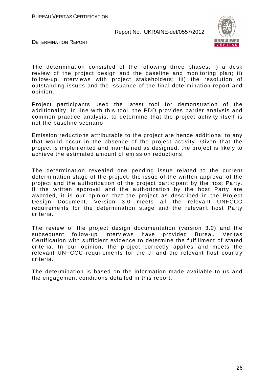

DETERMINATION REPORT

The determination consisted of the following three phases: i) a desk review of the project design and the baseline and monitoring plan; ii) follow-up interviews with project stakeholders; iii) the resolution of outstanding issues and the issuance of the final determination report and opinion.

Project participants used the latest tool for demonstration of the additionality. In line with this tool, the PDD provides barrier analysis and common practice analysis, to determine that the project activity itself is not the baseline scenario.

Emission reductions attributable to the project are hence additional to any that would occur in the absence of the project activity. Given that the project is implemented and maintained as designed, the project is likely to achieve the estimated amount of emission reductions.

The determination revealed one pending issue related to the current determination stage of the project: the issue of the written approval of the project and the authorization of the project participant by the host Party. If the written approval and the authorization by the host Party are awarded, it is our opinion that the project as described in the Project Design Document, Version 3.0 meets all the relevant UNFCCC requirements for the determination stage and the relevant host Party criteria.

The review of the project design documentation (version 3.0) and the subsequent follow-up interviews have provided Bureau Veritas Certification with sufficient evidence to determine the fulfillment of stated criteria. In our opinion, the project correctly applies and meets the relevant UNFCCC requirements for the JI and the relevant host country criteria.

The determination is based on the information made available to us and the engagement conditions detailed in this report.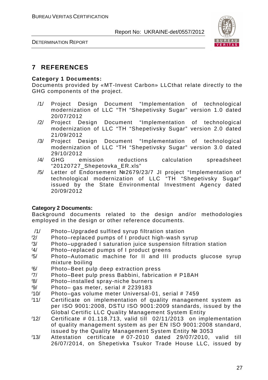DETERMINATION REPORT



## **7 REFERENCES**

#### **Category 1 Documents:**

Documents provided by «MT-Invest Carbon» LLCthat relate directly to the GHG components of the project.

- /1/ Project Design Document "Implementation of technological modernization of LLC "TH "Shepetivsky Sugar" version 1.0 dated 20/07/2012
- /2/ Project Design Document "Implementation of technological modernization of LLC "TH "Shepetivsky Sugar" version 2.0 dated 21/09/2012
- /3/ Project Design Document "Implementation of technological modernization of LLC "TH "Shepetivsky Sugar" version 3.0 dated 29/10/2012
- /4/ GHG emission reductions calculation spreadsheet "20120727\_Shepetovka\_ER.xls"
- /5/ Letter of Endorsement №2679/23/7 JI project "Implementation of technological modernization of LLC "TH "Shepetivsky Sugar" issued by the State Environmental Investment Agency dated 20/09/2012

#### **Category 2 Documents:**

Background documents related to the design and/or methodologies employed in the design or other reference documents.

- /1/ Photo–Upgraded sulfited syrup filtration station
- /2/ Photo–replaced pumps of I product high-wash syrup
- /3/ Photo–upgraded I saturation juice suspension filtration station
- /4/ Photo–replaced pumps of I product greens
- /5/ Photo–Automatic machine for II and III products glucose syrup mixture boiling
- /6/ Photo–Beet pulp deep extraction press
- /7/ Photo–Beet pulp press Babbini, fabrication # P18AH
- /8/ Photo–installed spray-niche burners
- $\frac{1}{9}$  Photo-gas meter, serial # 2239183
- /10/ Photo–gas volume meter Universal-01, serial # 7459
- /11/ Certificate on implementation of quality management system as per ISO 9001:2008, DSTU ISO 9001:2009 standards, issued by the Global Certific LLC Quality Management System Entity
- $/12/$  Certificate # 01.118.713, valid till 02/11/2013 on implementation of quality management system as per EN ISO 9001:2008 standard, issued by the Quality Management System Entity № 3053
- /13/ Attestation certificate # 07-2010 dated 29/07/2010, valid till 26/07/2014, on Shepetivka Tsukor Trade House LLC, issued by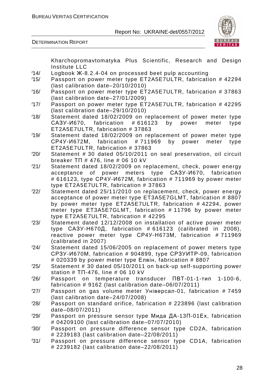

DETERMINATION REPORT

Kharchopromavtomatyka Plus Scientific, Research and Design Institute LLC

- /14/ Logbook Ж-8.2.4-04 on processed beet pulp accounting
- /15/ Passport on power meter type ET2A5E7ULTR, fabrication # 42294 (last calibration date–20/10/2010)
- /16/ Passport on power meter type ET2A5E7ULTR, fabrication # 37863 (last calibration date–27/01/2009)
- /17/ Passport on power meter type ET2A5E7ULTR, fabrication # 42295 (last calibration date–29/10/2010)
- /18/ Statement dated 18/02/2009 on replacement of power meter type САЗУ-И670, fabrication # 616123 by power meter type ET2A5E7ULTR, fabrication # 37863
- /19/ Statement dated 18/02/2009 on replacement of power meter type СР4У-И672М, fabrication # 711969 by power meter type ET2A5E7ULTR, fabrication # 37863
- /20/ Statement # 30 dated 05/10/2011 on seal preservation, oil circuit breaker ТП # 476, line # 06 10 kV
- /21/ Statement dated 18/02/2009 on replacement, check, power energy acceptance of power meters type САЗУ-И670, fabrication # 616123, type СР4У-И672М, fabrication # 711969 by power meter type ET2A5E7ULTR, fabrication # 37863
- /22/ Statement dated 25/11/2010 on replacement, check, power energy acceptance of power meter type ET3A5E7GLMT, fabrication # 8807 by power meter type ET2A5E7ULTR, fabrication # 42294, power meter type ET3A5E7GLMT, fabrication # 11796 by power meter type ET2A5E7ULTR, fabrication # 42295
- /23/ Statement dated 12/12/2008 on installation of active power meter type САЗУ-Н670Д, fabrication # 616123 (calibrated in 2008), reactive power meter type СР4У-Н673М, fabrication # 711969 (calibrated in 2007)
- /24/ Statement dated 15/06/2005 on replacement of power meters type СРЗУ-И670М, fabrication # 904899, type СРЗУИТР-09, fabrication # 020339 by power meter type Елвін, fabrication # 8807
- /25/ Statement # 30 dated 05/10/2011 on back-up self-supporting power station # TΠ-476, line # 06 10 kV
- /26/ Passport on temperature transducer ПВТ-01-1-тип 1-100-6, fabrication # 9162 (last calibration date–06/07/2011)
- /27/ Passport on gas volume meter Універсал-01, fabrication # 7459 (last calibration date–24/07/2008)
- /28/ Passport on standard orifice, fabrication # 223896 (last calibration date–08/07/2011)
- /29/ Passport on pressure sensor type Мида ДА-13П-01Ех, fabrication # 04209100 (last calibration date–07/07/2010)
- /30/ Passport on pressure difference sensor type CD2A, fabrication # 2239183 (last calibration date–22/08/2011)
- /31/ Passport on pressure difference sensor type CD1A, fabrication # 2239182 (last calibration date–22/08/2011)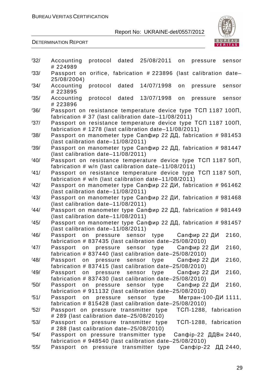

| 32/  | Accounting<br>protocol dated 25/08/2011<br>on<br>pressure<br>sensor<br># 224989                                             |
|------|-----------------------------------------------------------------------------------------------------------------------------|
| 33/  | Passport on orifice, fabrication # 223896 (last calibration date-<br>25/08/2004)                                            |
| '34/ | Accounting<br>protocol<br>dated<br>14/07/1998<br>on<br>pressure<br>sensor<br># 223895                                       |
| 35/  | Accounting<br>protocol<br>dated<br>13/07/1998<br>pressure<br>sensor<br>on<br># 223896                                       |
| '36' | Passport on resistance temperature device type TCN 1187 100N,<br>fabrication # 37 (last calibration date-11/08/2011)        |
| '37/ | Passport on resistance temperature device type TCN 1187 100N,<br>fabrication # 1278 (last calibration date-11/08/2011)      |
| 38/  | Passport on manometer type Сапфир 22 ДД, fabrication # 981453<br>(last calibration date-11/08/2011)                         |
| '39' | Passport on manometer type Сапфир 22 ДД, fabrication # 981447<br>(last calibration date-11/08/2011)                         |
| 40/  | Passport on resistance temperature device type TCN 1187 50N,<br>fabrication $# w/n$ (last calibration date-11/08/2011)      |
| 41/  | Passport on resistance temperature device type TCN 1187 50N,<br>fabrication $\# w/n$ (last calibration date-11/08/2011)     |
| 42/  | Passport on manometer type Сапфир 22 ДИ, fabrication # 961462<br>(last calibration date-11/08/2011)                         |
| 43/  | Passport on manometer type Сапфир 22 ДИ, fabrication # 981468<br>(last calibration date-11/08/2011)                         |
| 44/  | Passport on manometer type Сапфир 22 ДД, fabrication # 981449<br>(last calibration date-11/08/2011)                         |
| 45/  | Passport on manometer type Сапфир 22 ДД, fabrication # 981457<br>(last calibration date-11/08/2011)                         |
| 46/  | 2160,<br>Сапфир 22 ДИ<br>Passport on pressure<br>sensor<br>type<br>fabrication # 837435 (last calibration date-25/08/2010)  |
| 47/  | 2160,<br>Passport<br>on<br>pressure sensor<br>type<br>Сапфир 22 ДИ                                                          |
| 48/  | fabrication # 837440 (last calibration date-25/08/2010)<br>Passport on pressure sensor type Сапфир 22 ДИ<br>2160,           |
| 49/  | fabrication # 837415 (last calibration date $-25/08/2010$ )<br>2160,<br>Passport on pressure sensor<br>type<br>Сапфир 22 ДИ |
| 50/  | fabrication # 837430 (last calibration date-25/08/2010)<br>Сапфир 22 ДИ<br>Passport on pressure sensor type<br>2160,        |
| 51/  | fabrication # 911132 (last calibration date-25/08/2010)<br>Метран-100-ДИ 1111,<br>Passport on pressure sensor type          |
| 52/  | fabrication # 815428 (last calibration date-25/08/2010)<br>TCN-1288, fabrication<br>Passport on pressure transmitter type   |
| 53/  | # 289 (last calibration date-25/08/2010)<br>Passport on pressure transmitter type<br>TCN-1288, fabrication                  |
| 54/  | # 288 (last calibration date-25/08/2010)<br>Passport on pressure transmitter type<br>Сапфір-22 ДДВн 2440,                   |
| 55/  | fabrication # 948540 (last calibration date-25/08/2010)<br>Сапфір-22 ДД 2440,<br>Passport on pressure transmitter type      |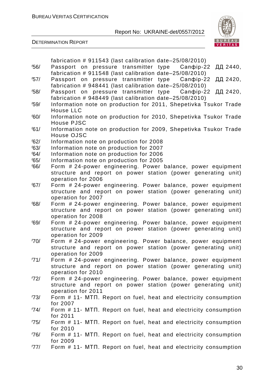

|      | fabrication # 911543 (last calibration date-25/08/2010)                                                                     |
|------|-----------------------------------------------------------------------------------------------------------------------------|
| 56/  | Passport on pressure transmitter type Canobip-22<br>ДД 2440,                                                                |
|      | fabrication # 911548 (last calibration date-25/08/2010)                                                                     |
| 57/  | Passport on pressure transmitter type Canopip-22<br>ДД 2420,                                                                |
|      | fabrication # 948441 (last calibration date-25/08/2010)                                                                     |
| 58/  | Passport on pressure transmitter type Canopip-22<br>ДД 2420,                                                                |
|      | fabrication # 948449 (last calibration date-25/08/2010)                                                                     |
| 59/  | Information note on production for 2011, Shepetivka Tsukor Trade                                                            |
|      | <b>House LLC</b>                                                                                                            |
| '60/ | Information note on production for 2010, Shepetivka Tsukor Trade<br>House PJSC                                              |
| /61/ | Information note on production for 2009, Shepetivka Tsukor Trade                                                            |
|      | House OJSC                                                                                                                  |
| 62/  | Information note on production for 2008                                                                                     |
| /63/ | Information note on production for 2007                                                                                     |
| /64/ | Information note on production for 2006                                                                                     |
| /65/ | Information note on production for 2005                                                                                     |
| /66/ | Form # 24-power engineering. Power balance, power equipment                                                                 |
|      | structure and report on power station (power generating unit)                                                               |
|      | operation for 2006                                                                                                          |
| '67/ | Form # 24-power engineering. Power balance, power equipment                                                                 |
|      | structure and report on power station (power generating unit)<br>operation for 2007                                         |
| /68/ | Form # 24-power engineering. Power balance, power equipment                                                                 |
|      | structure and report on power station (power generating unit)                                                               |
|      | operation for 2008                                                                                                          |
| '69' | Form # 24-power engineering. Power balance, power equipment                                                                 |
|      | structure and report on power station (power generating unit)                                                               |
|      | operation for 2009                                                                                                          |
| 70/  | Form # 24-power engineering. Power balance, power equipment                                                                 |
|      | structure and report on power station (power generating unit)                                                               |
| 71/  | operation for 2009                                                                                                          |
|      | Form #24-power engineering. Power balance, power equipment<br>structure and report on power station (power generating unit) |
|      | operation for 2010                                                                                                          |
| 72/  | Form #24-power engineering. Power balance, power equipment                                                                  |
|      | structure and report on power station (power generating unit)                                                               |
|      | operation for 2011                                                                                                          |
| 73/  | Form #11- MTN. Report on fuel, heat and electricity consumption                                                             |
|      | for 2007                                                                                                                    |
| 74/  | Form # 11- MTN. Report on fuel, heat and electricity consumption                                                            |
|      | for 2011                                                                                                                    |
| 75/  | Form #11- MTN. Report on fuel, heat and electricity consumption<br>for 2010                                                 |
| 76/  | Form #11- MTN. Report on fuel, heat and electricity consumption                                                             |
|      | for 2009                                                                                                                    |
| '77/ | Form #11- MTN. Report on fuel, heat and electricity consumption                                                             |
|      |                                                                                                                             |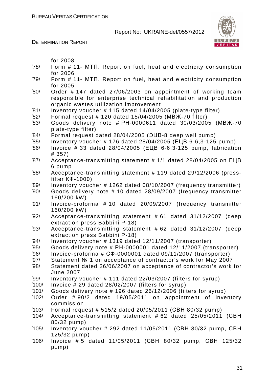

|              | for 2008                                                                                                                                                                   |
|--------------|----------------------------------------------------------------------------------------------------------------------------------------------------------------------------|
| 78/          | Form # 11- MTN. Report on fuel, heat and electricity consumption                                                                                                           |
|              | for 2006                                                                                                                                                                   |
| 79/          | Form # 11- MTN. Report on fuel, heat and electricity consumption<br>for 2005                                                                                               |
| '80'         | Order #147 dated 27/06/2003 on appointment of working team<br>responsible for enterprise technical rehabilitation and production<br>organic wastes utilization improvement |
| /81/         | Inventory voucher # 115 dated 14/04/2005 (plate-type filter)                                                                                                               |
| 182/         | Formal request # 120 dated 15/04/2005 (MBX-70 filter)                                                                                                                      |
| /83/         | Goods delivery note # PH-0000611 dated 30/03/2005 (MBX-70<br>plate-type filter)                                                                                            |
| /84/         | Formal request dated 28/04/2005 (ЭЦВ-8 deep well pump)                                                                                                                     |
| 85/          | Inventory voucher # 176 dated 28/04/2005 (ELB 6-6,3-125 pump)                                                                                                              |
| /86/         | Invoice $# 33$ dated $28/04/2005$ (ELB 6-6,3-125 pump, fabrication<br># 357)                                                                                               |
| '87/         | Acceptance-transmitting statement # 1/1 dated 28/04/2005 on ELIB<br>6 pump                                                                                                 |
| 88/          | Acceptance-transmitting statement # 119 dated 29/12/2006 (press-<br>filter $K\Phi - 1000$ )                                                                                |
| /89/         | Inventory voucher # 1262 dated 08/10/2007 (frequency transmitter)                                                                                                          |
| 90/          | Goods delivery note # 10 dated 28/09/2007 (frequency transmitter<br>160/200 kW)                                                                                            |
| 91/          | Invoice-proforma #10 dated 20/09/2007 (frequency transmitter<br>160/200 kW)                                                                                                |
| 92/          | Acceptance-transmitting statement #61 dated 31/12/2007 (deep                                                                                                               |
|              | extraction press Babbini P-18)                                                                                                                                             |
| 93/          | Acceptance-transmitting statement # 62 dated 31/12/2007 (deep<br>extraction press Babbini P-18)                                                                            |
| 94/          | Inventory voucher # 1319 dated 12/11/2007 (transporter)                                                                                                                    |
| 95/          | Goods delivery note # PH-0000001 dated 12/11/2007 (transporter)                                                                                                            |
| 96/          | Invoice-proforma # CФ-0000001 dated 09/11/2007 (transporter)                                                                                                               |
| 97/<br>/98   | Statement № 1 on acceptance of contractor's work for May 2007<br>Statement dated 26/06/2007 on acceptance of contractor's work for                                         |
|              | <b>June 2007</b>                                                                                                                                                           |
| /99/         | Inventory voucher # 111 dated 22/03/2007 (filters for syrup)                                                                                                               |
| 100/         | Invoice # 29 dated 28/02/2007 (filters for syrup)                                                                                                                          |
| 101/<br>102/ | Goods delivery note #196 dated 26/12/2006 (filters for syrup)<br>Order #90/2 dated 19/05/2011 on appointment of inventory                                                  |
|              | commission                                                                                                                                                                 |
| 103/         | Formal request # 515/2 dated 20/05/2011 (CBH 80/32 pump)                                                                                                                   |
| 104/         | Acceptance-transmitting statement # 62 dated 25/05/2011 (CBH<br>80/32 pump)                                                                                                |
| 105/         | Inventory voucher # 292 dated 11/05/2011 (CBH 80/32 pump, CBH<br>125/32 pump)                                                                                              |
| 106/         | Invoice #5 dated 11/05/2011 (CBH 80/32 pump, CBH 125/32<br>pump)                                                                                                           |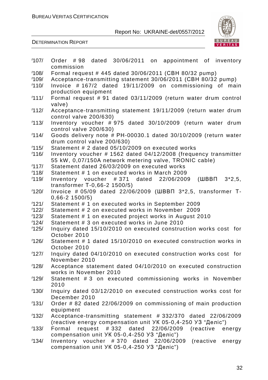

| 107/ | Order #98 dated 30/06/2011 on appointment of inventory                |
|------|-----------------------------------------------------------------------|
|      | commission                                                            |
| 108/ | Formal request # 445 dated 30/06/2011 (CBH 80/32 pump)                |
| 109/ | Acceptance-transmitting statement 30/06/2011 (CBH 80/32 pump)         |
| 110/ | Invoice $\#$ 167/2 dated 19/11/2009 on commissioning of<br>main       |
|      | production equipment                                                  |
| 111/ | Formal request # 91 dated 03/11/2009 (return water drum control       |
|      | valve)                                                                |
| 112/ | Acceptance-transmitting statement 19/11/2009 (return water drum       |
|      | control valve 200/630)                                                |
| 113/ | Inventory voucher #975 dated 30/10/2009 (return water drum            |
|      | control valve 200/630)                                                |
| 114/ | Goods delivery note # PH-00030.1 dated 30/10/2009 (return water       |
|      | drum control valve 200/630)                                           |
| 115/ | Statement # 2 dated 05/10/2009 on executed works                      |
| 116/ | Inventory voucher # 1562 dated 04/12/2008 (frequency transmitter      |
|      | 55 kW, 0,07/150A network metering valve, TRONIC cable)                |
| 117/ | Statement dated 26/03/2009 on executed works                          |
| 118/ | Statement # 1 on executed works in March 2009                         |
| 119/ | $(WBB\Pi \quad 3*2,5,$<br>Inventory voucher $#371$ dated $22/06/2009$ |
|      | transformer T-0,66-2 1500/5)                                          |
| 120/ | Invoice # 05/09 dated 22/06/2009 (ШВВП 3*2,5, transformer T-          |
|      |                                                                       |
| 121/ | $0,66-2$ 1500/5)                                                      |
|      | Statement # 1 on executed works in September 2009                     |
| 122/ | Statement # 2 on executed works in November 2009                      |
| 123/ | Statement # 1 on executed project works in August 2010                |
| 124/ | Statement # 3 on executed works in June 2010                          |
| 125/ | Inquiry dated 15/10/2010 on executed construction works cost for      |
|      | October 2010                                                          |
| 126/ | Statement # 1 dated 15/10/2010 on executed construction works in      |
|      | October 2010                                                          |
| 127/ | Inquiry dated 04/10/2010 on executed construction works cost for      |
|      | November 2010                                                         |
| 128/ | Acceptance statement dated 04/10/2010 on executed construction        |
|      | works in November 2010                                                |
| 129/ | Statement #3 on executed commissioning works in November              |
|      | 2010                                                                  |
| 130/ | Inquiry dated 03/12/2010 on executed construction works cost for      |
|      | December 2010                                                         |
| 131/ | Order #82 dated 22/06/2009 on commissioning of main production        |
|      | equipment                                                             |
| 132/ | Acceptance-transmitting statement #332/370<br>dated 22/06/2009        |
|      | (reactive energy compensation unit УК 05-0,4-250 УЗ "Деліс")          |
| 133/ | Formal request #332 dated 22/06/2009<br>(reactive energy              |
|      | compensation unit УК 05-0,4-250 УЗ "Деліс")                           |
| 134/ | Inventory voucher $#370$ dated $22/06/2009$<br>(reactive<br>energy    |
|      | compensation unit УК 05-0,4-250 УЗ "Деліс")                           |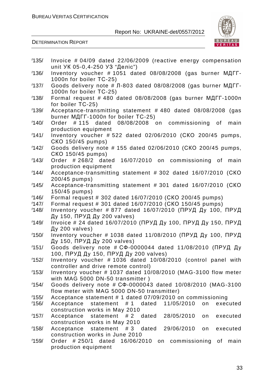

| 135/ | Invoice # 04/09 dated 22/06/2009 (reactive energy compensation                              |
|------|---------------------------------------------------------------------------------------------|
|      | unit УК 05-0,4-250 УЗ "Деліс")                                                              |
| 136/ | Inventory voucher # 1051 dated 08/08/2008 (gas burner MAFF-<br>1000n for boiler TC-25)      |
| 137/ | Goods delivery note # Л-803 dated 08/08/2008 (gas burner МДГГ-                              |
|      | 1000n for boiler TC-25)                                                                     |
| 138/ | Formal request # 480 dated 08/08/2008 (gas burner МДГГ-1000п                                |
|      | for boiler TC-25)                                                                           |
| 139/ | Acceptance-transmitting statement #480 dated 08/08/2008 (gas                                |
| 140/ | burner MAFF-1000n for boiler TC-25)                                                         |
|      | Order #115 dated 08/08/2008 on commissioning of<br>main<br>production equipment             |
| 141/ | Inventory voucher # 522 dated 02/06/2010 (CKO 200/45 pumps,                                 |
|      | CKO 150/45 pumps)                                                                           |
| 142/ | Goods delivery note # 155 dated 02/06/2010 (CKO 200/45 pumps,                               |
|      | CKO 150/45 pumps)                                                                           |
| 143/ | Order $#268/2$ dated<br>16/07/2010 on commissioning of<br>main<br>production equipment      |
| 144/ | Acceptance-transmitting statement #302 dated 16/07/2010 (CKO                                |
|      | 200/45 pumps)                                                                               |
| 145/ | Acceptance-transmitting statement #301 dated 16/07/2010 (CKO                                |
|      | 150/45 pumps)                                                                               |
| 146/ | Formal request # 302 dated 16/07/2010 (CKO 200/45 pumps)                                    |
| 147/ | Formal request # 301 dated 16/07/2010 (CKO 150/45 pumps)                                    |
| 148/ | Inventory voucher # 877 dated 16/07/2010 (ПРУД Ду 100, ПРУД                                 |
|      | Ду 150, ПРУД Ду 200 valves)                                                                 |
| 149/ | Invoice # 24 dated 16/07/2010 (ПРУД Ду 100, ПРУД Ду 150, ПРУД                               |
|      | Ду 200 valves)                                                                              |
| 150/ | Inventory voucher # 1038 dated 11/08/2010 (ПРУД Ду 100, ПРУД<br>Ду 150, ПРУД Ду 200 valves) |
| 151/ | Goods delivery note # СФ-0000044 dated 11/08/2010 (ПРУД Ду                                  |
|      | 100, ПРУД Ду 150, ПРУД Ду 200 valves)                                                       |
| 152/ | Inventory voucher # 1036 dated 10/08/2010 (control panel with                               |
|      | controller and drive remote control)                                                        |
| 153/ | Inventory voucher # 1037 dated 10/08/2010 (MAG-3100 flow meter                              |
|      | with MAG 5000 DN-50 transmitter)                                                            |
| 154/ | Goods delivery note # C $\Phi$ -0000043 dated 10/08/2010 (MAG-3100                          |
|      | flow meter with MAG 5000 DN-50 transmitter)                                                 |
| 155/ | Acceptance statement # 1 dated 07/09/2010 on commissioning                                  |
| 156/ | statement #1 dated 11/05/2010<br>on<br>Acceptance<br>executed                               |
| 157/ | construction works in May 2010<br>28/05/2010<br>executed                                    |
|      | Acceptance statement #2 dated<br>on<br>construction works in May 2010                       |
| 158/ | Acceptance statement #3 dated 29/06/2010<br>executed<br>on                                  |
|      | construction works in June 2010                                                             |
| 159/ | Order $#250/1$ dated<br>16/06/2010 on commissioning<br>of<br>main                           |
|      | production equipment                                                                        |
|      |                                                                                             |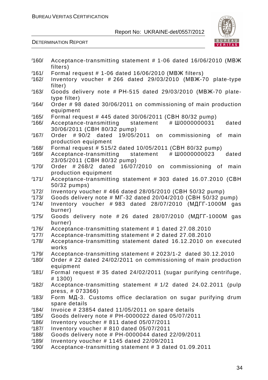

| 160/ | Acceptance-transmitting statement # 1-06 dated 16/06/2010 (MBX    |
|------|-------------------------------------------------------------------|
| 161/ | filters)<br>Formal request # 1-06 dated 16/06/2010 (MBX filters)  |
|      |                                                                   |
| 162/ | Inventory voucher $\# 266$ dated $29/03/2010$ (MBX-70 plate-type  |
|      | filter)                                                           |
| 163/ | Goods delivery note # PH-515 dated 29/03/2010 (MBX-70 plate-      |
|      | type filter)                                                      |
| 164/ | Order #98 dated 30/06/2011 on commissioning of main production    |
|      | equipment                                                         |
| 165/ | Formal request # 445 dated 30/06/2011 (CBH 80/32 pump)            |
| 166/ | Acceptance-transmitting<br># Ш0000000031<br>dated<br>statement    |
|      | 30/06/2011 (CBH 80/32 pump)                                       |
| 167/ | Order #90/2 dated 19/05/2011 on commissioning of<br>main          |
|      | production equipment                                              |
| 168/ | Formal request # 515/2 dated 10/05/2011 (CBH 80/32 pump)          |
| 169/ | # Ш0000000023<br>Acceptance-transmitting statement<br>dated       |
|      | 23/05/2011 (CBH 80/32 pump)                                       |
| 170/ | 16/07/2010 on commissioning of<br>Order $#268/2$ dated<br>main    |
|      | production equipment                                              |
| 171/ | Acceptance-transmitting statement # 303 dated 16.07.2010 (CBH     |
|      | 50/32 pumps)                                                      |
| 172/ | Inventory voucher #466 dated 28/05/2010 (CBH 50/32 pump)          |
| 173/ | Goods delivery note # MF-32 dated 20/04/2010 (CBH 50/32 pump)     |
| 174/ | Inventory voucher #983 dated 28/07/2010 (MATT-1000M<br>gas        |
|      | burner)                                                           |
| 175/ | Goods delivery note #26 dated 28/07/2010 (MATT-1000M gas          |
|      | burner)                                                           |
| 176/ | Acceptance-transmitting statement # 1 dated 27.08.2010            |
| 177/ | Acceptance-transmitting statement # 2 dated 27.08.2010            |
| 178/ | Acceptance-transmitting statement dated 16.12.2010 on executed    |
|      | works                                                             |
| 179/ | Acceptance-transmitting statement # 2023/1-2 dated 30.12.2010     |
| 180/ | Order # 22 dated 24/02/2011 on commissioning of main production   |
|      | equipment                                                         |
| 181/ | Formal request # 35 dated 24/02/2011 (sugar purifying centrifuge, |
|      | # 1300)                                                           |
| 182/ | Acceptance-transmitting statement #1/2 dated 24.02.2011 (pulp     |
|      | press, # 073366)                                                  |
| 183/ | Form MD-3. Customs office declaration on sugar purifying drum     |
|      | spare details                                                     |
| 184/ | Invoice $\#$ 23854 dated 11/05/2011 on spare details              |
| 185/ | Goods delivery note # PH-0000022 dated 05/07/2011                 |
| 186/ | Inventory voucher # 811 dated 05/07/2011                          |
| 187/ | Inventory voucher # 810 dated 05/07/2011                          |
| 188/ | Goods delivery note # PH-0000044 dated 22/09/2011                 |
| 189/ | Inventory voucher # 1145 dated 22/09/2011                         |
| 190/ | Acceptance-transmitting statement # 3 dated 01.09.2011            |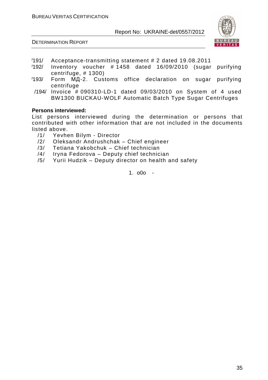



- /191/ Acceptance-transmitting statement # 2 dated 19.08.2011
- /192/ Inventory voucher # 1458 dated 16/09/2010 (sugar purifying centrifuge, # 1300)
- /193/ Form МД-2. Customs office declaration on sugar purifying centrifuge
- /194/ Invoice # 090310-LD-1 dated 09/03/2010 on System of 4 used BW1300 BUCKAU-WOLF Automatic Batch Type Sugar Centrifuges

#### **Persons interviewed:**

List persons interviewed during the determination or persons that contributed with other information that are not included in the documents listed above.

- /1/ Yevhen Bilym Director
- /2/ Oleksandr Andrushchak Chief engineer
- /3/ Tetiana Yakobchuk Chief technician
- /4/ Iryna Fedorova Deputy chief technician
- /5/ Yurii Hudzik Deputy director on health and safety

1. o0o -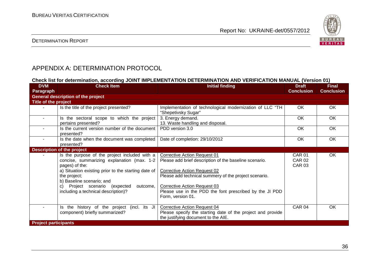

#### DETERMINATION REPORT

# APPENDIX A: DETERMINATION PROTOCOL

#### **Check list for determination, according JOINT IMPLEMENTATION DETERMINATION AND VERIFICATION MANUAL (Version 01)**

| <b>DVM</b><br>Paragraph     | <b>Check Item</b>                                                                                                                                                                                                                                                                                        | <b>Initial finding</b>                                                                                                                                                                                                                                                                                               | <b>Draft</b><br><b>Conclusion</b>               | <b>Final</b><br><b>Conclusion</b> |
|-----------------------------|----------------------------------------------------------------------------------------------------------------------------------------------------------------------------------------------------------------------------------------------------------------------------------------------------------|----------------------------------------------------------------------------------------------------------------------------------------------------------------------------------------------------------------------------------------------------------------------------------------------------------------------|-------------------------------------------------|-----------------------------------|
|                             | <b>General description of the project</b>                                                                                                                                                                                                                                                                |                                                                                                                                                                                                                                                                                                                      |                                                 |                                   |
| Title of the project        |                                                                                                                                                                                                                                                                                                          |                                                                                                                                                                                                                                                                                                                      |                                                 |                                   |
|                             | Is the title of the project presented?                                                                                                                                                                                                                                                                   | Implementation of technological modernization of LLC "TH<br>"Shepetivsky Sugar"                                                                                                                                                                                                                                      | OK.                                             | OK                                |
| $\blacksquare$              | Is the sectoral scope to which the project<br>pertains presented?                                                                                                                                                                                                                                        | 3. Energy demand.<br>13. Waste handling and disposal.                                                                                                                                                                                                                                                                | <b>OK</b>                                       | OK                                |
|                             | Is the current version number of the document<br>presented?                                                                                                                                                                                                                                              | PDD version 3.0                                                                                                                                                                                                                                                                                                      | OK                                              | OK                                |
| $\blacksquare$              | Is the date when the document was completed<br>presented?                                                                                                                                                                                                                                                | Date of completion: 29/10/2012                                                                                                                                                                                                                                                                                       | OK                                              | OK                                |
|                             | <b>Description of the project</b>                                                                                                                                                                                                                                                                        |                                                                                                                                                                                                                                                                                                                      |                                                 |                                   |
|                             | Is the purpose of the project included with a<br>concise, summarizing explanation (max. 1-2<br>pages) of the:<br>a) Situation existing prior to the starting date of<br>the project;<br>b) Baseline scenario; and<br>Project scenario (expected<br>outcome,<br>C)<br>including a technical description)? | <b>Corrective Action Request 01</b><br>Please add brief description of the baseline scenario.<br><b>Corrective Action Request 02</b><br>Please add technical summery of the project scenario.<br><b>Corrective Action Request 03</b><br>Please use in the PDD the font prescribed by the JI PDD<br>Form, version 01. | <b>CAR 01</b><br><b>CAR 02</b><br><b>CAR 03</b> | OK                                |
|                             | Is the history of the project (incl. its JI<br>component) briefly summarized?                                                                                                                                                                                                                            | <b>Corrective Action Request 04</b><br>Please specify the starting date of the project and provide<br>the justifying document to the AIE.                                                                                                                                                                            | <b>CAR 04</b>                                   | OK                                |
| <b>Project participants</b> |                                                                                                                                                                                                                                                                                                          |                                                                                                                                                                                                                                                                                                                      |                                                 |                                   |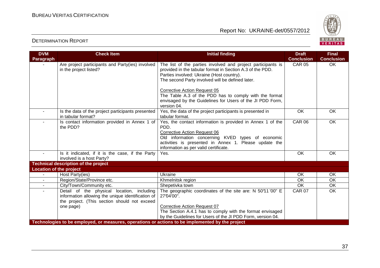

| <b>DVM</b>                     | <b>Check Item</b>                                                                                | <b>Initial finding</b>                                       | <b>Draft</b>      | <b>Final</b>      |
|--------------------------------|--------------------------------------------------------------------------------------------------|--------------------------------------------------------------|-------------------|-------------------|
| Paragraph                      |                                                                                                  |                                                              | <b>Conclusion</b> | <b>Conclusion</b> |
|                                | Are project participants and Party(ies) involved                                                 | The list of the parties involved and project participants is | <b>CAR 05</b>     | OK                |
|                                | in the project listed?                                                                           | provided in the tabular format in Section A.3 of the PDD.    |                   |                   |
|                                |                                                                                                  | Parties involved: Ukraine (Host country).                    |                   |                   |
|                                |                                                                                                  | The second Party involved will be defined later.             |                   |                   |
|                                |                                                                                                  | Corrective Action Request 05                                 |                   |                   |
|                                |                                                                                                  | The Table A.3 of the PDD has to comply with the format       |                   |                   |
|                                |                                                                                                  | envisaged by the Guidelines for Users of the JI PDD Form,    |                   |                   |
|                                |                                                                                                  | version 04.                                                  |                   |                   |
| $\blacksquare$                 | Is the data of the project participants presented                                                | Yes, the data of the project participants is presented in    | <b>OK</b>         | <b>OK</b>         |
|                                | in tabular format?                                                                               | tabular format.                                              |                   |                   |
| ٠                              | Is contact information provided in Annex 1 of                                                    | Yes, the contact information is provided in Annex 1 of the   | <b>CAR 06</b>     | OK                |
|                                | the PDD?                                                                                         | PDD.                                                         |                   |                   |
|                                |                                                                                                  | <b>Corrective Action Request 06</b>                          |                   |                   |
|                                |                                                                                                  | Old information concerning KVED types of economic            |                   |                   |
|                                |                                                                                                  | activities is presented in Annex 1. Please update the        |                   |                   |
|                                |                                                                                                  | information as per valid certificate.                        |                   |                   |
|                                | Is it indicated, if it is the case, if the Party                                                 | Yes.                                                         | OK                | OK                |
|                                | involved is a host Party?                                                                        |                                                              |                   |                   |
|                                | <b>Technical description of the project</b>                                                      |                                                              |                   |                   |
| <b>Location of the project</b> |                                                                                                  |                                                              |                   |                   |
| $\blacksquare$                 | Host Party(ies)                                                                                  | Ukraine                                                      | <b>OK</b>         | <b>OK</b>         |
| $\blacksquare$                 | Region/State/Province etc.                                                                       | Khmelnitsk region                                            | OK                | <b>OK</b>         |
| $\blacksquare$                 | City/Town/Community etc.                                                                         | Shepetivka town                                              | OK                | <b>OK</b>         |
|                                | Detail of the physical location, including                                                       | The geographic coordinates of the site are: N 50°11'00" E    | <b>CAR 07</b>     | $\overline{OK}$   |
|                                | information allowing the unique identification of                                                | 27'04'00".                                                   |                   |                   |
|                                | the project. (This section should not exceed                                                     |                                                              |                   |                   |
|                                | one page)                                                                                        | <b>Corrective Action Request 07</b>                          |                   |                   |
|                                |                                                                                                  | The Section A.4.1 has to comply with the format envisaged    |                   |                   |
|                                |                                                                                                  | by the Guidelines for Users of the JI PDD Form, version 04.  |                   |                   |
|                                | Technologies to be employed, or measures, operations or actions to be implemented by the project |                                                              |                   |                   |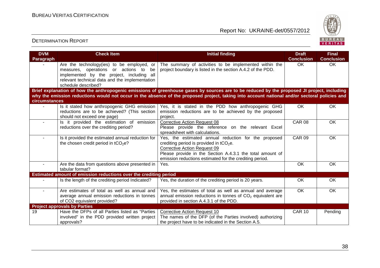

| <b>DVM</b>       | <b>Check Item</b>                                                                                                                                                                                          | <b>Initial finding</b>                                                                                                                                                                                                                                                                       | <b>Draft</b><br><b>Conclusion</b> | <b>Final</b><br><b>Conclusion</b> |
|------------------|------------------------------------------------------------------------------------------------------------------------------------------------------------------------------------------------------------|----------------------------------------------------------------------------------------------------------------------------------------------------------------------------------------------------------------------------------------------------------------------------------------------|-----------------------------------|-----------------------------------|
| <b>Paragraph</b> | Are the technology (ies) to be employed, or<br>measures, operations or actions to be<br>implemented by the project, including all<br>relevant technical data and the implementation<br>schedule described? | The summary of activities to be implemented within the<br>project boundary is listed in the section A.4.2 of the PDD.                                                                                                                                                                        | <b>OK</b>                         | OK                                |
| circumstances    |                                                                                                                                                                                                            | Brief explanation of how the anthropogenic emissions of greenhouse gases by sources are to be reduced by the proposed JI project, including<br>why the emission reductions would not occur in the absence of the proposed project, taking into account national and/or sectoral policies and |                                   |                                   |
|                  | Is it stated how anthropogenic GHG emission<br>reductions are to be achieved? (This section<br>should not exceed one page)                                                                                 | Yes, it is stated in the PDD how anthropogenic GHG<br>emission reductions are to be achieved by the proposed<br>project.                                                                                                                                                                     | OK                                | OK                                |
|                  | Is it provided the estimation of emission<br>reductions over the crediting period?                                                                                                                         | <b>Corrective Action Request 08</b><br>Please provide the reference on the relevant Excel<br>spreadsheet with calculations.                                                                                                                                                                  | <b>CAR 08</b>                     | OK                                |
| $\sim$           | Is it provided the estimated annual reduction for<br>the chosen credit period in tCO <sub>2</sub> e?                                                                                                       | Yes, the estimated annual reduction for the proposed<br>crediting period is provided in $tCO2e$ .<br>Corrective Action Request 09<br>Please provide in the Section A.4.3.1 the total amount of<br>emission reductions estimated for the crediting period.                                    | <b>CAR 09</b>                     | OK                                |
|                  | Are the data from questions above presented in<br>tabular format?                                                                                                                                          | Yes.                                                                                                                                                                                                                                                                                         | <b>OK</b>                         | OK                                |
|                  | Estimated amount of emission reductions over the crediting period                                                                                                                                          |                                                                                                                                                                                                                                                                                              |                                   |                                   |
|                  | Is the length of the crediting period Indicated?                                                                                                                                                           | Yes, the duration of the crediting period is 20 years.                                                                                                                                                                                                                                       | OK                                | OK                                |
|                  | Are estimates of total as well as annual and<br>average annual emission reductions in tonnes<br>of CO2 equivalent provided?                                                                                | Yes, the estimates of total as well as annual and average<br>annual emission reductions in tonnes of $CO2$ equivalent are<br>provided in section A.4.3.1 of the PDD.                                                                                                                         | $\overline{OK}$                   | OK                                |
|                  | <b>Project approvals by Parties</b>                                                                                                                                                                        |                                                                                                                                                                                                                                                                                              |                                   |                                   |
| 19               | Have the DFPs of all Parties listed as "Parties"<br>involved" in the PDD provided written project<br>approvals?                                                                                            | <b>Corrective Action Request 10</b><br>The names of the DFP (of the Parties involved) authorizing<br>the project have to be indicated in the Section A.5.                                                                                                                                    | <b>CAR 10</b>                     | Pending                           |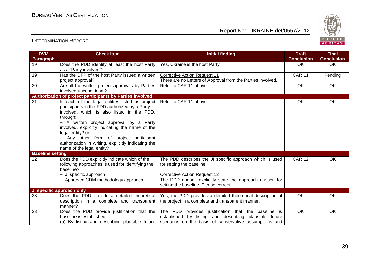

| <b>DVM</b><br>Paragraph | <b>Check Item</b>                                                                                                                                                                                                                                                                                                                                                                                           | <b>Initial finding</b>                                                                                                                                                  | <b>Draft</b><br><b>Conclusion</b> | <b>Final</b><br><b>Conclusion</b> |
|-------------------------|-------------------------------------------------------------------------------------------------------------------------------------------------------------------------------------------------------------------------------------------------------------------------------------------------------------------------------------------------------------------------------------------------------------|-------------------------------------------------------------------------------------------------------------------------------------------------------------------------|-----------------------------------|-----------------------------------|
| 19                      | Does the PDD identify at least the host Party<br>as a "Party involved"?                                                                                                                                                                                                                                                                                                                                     | Yes, Ukraine is the host Party.                                                                                                                                         | <b>OK</b>                         | OK                                |
| 19                      | Has the DFP of the host Party issued a written<br>project approval?                                                                                                                                                                                                                                                                                                                                         | <b>Corrective Action Request 11</b><br>There are no Letters of Approval from the Parties involved.                                                                      | <b>CAR 11</b>                     | Pending                           |
| 20                      | Are all the written project approvals by Parties<br>involved unconditional?                                                                                                                                                                                                                                                                                                                                 | Refer to CAR 11 above.                                                                                                                                                  | OK                                | OK                                |
|                         | Authorization of project participants by Parties involved                                                                                                                                                                                                                                                                                                                                                   |                                                                                                                                                                         |                                   |                                   |
| 21                      | Is each of the legal entities listed as project<br>participants in the PDD authorized by a Party<br>involved, which is also listed in the PDD,<br>through:<br>- A written project approval by a Party<br>involved, explicitly indicating the name of the<br>legal entity? or<br>- Any other form of project participant<br>authorization in writing, explicitly indicating the<br>name of the legal entity? | Refer to CAR 11 above.                                                                                                                                                  | OK                                | OK                                |
| <b>Baseline setting</b> |                                                                                                                                                                                                                                                                                                                                                                                                             |                                                                                                                                                                         |                                   |                                   |
| 22                      | Does the PDD explicitly indicate which of the<br>following approaches is used for identifying the<br>baseline?                                                                                                                                                                                                                                                                                              | The PDD describes the JI specific approach which is used<br>for setting the baseline.                                                                                   | <b>CAR 12</b>                     | OK                                |
|                         | - JI specific approach<br>- Approved CDM methodology approach                                                                                                                                                                                                                                                                                                                                               | <b>Corrective Action Request 12</b><br>The PDD doesn't explicitly state the approach chosen for<br>setting the baseline. Please correct.                                |                                   |                                   |
|                         | JI specific approach only                                                                                                                                                                                                                                                                                                                                                                                   |                                                                                                                                                                         |                                   |                                   |
| 23                      | Does the PDD provide a detailed theoretical<br>description in a complete and transparent<br>manner?                                                                                                                                                                                                                                                                                                         | Yes, the PDD provides a detailed theoretical description of<br>the project in a complete and transparent manner.                                                        | OK                                | OK                                |
| 23                      | Does the PDD provide justification that the<br>baseline is established:<br>(a) By listing and describing plausible future                                                                                                                                                                                                                                                                                   | The PDD provides justification that the baseline is<br>established by listing and describing plausible future<br>scenarios on the basis of conservative assumptions and | <b>OK</b>                         | OK                                |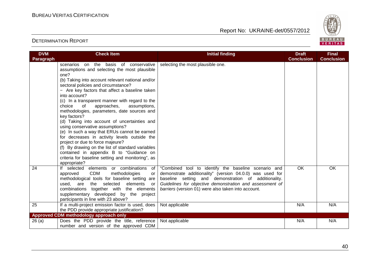

| <b>DVM</b><br>Paragraph | <b>Check Item</b>                                                                                                                                                                                                                                                                                                                                                                                                                                                                                                                                                                                                                                                                                                                                                                                                       | <b>Initial finding</b>                                                                                                                                                                                                                                                                      | <b>Draft</b><br><b>Conclusion</b> | <b>Final</b><br><b>Conclusion</b> |
|-------------------------|-------------------------------------------------------------------------------------------------------------------------------------------------------------------------------------------------------------------------------------------------------------------------------------------------------------------------------------------------------------------------------------------------------------------------------------------------------------------------------------------------------------------------------------------------------------------------------------------------------------------------------------------------------------------------------------------------------------------------------------------------------------------------------------------------------------------------|---------------------------------------------------------------------------------------------------------------------------------------------------------------------------------------------------------------------------------------------------------------------------------------------|-----------------------------------|-----------------------------------|
|                         | scenarios on the basis of conservative<br>assumptions and selecting the most plausible<br>one?<br>(b) Taking into account relevant national and/or<br>sectoral policies and circumstance?<br>- Are key factors that affect a baseline taken<br>into account?<br>(c) In a transparent manner with regard to the<br>of<br>approaches,<br>assumptions,<br>choice<br>methodologies, parameters, date sources and<br>key factors?<br>(d) Taking into account of uncertainties and<br>using conservative assumptions?<br>(e) In such a way that ERUs cannot be earned<br>for decreases in activity levels outside the<br>project or due to force majeure?<br>(f) By drawing on the list of standard variables<br>contained in appendix B to "Guidance on<br>criteria for baseline setting and monitoring", as<br>appropriate? | selecting the most plausible one.                                                                                                                                                                                                                                                           |                                   |                                   |
| 24                      | If selected elements or combinations of<br><b>CDM</b><br>methodologies<br>approved<br>or<br>methodological tools for baseline setting are<br>the selected<br>elements<br>used.<br>are<br>or<br>combinations together with the elements<br>supplementary developed by the project<br>participants in line with 23 above?                                                                                                                                                                                                                                                                                                                                                                                                                                                                                                 | "Combined tool to identify the baseline scenario and<br>demonstrate additionality" (version 04.0.0) was used for<br>baseline setting and demonstration of additionality.<br>Guidelines for objective demonstration and assessment of<br>barriers (version 01) were also taken into account. | <b>OK</b>                         | <b>OK</b>                         |
| 25                      | If a multi-project emission factor is used, does<br>the PDD provide appropriate justification?                                                                                                                                                                                                                                                                                                                                                                                                                                                                                                                                                                                                                                                                                                                          | Not applicable                                                                                                                                                                                                                                                                              | N/A                               | N/A                               |
|                         | Approved CDM methodology approach only                                                                                                                                                                                                                                                                                                                                                                                                                                                                                                                                                                                                                                                                                                                                                                                  |                                                                                                                                                                                                                                                                                             |                                   |                                   |
| 26(a)                   | Does the PDD provide the title, reference                                                                                                                                                                                                                                                                                                                                                                                                                                                                                                                                                                                                                                                                                                                                                                               | Not applicable                                                                                                                                                                                                                                                                              | N/A                               | N/A                               |
|                         | number and version of the approved CDM                                                                                                                                                                                                                                                                                                                                                                                                                                                                                                                                                                                                                                                                                                                                                                                  |                                                                                                                                                                                                                                                                                             |                                   |                                   |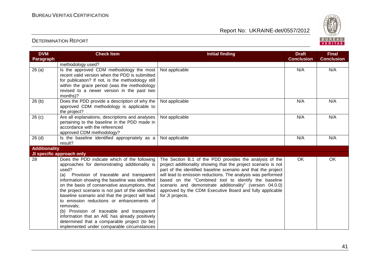

| <b>DVM</b><br>Paragraph | <b>Check Item</b>                                                                                                                                                                                                                                                                                                                                                                                                                                                                                                                                                                                                              | <b>Initial finding</b>                                                                                                                                                                                                                                                                                                                                                                                                                                         | <b>Draft</b><br><b>Conclusion</b> | <b>Final</b><br><b>Conclusion</b> |
|-------------------------|--------------------------------------------------------------------------------------------------------------------------------------------------------------------------------------------------------------------------------------------------------------------------------------------------------------------------------------------------------------------------------------------------------------------------------------------------------------------------------------------------------------------------------------------------------------------------------------------------------------------------------|----------------------------------------------------------------------------------------------------------------------------------------------------------------------------------------------------------------------------------------------------------------------------------------------------------------------------------------------------------------------------------------------------------------------------------------------------------------|-----------------------------------|-----------------------------------|
|                         | methodology used?                                                                                                                                                                                                                                                                                                                                                                                                                                                                                                                                                                                                              |                                                                                                                                                                                                                                                                                                                                                                                                                                                                |                                   |                                   |
| 26(a)                   | Is the approved CDM methodology the most<br>recent valid version when the PDD is submitted<br>for publication? If not, is the methodology still<br>within the grace period (was the methodology<br>revised to a newer version in the past two<br>months)?                                                                                                                                                                                                                                                                                                                                                                      | Not applicable                                                                                                                                                                                                                                                                                                                                                                                                                                                 | N/A                               | N/A                               |
| 26(b)                   | Does the PDD provide a description of why the<br>approved CDM methodology is applicable to<br>the project?                                                                                                                                                                                                                                                                                                                                                                                                                                                                                                                     | Not applicable                                                                                                                                                                                                                                                                                                                                                                                                                                                 | N/A                               | N/A                               |
| 26(c)                   | Are all explanations, descriptions and analyses<br>pertaining to the baseline in the PDD made in<br>accordance with the referenced<br>approved CDM methodology?                                                                                                                                                                                                                                                                                                                                                                                                                                                                | Not applicable                                                                                                                                                                                                                                                                                                                                                                                                                                                 | N/A                               | N/A                               |
| $26$ (d)                | Is the baseline identified appropriately as a<br>result?                                                                                                                                                                                                                                                                                                                                                                                                                                                                                                                                                                       | Not applicable                                                                                                                                                                                                                                                                                                                                                                                                                                                 | N/A                               | N/A                               |
| <b>Additionality</b>    |                                                                                                                                                                                                                                                                                                                                                                                                                                                                                                                                                                                                                                |                                                                                                                                                                                                                                                                                                                                                                                                                                                                |                                   |                                   |
|                         | JI specific approach only                                                                                                                                                                                                                                                                                                                                                                                                                                                                                                                                                                                                      |                                                                                                                                                                                                                                                                                                                                                                                                                                                                |                                   |                                   |
| 28                      | Does the PDD indicate which of the following<br>approaches for demonstrating additionality is<br>used?<br>Provision of traceable and transparent<br>(a)<br>information showing the baseline was identified<br>on the basis of conservative assumptions, that<br>the project scenario is not part of the identified<br>baseline scenario and that the project will lead<br>to emission reductions or enhancements of<br>removals;<br>(b) Provision of traceable and transparent<br>information that an AIE has already positively<br>determined that a comparable project (to be)<br>implemented under comparable circumstances | The Section B.1 of the PDD provides the analysis of the<br>project additionality showing that the project scenario is not<br>part of the identified baseline scenario and that the project<br>will lead to emission reductions. The analysis was performed<br>based on the "Combined tool to identify the baseline<br>scenario and demonstrate additionality" (version 04.0.0)<br>approved by the CDM Executive Board and fully applicable<br>for JI projects. | OK                                | <b>OK</b>                         |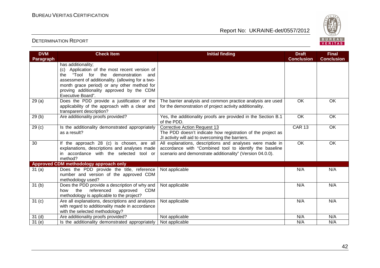

| <b>DVM</b><br><b>Paragraph</b> | <b>Check Item</b>                                                                                                                                                                                                                                                                         | <b>Initial finding</b>                                                                                                                                                           | <b>Draft</b><br><b>Conclusion</b> | <b>Final</b><br><b>Conclusion</b> |
|--------------------------------|-------------------------------------------------------------------------------------------------------------------------------------------------------------------------------------------------------------------------------------------------------------------------------------------|----------------------------------------------------------------------------------------------------------------------------------------------------------------------------------|-----------------------------------|-----------------------------------|
|                                | has additionality;<br>(c) Application of the most recent version of<br>the<br>the<br>"Tool for<br>demonstration and<br>assessment of additionality. (allowing for a two-<br>month grace period) or any other method for<br>proving additionality approved by the CDM<br>Executive Board". |                                                                                                                                                                                  |                                   |                                   |
| 29(a)                          | Does the PDD provide a justification of the<br>applicability of the approach with a clear and<br>transparent description?                                                                                                                                                                 | The barrier analysis and common practice analysis are used<br>for the demonstration of project activity additionality.                                                           | OK                                | OK                                |
| 29(b)                          | Are additionality proofs provided?                                                                                                                                                                                                                                                        | Yes, the additionality proofs are provided in the Section B.1<br>of the PDD.                                                                                                     | OK                                | OK                                |
| 29 <sub>(c)</sub>              | Is the additionality demonstrated appropriately<br>as a result?                                                                                                                                                                                                                           | <b>Corrective Action Request 13</b><br>The PDD doesn't indicate how registration of the project as<br>JI activity will aid to overcoming the barriers.                           | <b>CAR 13</b>                     | OK                                |
| 30                             | If the approach 28 (c) is chosen, are all<br>explanations, descriptions and analyses made<br>in accordance with the selected tool or<br>method?                                                                                                                                           | All explanations, descriptions and analyses were made in<br>accordance with "Combined tool to identify the baseline<br>scenario and demonstrate additionality" (Version 04.0.0). | $\overline{OK}$                   | $\overline{OK}$                   |
|                                | Approved CDM methodology approach only                                                                                                                                                                                                                                                    |                                                                                                                                                                                  |                                   |                                   |
| 31(a)                          | Does the PDD provide the title, reference<br>number and version of the approved CDM<br>methodology used?                                                                                                                                                                                  | Not applicable                                                                                                                                                                   | N/A                               | N/A                               |
| 31 <sub>(b)</sub>              | Does the PDD provide a description of why and<br>the<br>referenced<br>approved<br><b>CDM</b><br>how<br>methodology is applicable to the project?                                                                                                                                          | Not applicable                                                                                                                                                                   | N/A                               | N/A                               |
| 31 <sub>(c)</sub>              | Are all explanations, descriptions and analyses<br>with regard to additionality made in accordance<br>with the selected methodology?                                                                                                                                                      | Not applicable                                                                                                                                                                   | N/A                               | N/A                               |
| 31 <sub>(d)</sub>              | Are additionality proofs provided?                                                                                                                                                                                                                                                        | Not applicable                                                                                                                                                                   | N/A                               | N/A                               |
| 31(e)                          | Is the additionality demonstrated appropriately                                                                                                                                                                                                                                           | Not applicable                                                                                                                                                                   | N/A                               | N/A                               |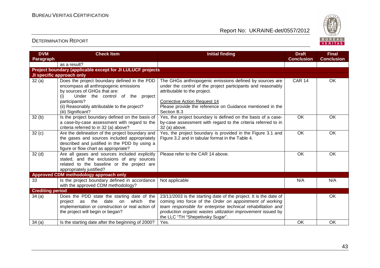

| <b>DVM</b>              | <b>Check Item</b>                                                                                                                                                                                                                                       | <b>Initial finding</b>                                                                                                                                                                                                                                                                           | <b>Draft</b>      | <b>Final</b>      |
|-------------------------|---------------------------------------------------------------------------------------------------------------------------------------------------------------------------------------------------------------------------------------------------------|--------------------------------------------------------------------------------------------------------------------------------------------------------------------------------------------------------------------------------------------------------------------------------------------------|-------------------|-------------------|
| Paragraph               |                                                                                                                                                                                                                                                         |                                                                                                                                                                                                                                                                                                  | <b>Conclusion</b> | <b>Conclusion</b> |
|                         | as a result?                                                                                                                                                                                                                                            |                                                                                                                                                                                                                                                                                                  |                   |                   |
|                         | Project boundary (applicable except for JI LULUCF projects                                                                                                                                                                                              |                                                                                                                                                                                                                                                                                                  |                   |                   |
|                         | JI specific approach only                                                                                                                                                                                                                               |                                                                                                                                                                                                                                                                                                  |                   |                   |
| 32(a)                   | Does the project boundary defined in the PDD<br>encompass all anthropogenic emissions<br>by sources of GHGs that are:<br>Under the control of the project<br>(i)<br>participants?<br>(ii) Reasonably attributable to the project?<br>(iii) Significant? | The GHGs anthropogenic emissions defined by sources are<br>under the control of the project participants and reasonably<br>attributable to the project.<br><b>Corrective Action Request 14</b><br>Please provide the reference on Guidance mentioned in the<br>Section B.3                       | <b>CAR 14</b>     | OK                |
| 32(b)                   | Is the project boundary defined on the basis of<br>a case-by-case assessment with regard to the<br>criteria referred to in 32 (a) above?                                                                                                                | Yes, the project boundary is defined on the basis of a case-<br>by-case assessment with regard to the criteria referred to in<br>32 (a) above.                                                                                                                                                   | <b>OK</b>         | <b>OK</b>         |
| 32 <sub>(c)</sub>       | Are the delineation of the project boundary and<br>the gases and sources included appropriately<br>described and justified in the PDD by using a<br>figure or flow chart as appropriate?                                                                | Yes, the project boundary is provided in the Figure 3.1 and<br>Figure 3.2 and in tabular format in the Table 4.                                                                                                                                                                                  | <b>OK</b>         | OK                |
| 32 <sub>(d)</sub>       | Are all gases and sources included explicitly<br>stated, and the exclusions of any sources<br>related to the baseline or the project are<br>appropriately justified?                                                                                    | Please refer to the CAR 14 above.                                                                                                                                                                                                                                                                | OK                | OK                |
|                         | Approved CDM methodology approach only                                                                                                                                                                                                                  |                                                                                                                                                                                                                                                                                                  |                   |                   |
| 33                      | Is the project boundary defined in accordance<br>with the approved CDM methodology?                                                                                                                                                                     | Not applicable                                                                                                                                                                                                                                                                                   | N/A               | N/A               |
| <b>Crediting period</b> |                                                                                                                                                                                                                                                         |                                                                                                                                                                                                                                                                                                  |                   |                   |
| 34(a)                   | Does the PDD state the starting date of the<br>which the<br>project as the date on<br>implementation or construction or real action of<br>the project will begin or began?                                                                              | 23/11/2003 is the starting date of the project. It is the date of<br>coming into force of the Order on appointment of working<br>team responsible for enterprise technical rehabilitation and<br>production organic wastes utilization improvement issued by<br>the LLC "TH "Shepetivsky Sugar". |                   | OK                |
| 34(a)                   | Is the starting date after the beginning of 2000?                                                                                                                                                                                                       | Yes.                                                                                                                                                                                                                                                                                             | OK                | <b>OK</b>         |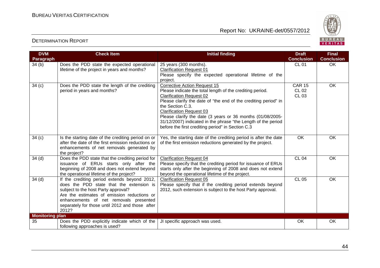

| <b>DVM</b>             | <b>Check Item</b>                                                                               | <b>Initial finding</b>                                                                                                       | <b>Draft</b>           | <b>Final</b>      |
|------------------------|-------------------------------------------------------------------------------------------------|------------------------------------------------------------------------------------------------------------------------------|------------------------|-------------------|
| Paragraph              |                                                                                                 |                                                                                                                              | <b>Conclusion</b>      | <b>Conclusion</b> |
| 34 <sub>(b)</sub>      | Does the PDD state the expected operational                                                     | $\overline{25}$ years (300 months).                                                                                          | <b>CL 01</b>           | <b>OK</b>         |
|                        | lifetime of the project in years and months?                                                    | <b>Clarification Request 01</b><br>Please specify the expected operational lifetime of the                                   |                        |                   |
|                        |                                                                                                 | project.                                                                                                                     |                        |                   |
| 34(c)                  | Does the PDD state the length of the crediting<br>period in years and months?                   | <b>Corrective Action Request 15</b><br>Please indicate the total length of the crediting period.                             | <b>CAR 15</b><br>CL 02 | <b>OK</b>         |
|                        |                                                                                                 | <b>Clarification Request 02</b>                                                                                              | <b>CL 03</b>           |                   |
|                        |                                                                                                 | Please clarify the date of "the end of the crediting period" in                                                              |                        |                   |
|                        |                                                                                                 | the Section C.3.<br><b>Clarification Request 03</b>                                                                          |                        |                   |
|                        |                                                                                                 | Please clarify the date (3 years or 36 months (01/08/2005-                                                                   |                        |                   |
|                        |                                                                                                 | 31/12/2007) indicated in the phrase "the Length of the period                                                                |                        |                   |
|                        |                                                                                                 | before the first crediting period" in Section C.3                                                                            |                        |                   |
| 34(c)                  | Is the starting date of the crediting period on or                                              | Yes, the starting date of the crediting period is after the date                                                             | OK                     | OK                |
|                        | after the date of the first emission reductions or<br>enhancements of net removals generated by | of the first emission reductions generated by the project.                                                                   |                        |                   |
|                        | the project?                                                                                    |                                                                                                                              |                        |                   |
| 34 <sub>(d)</sub>      | Does the PDD state that the crediting period for                                                | <b>Clarification Request 04</b>                                                                                              | <b>CL 04</b>           | OK                |
|                        | issuance of ERUs starts only after the<br>beginning of 2008 and does not extend beyond          | Please specify that the crediting period for issuance of ERUs<br>starts only after the beginning of 2008 and does not extend |                        |                   |
|                        | the operational lifetime of the project?                                                        | beyond the operational lifetime of the project.                                                                              |                        |                   |
| 34(d)                  | If the crediting period extends beyond 2012,<br>does the PDD state that the extension is        | <b>Clarification Request 05</b><br>Please specify that if the crediting period extends beyond                                | <b>CL 05</b>           | OK                |
|                        | subject to the host Party approval?                                                             | 2012, such extension is subject to the host Party approval.                                                                  |                        |                   |
|                        | Are the estimates of emission reductions or                                                     |                                                                                                                              |                        |                   |
|                        | enhancements of net removals presented<br>separately for those until 2012 and those after       |                                                                                                                              |                        |                   |
|                        | 2012?                                                                                           |                                                                                                                              |                        |                   |
| <b>Monitoring plan</b> |                                                                                                 |                                                                                                                              |                        |                   |
| 35                     | Does the PDD explicitly indicate which of the                                                   | JI specific approach was used.                                                                                               | OK                     | OK                |
|                        | following approaches is used?                                                                   |                                                                                                                              |                        |                   |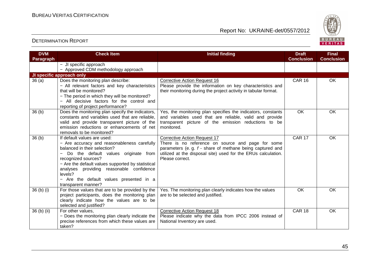

| <b>DVM</b>                       | <b>Check Item</b>                                                                                 | <b>Initial finding</b>                                                                                          | <b>Draft</b>      | <b>Final</b>      |
|----------------------------------|---------------------------------------------------------------------------------------------------|-----------------------------------------------------------------------------------------------------------------|-------------------|-------------------|
| Paragraph                        |                                                                                                   |                                                                                                                 | <b>Conclusion</b> | <b>Conclusion</b> |
|                                  | - JI specific approach                                                                            |                                                                                                                 |                   |                   |
|                                  | - Approved CDM methodology approach                                                               |                                                                                                                 |                   |                   |
|                                  | JI specific approach only                                                                         |                                                                                                                 |                   |                   |
| 36(a)                            | Does the monitoring plan describe:                                                                | <b>Corrective Action Request 16</b>                                                                             | <b>CAR 16</b>     | OK                |
|                                  | - All relevant factors and key characteristics                                                    | Please provide the information on key characteristics and                                                       |                   |                   |
|                                  | that will be monitored?                                                                           | their monitoring during the project activity in tabular format.                                                 |                   |                   |
|                                  | - The period in which they will be monitored?                                                     |                                                                                                                 |                   |                   |
|                                  | - All decisive factors for the control and                                                        |                                                                                                                 |                   |                   |
|                                  | reporting of project performance?                                                                 |                                                                                                                 |                   |                   |
| 36(b)                            | Does the monitoring plan specify the indicators,                                                  | Yes, the monitoring plan specifies the indicators, constants                                                    | <b>OK</b>         | OK                |
|                                  | constants and variables used that are reliable.<br>valid and provide transparent picture of the   | and variables used that are reliable, valid and provide<br>transparent picture of the emission reductions to be |                   |                   |
|                                  | emission reductions or enhancements of net                                                        | monitored.                                                                                                      |                   |                   |
|                                  | removals to be monitored?                                                                         |                                                                                                                 |                   |                   |
| 36 <sub>(b)</sub>                | If default values are used:                                                                       | <b>Corrective Action Request 17</b>                                                                             | <b>CAR 17</b>     | OK                |
|                                  | - Are accuracy and reasonableness carefully                                                       | There is no reference on source and page for some                                                               |                   |                   |
|                                  | balanced in their selection?                                                                      | parameters (e.g. f - share of methane being captured and                                                        |                   |                   |
|                                  | Do the default values originate from                                                              | utilized at the disposal site) used for the ERUs calculation.                                                   |                   |                   |
|                                  | recognized sources?                                                                               | Please correct.                                                                                                 |                   |                   |
|                                  | - Are the default values supported by statistical                                                 |                                                                                                                 |                   |                   |
|                                  | analyses providing reasonable confidence                                                          |                                                                                                                 |                   |                   |
|                                  | levels?                                                                                           |                                                                                                                 |                   |                   |
|                                  | - Are the default values presented in a                                                           |                                                                                                                 |                   |                   |
|                                  | transparent manner?                                                                               |                                                                                                                 |                   |                   |
| 36 <sub>(b)</sub> <sub>(i)</sub> | For those values that are to be provided by the                                                   | Yes. The monitoring plan clearly indicates how the values                                                       | <b>OK</b>         | <b>OK</b>         |
|                                  | project participants, does the monitoring plan                                                    | are to be selected and justified.                                                                               |                   |                   |
|                                  | clearly indicate how the values are to be                                                         |                                                                                                                 |                   |                   |
|                                  | selected and justified?                                                                           |                                                                                                                 |                   |                   |
| $36$ (b) (ii)                    | For other values,                                                                                 | <b>Corrective Action Request 18</b>                                                                             | <b>CAR 18</b>     | OK                |
|                                  | - Does the monitoring plan clearly indicate the<br>precise references from which these values are | Please indicate why the data from IPCC 2006 instead of<br>National Inventory are used.                          |                   |                   |
|                                  | taken?                                                                                            |                                                                                                                 |                   |                   |
|                                  |                                                                                                   |                                                                                                                 |                   |                   |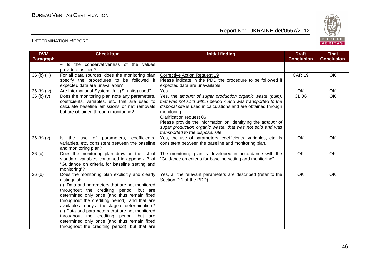

| <b>DVM</b>                       | <b>Check Item</b>                                                                                                                                                                                                                                                                                                                                                                                                                                                                                                  | <b>Initial finding</b>                                                                                                                                                                                                                                                                                                                                                                                  | <b>Draft</b>      | <b>Final</b>      |
|----------------------------------|--------------------------------------------------------------------------------------------------------------------------------------------------------------------------------------------------------------------------------------------------------------------------------------------------------------------------------------------------------------------------------------------------------------------------------------------------------------------------------------------------------------------|---------------------------------------------------------------------------------------------------------------------------------------------------------------------------------------------------------------------------------------------------------------------------------------------------------------------------------------------------------------------------------------------------------|-------------------|-------------------|
| Paragraph                        |                                                                                                                                                                                                                                                                                                                                                                                                                                                                                                                    |                                                                                                                                                                                                                                                                                                                                                                                                         | <b>Conclusion</b> | <b>Conclusion</b> |
|                                  | Is the conservativeness of the values<br>provided justified?                                                                                                                                                                                                                                                                                                                                                                                                                                                       |                                                                                                                                                                                                                                                                                                                                                                                                         |                   |                   |
| 36 (b) (iii)                     | For all data sources, does the monitoring plan                                                                                                                                                                                                                                                                                                                                                                                                                                                                     | <b>Corrective Action Request 19</b>                                                                                                                                                                                                                                                                                                                                                                     | <b>CAR 19</b>     | OK                |
|                                  | specify the procedures to be followed if<br>expected data are unavailable?                                                                                                                                                                                                                                                                                                                                                                                                                                         | Please indicate in the PDD the procedure to be followed if<br>expected data are unavailable.                                                                                                                                                                                                                                                                                                            |                   |                   |
| $36(b)$ (iv)                     | Are International System Unit (SI units) used?                                                                                                                                                                                                                                                                                                                                                                                                                                                                     | Yes.                                                                                                                                                                                                                                                                                                                                                                                                    | OK                | OK                |
| 36 <sub>(b)</sub> <sub>(v)</sub> | Does the monitoring plan note any parameters,<br>coefficients, variables, etc. that are used to<br>calculate baseline emissions or net removals<br>but are obtained through monitoring?                                                                                                                                                                                                                                                                                                                            | Yes, the amount of sugar production organic waste (pulp),<br>that was not sold within period x and was transported to the<br>disposal site is used in calculations and are obtained through<br>monitoring.<br>Clarification request 06<br>Please provide the information on identifying the amount of<br>sugar production organic waste, that was not sold and was<br>transported to the disposal site. | <b>CL 06</b>      | OK                |
| 36(b)(v)                         | use of parameters, coefficients,<br>Is the<br>variables, etc. consistent between the baseline<br>and monitoring plan?                                                                                                                                                                                                                                                                                                                                                                                              | Yes, the use of parameters, coefficients, variables, etc. Is<br>consistent between the baseline and monitoring plan.                                                                                                                                                                                                                                                                                    | $\overline{OK}$   | OK                |
| 36 <sub>(c)</sub>                | Does the monitoring plan draw on the list of<br>standard variables contained in appendix B of<br>"Guidance on criteria for baseline setting and<br>monitoring"?                                                                                                                                                                                                                                                                                                                                                    | The monitoring plan is developed in accordance with the<br>"Guidance on criteria for baseline setting and monitoring".                                                                                                                                                                                                                                                                                  | OK                | OK                |
| 36 <sub>(d)</sub>                | Does the monitoring plan explicitly and clearly<br>distinguish:<br>(i) Data and parameters that are not monitored<br>throughout the crediting period, but are<br>determined only once (and thus remain fixed<br>throughout the crediting period), and that are<br>available already at the stage of determination?<br>(ii) Data and parameters that are not monitored<br>throughout the crediting period, but are<br>determined only once (and thus remain fixed<br>throughout the crediting period), but that are | Yes, all the relevant parameters are described (refer to the<br>Section D.1 of the PDD).                                                                                                                                                                                                                                                                                                                | $\overline{OK}$   | OK                |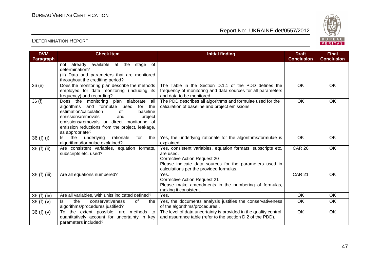

| <b>DVM</b>   | <b>Check Item</b>                                                                                                                                                                                                                                                                        | <b>Initial finding</b>                                                                                                                                                                                                 | <b>Draft</b>      | <b>Final</b>      |
|--------------|------------------------------------------------------------------------------------------------------------------------------------------------------------------------------------------------------------------------------------------------------------------------------------------|------------------------------------------------------------------------------------------------------------------------------------------------------------------------------------------------------------------------|-------------------|-------------------|
| Paragraph    |                                                                                                                                                                                                                                                                                          |                                                                                                                                                                                                                        | <b>Conclusion</b> | <b>Conclusion</b> |
|              | not already available at the<br>of<br>stage<br>determination?<br>(iii) Data and parameters that are monitored<br>throughout the crediting period?                                                                                                                                        |                                                                                                                                                                                                                        |                   |                   |
| 36(e)        | Does the monitoring plan describe the methods<br>employed for data monitoring (including its<br>frequency) and recording?                                                                                                                                                                | The Table in the Section D.1.1 of the PDD defines the<br>frequency of monitoring and data sources for all parameters<br>and data to be monitored.                                                                      | <b>OK</b>         | OK                |
| 36(f)        | Does the monitoring plan elaborate all<br>algorithms and formulae used<br>for the<br>baseline<br>estimation/calculation<br>of<br>emissions/removals<br>project<br>and<br>emissions/removals or direct monitoring of<br>emission reductions from the project, leakage,<br>as appropriate? | The PDD describes all algorithms and formulae used for the<br>calculation of baseline and project emissions.                                                                                                           | OK                | OK                |
| 36 (f) (i)   | the<br>underlying<br>rationale<br>the<br>for<br>ls l<br>algorithms/formulae explained?                                                                                                                                                                                                   | Yes, the underlying rationale for the algorithms/formulae is<br>explained.                                                                                                                                             | OK                | OK                |
| 36 (f) (ii)  | Are consistent variables, equation formats,<br>subscripts etc. used?                                                                                                                                                                                                                     | Yes, consistent variables, equation formats, subscripts etc.<br>are used.<br><b>Corrective Action Request 20</b><br>Please indicate data sources for the parameters used in<br>calculations per the provided formulas. | <b>CAR 20</b>     | OK                |
| 36 (f) (iii) | Are all equations numbered?                                                                                                                                                                                                                                                              | Yes.<br><b>Corrective Action Request 21</b><br>Please make amendments in the numbering of formulas,<br>making it consistent.                                                                                           | <b>CAR 21</b>     | OK                |
| 36 (f) (iv)  | Are all variables, with units indicated defined?                                                                                                                                                                                                                                         | Yes.                                                                                                                                                                                                                   | $\overline{OK}$   | $\overline{OK}$   |
| 36(f)(v)     | the<br>ls.<br>conservativeness<br>0f<br>the<br>algorithms/procedures justified?                                                                                                                                                                                                          | Yes, the documents analysis justifies the conservativeness<br>of the algorithms/procedures.                                                                                                                            | OK                | <b>OK</b>         |
| 36(f)(v)     | To the extent possible, are methods to<br>quantitatively account for uncertainty in key<br>parameters included?                                                                                                                                                                          | The level of data uncertainty is provided in the quality control<br>and assurance table (refer to the section D.2 of the PDD).                                                                                         | $\overline{OK}$   | $\overline{OK}$   |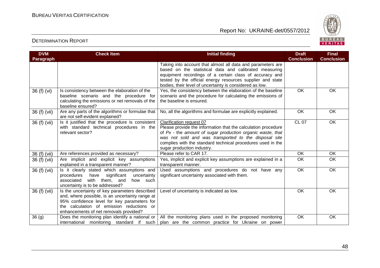

| <b>DVM</b>   | <b>Check Item</b>                                                                                                                                                                                                                       | <b>Initial finding</b>                                                                                                                                                                                                                                                                                        | <b>Draft</b>      | <b>Final</b>      |
|--------------|-----------------------------------------------------------------------------------------------------------------------------------------------------------------------------------------------------------------------------------------|---------------------------------------------------------------------------------------------------------------------------------------------------------------------------------------------------------------------------------------------------------------------------------------------------------------|-------------------|-------------------|
| Paragraph    |                                                                                                                                                                                                                                         |                                                                                                                                                                                                                                                                                                               | <b>Conclusion</b> | <b>Conclusion</b> |
|              |                                                                                                                                                                                                                                         | Taking into account that almost all data and parameters are<br>based on the statistical data and calibrated measuring<br>equipment recordings of a certain class of accuracy and<br>tested by the official energy resources supplier and state<br>bodies, their level of uncertainty is considered as low.    |                   |                   |
| 36 (f) (vi)  | Is consistency between the elaboration of the<br>baseline scenario and the procedure for<br>calculating the emissions or net removals of the<br>baseline ensured?                                                                       | Yes, the consistency between the elaboration of the baseline<br>scenario and the procedure for calculating the emissions of<br>the baseline is ensured.                                                                                                                                                       | $\overline{OK}$   | OK                |
| 36 (f) (vii) | Are any parts of the algorithms or formulae that<br>are not self-evident explained?                                                                                                                                                     | No, all the algorithms and formulae are explicitly explained.                                                                                                                                                                                                                                                 | OK                | OK                |
| 36 (f) (vii) | Is it justified that the procedure is consistent<br>with standard technical procedures in the<br>relevant sector?                                                                                                                       | Clarification request 07<br>Please provide the information that the calculation procedure<br>of Px - the amount of sugar production organic waste, that<br>was not sold and was transported to the disposal site<br>complies with the standard technical procedures used in the<br>sugar production industry. | <b>CL 07</b>      | OK                |
| 36 (f) (vii) | Are references provided as necessary?                                                                                                                                                                                                   | Please refer to CAR 17.                                                                                                                                                                                                                                                                                       | OK                | OK                |
| 36 (f) (vii) | Are implicit and explicit key assumptions<br>explained in a transparent manner?                                                                                                                                                         | Yes, implicit and explicit key assumptions are explained in a<br>transparent manner.                                                                                                                                                                                                                          | OK                | OK                |
| 36 (f) (vii) | Is it clearly stated which assumptions and<br>significant<br>procedures<br>uncertainty<br>have<br>associated<br>with them, and<br>how such<br>uncertainty is to be addressed?                                                           | Used assumptions and procedures do not have any<br>significant uncertainty associated with them.                                                                                                                                                                                                              | OK                | OK                |
| 36 (f) (vii) | Is the uncertainty of key parameters described<br>and, where possible, is an uncertainty range at<br>95% confidence level for key parameters for<br>the calculation of emission reductions or<br>enhancements of net removals provided? | Level of uncertainty is indicated as low.                                                                                                                                                                                                                                                                     | OK                | OK                |
| 36(9)        |                                                                                                                                                                                                                                         | Does the monitoring plan identify a national or $\vert$ All the monitoring plans used in the proposed monitoring<br>international monitoring standard if such plan are the common practice for Ukraine on power                                                                                               | OK                | OK                |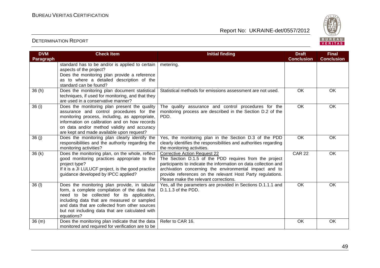

| <b>DVM</b><br><b>Paragraph</b> | <b>Check Item</b>                                                                                                                                                                                                                                                                                            | <b>Initial finding</b>                                                                                                                                                                                                                                                                                                            | <b>Draft</b><br><b>Conclusion</b> | <b>Final</b><br><b>Conclusion</b> |
|--------------------------------|--------------------------------------------------------------------------------------------------------------------------------------------------------------------------------------------------------------------------------------------------------------------------------------------------------------|-----------------------------------------------------------------------------------------------------------------------------------------------------------------------------------------------------------------------------------------------------------------------------------------------------------------------------------|-----------------------------------|-----------------------------------|
|                                | standard has to be and/or is applied to certain<br>aspects of the project?<br>Does the monitoring plan provide a reference<br>as to where a detailed description of the<br>standard can be found?                                                                                                            | metering.                                                                                                                                                                                                                                                                                                                         |                                   |                                   |
| 36(h)                          | Does the monitoring plan document statistical<br>techniques, if used for monitoring, and that they<br>are used in a conservative manner?                                                                                                                                                                     | Statistical methods for emissions assessment are not used.                                                                                                                                                                                                                                                                        | OK                                | OK                                |
| 36 (i)                         | Does the monitoring plan present the quality<br>assurance and control procedures for the<br>monitoring process, including, as appropriate,<br>information on calibration and on how records<br>on data and/or method validity and accuracy<br>are kept and made available upon request?                      | The quality assurance and control procedures for the<br>monitoring process are described in the Section D.2 of the<br>PDD.                                                                                                                                                                                                        | $\overline{OK}$                   | OK                                |
| 36(j)                          | Does the monitoring plan clearly identify the<br>responsibilities and the authority regarding the<br>monitoring activities?                                                                                                                                                                                  | Yes, the monitoring plan in the Section D.3 of the PDD<br>clearly identifies the responsibilities and authorities regarding<br>the monitoring activities.                                                                                                                                                                         | $\overline{OK}$                   | OK                                |
| 36(k)                          | Does the monitoring plan, on the whole, reflect<br>good monitoring practices appropriate to the<br>project type?<br>If it is a JI LULUCF project, is the good practice<br>guidance developed by IPCC applied?                                                                                                | <b>Corrective Action Request 22</b><br>The Section D.1.5 of the PDD requires from the project<br>participants to indicate the information on data collection and<br>archivation concerning the environmental impact and to<br>provide references on the relevant Host Party regulations.<br>Please make the relevant corrections. | <b>CAR 22</b>                     | OK                                |
| 36 (I)                         | Does the monitoring plan provide, in tabular<br>form, a complete compilation of the data that<br>need to be collected for its application,<br>including data that are measured or sampled<br>and data that are collected from other sources<br>but not including data that are calculated with<br>equations? | Yes, all the parameters are provided in Sections D.1.1.1 and<br>D.1.1.3 of the PDD.                                                                                                                                                                                                                                               | OK                                | OK                                |
| 36(m)                          | Does the monitoring plan indicate that the data<br>monitored and required for verification are to be                                                                                                                                                                                                         | Refer to CAR 16.                                                                                                                                                                                                                                                                                                                  | <b>OK</b>                         | OK                                |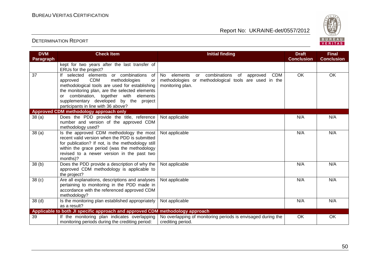

| <b>DVM</b>        | <b>Check Item</b>                                                                   | <b>Initial finding</b>                                         | <b>Draft</b>      | <b>Final</b>      |
|-------------------|-------------------------------------------------------------------------------------|----------------------------------------------------------------|-------------------|-------------------|
| Paragraph         |                                                                                     |                                                                | <b>Conclusion</b> | <b>Conclusion</b> |
|                   | kept for two years after the last transfer of                                       |                                                                |                   |                   |
|                   | ERUs for the project?                                                               |                                                                |                   |                   |
| 37                | If selected elements or combinations<br>of                                          | or combinations<br>No elements<br><b>CDM</b><br>of<br>approved | $\overline{OK}$   | OK                |
|                   | <b>CDM</b><br>methodologies<br>approved<br>or                                       | methodologies or methodological tools are used in the          |                   |                   |
|                   | methodological tools are used for establishing                                      | monitoring plan.                                               |                   |                   |
|                   | the monitoring plan, are the selected elements                                      |                                                                |                   |                   |
|                   | or combination, together with elements                                              |                                                                |                   |                   |
|                   | supplementary developed by the project                                              |                                                                |                   |                   |
|                   | participants in line with 36 above?                                                 |                                                                |                   |                   |
|                   | Approved CDM methodology approach only<br>Does the PDD provide the title, reference | Not applicable                                                 | N/A               | N/A               |
| 38(a)             | number and version of the approved CDM                                              |                                                                |                   |                   |
|                   | methodology used?                                                                   |                                                                |                   |                   |
| 38(a)             | Is the approved CDM methodology the most                                            | Not applicable                                                 | N/A               | N/A               |
|                   | recent valid version when the PDD is submitted                                      |                                                                |                   |                   |
|                   | for publication? If not, is the methodology still                                   |                                                                |                   |                   |
|                   | within the grace period (was the methodology                                        |                                                                |                   |                   |
|                   | revised to a newer version in the past two                                          |                                                                |                   |                   |
|                   | months)?                                                                            |                                                                |                   |                   |
| 38 (b)            | Does the PDD provide a description of why the                                       | Not applicable                                                 | N/A               | N/A               |
|                   | approved CDM methodology is applicable to                                           |                                                                |                   |                   |
|                   | the project?                                                                        |                                                                |                   |                   |
| 38 <sub>(c)</sub> | Are all explanations, descriptions and analyses                                     | Not applicable                                                 | N/A               | N/A               |
|                   | pertaining to monitoring in the PDD made in                                         |                                                                |                   |                   |
|                   | accordance with the referenced approved CDM                                         |                                                                |                   |                   |
|                   | methodology?                                                                        |                                                                |                   |                   |
| 38 <sub>(d)</sub> | Is the monitoring plan established appropriately                                    | Not applicable                                                 | N/A               | N/A               |
|                   | as a result?                                                                        |                                                                |                   |                   |
|                   | Applicable to both JI specific approach and approved CDM methodology approach       |                                                                |                   |                   |
| 39                | If the monitoring plan indicates overlapping                                        | No overlapping of monitoring periods is envisaged during the   | <b>OK</b>         | OK                |
|                   | monitoring periods during the crediting period:                                     | crediting period.                                              |                   |                   |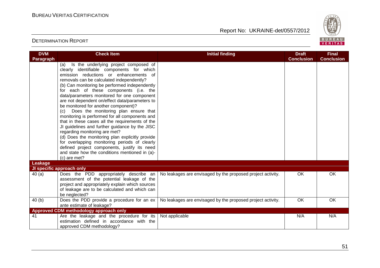

| <b>DVM</b>       | <b>Check Item</b>                                                                                                                                                                                                                                                                                                                                                                                                                                                                                                                                                                                                                                                                                                                                                                                                                                                              | <b>Initial finding</b>                                      | <b>Draft</b>      | <b>Final</b>      |
|------------------|--------------------------------------------------------------------------------------------------------------------------------------------------------------------------------------------------------------------------------------------------------------------------------------------------------------------------------------------------------------------------------------------------------------------------------------------------------------------------------------------------------------------------------------------------------------------------------------------------------------------------------------------------------------------------------------------------------------------------------------------------------------------------------------------------------------------------------------------------------------------------------|-------------------------------------------------------------|-------------------|-------------------|
| <b>Paragraph</b> |                                                                                                                                                                                                                                                                                                                                                                                                                                                                                                                                                                                                                                                                                                                                                                                                                                                                                |                                                             | <b>Conclusion</b> | <b>Conclusion</b> |
|                  | Is the underlying project composed of<br>(a)<br>clearly identifiable components for which<br>emission reductions or enhancements of<br>removals can be calculated independently?<br>(b) Can monitoring be performed independently<br>for each of these components (i.e. the<br>data/parameters monitored for one component<br>are not dependent on/effect data/parameters to<br>be monitored for another component)?<br>(c) Does the monitoring plan ensure that<br>monitoring is performed for all components and<br>that in these cases all the requirements of the<br>JI guidelines and further guidance by the JISC<br>regarding monitoring are met?<br>(d) Does the monitoring plan explicitly provide<br>for overlapping monitoring periods of clearly<br>defined project components, justify its need<br>and state how the conditions mentioned in (a)-<br>(c) are met? |                                                             |                   |                   |
| Leakage          |                                                                                                                                                                                                                                                                                                                                                                                                                                                                                                                                                                                                                                                                                                                                                                                                                                                                                |                                                             |                   |                   |
|                  | JI specific approach only                                                                                                                                                                                                                                                                                                                                                                                                                                                                                                                                                                                                                                                                                                                                                                                                                                                      |                                                             |                   |                   |
| 40(a)            | Does the PDD appropriately describe an<br>assessment of the potential leakage of the<br>project and appropriately explain which sources<br>of leakage are to be calculated and which can<br>be neglected?                                                                                                                                                                                                                                                                                                                                                                                                                                                                                                                                                                                                                                                                      | No leakages are envisaged by the proposed project activity. | <b>OK</b>         | OK                |
| 40(b)            | Does the PDD provide a procedure for an ex                                                                                                                                                                                                                                                                                                                                                                                                                                                                                                                                                                                                                                                                                                                                                                                                                                     | No leakages are envisaged by the proposed project activity. | <b>OK</b>         | <b>OK</b>         |
|                  | ante estimate of leakage?                                                                                                                                                                                                                                                                                                                                                                                                                                                                                                                                                                                                                                                                                                                                                                                                                                                      |                                                             |                   |                   |
|                  | <b>Approved CDM methodology approach only</b>                                                                                                                                                                                                                                                                                                                                                                                                                                                                                                                                                                                                                                                                                                                                                                                                                                  |                                                             |                   |                   |
| 41               | Are the leakage and the procedure for its<br>estimation defined in accordance with the<br>approved CDM methodology?                                                                                                                                                                                                                                                                                                                                                                                                                                                                                                                                                                                                                                                                                                                                                            | Not applicable                                              | N/A               | N/A               |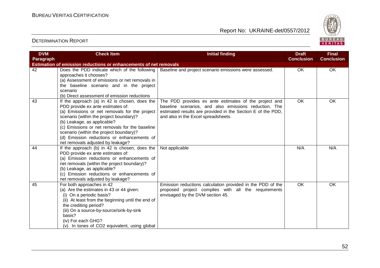

| <b>DVM</b> | <b>Check Item</b>                                                                                                                                                                                                                                                                                                                                                                             | <b>Initial finding</b>                                                                                                                                                                                               | <b>Draft</b>      | <b>Final</b>      |
|------------|-----------------------------------------------------------------------------------------------------------------------------------------------------------------------------------------------------------------------------------------------------------------------------------------------------------------------------------------------------------------------------------------------|----------------------------------------------------------------------------------------------------------------------------------------------------------------------------------------------------------------------|-------------------|-------------------|
| Paragraph  |                                                                                                                                                                                                                                                                                                                                                                                               |                                                                                                                                                                                                                      | <b>Conclusion</b> | <b>Conclusion</b> |
|            | Estimation of emission reductions or enhancements of net removals                                                                                                                                                                                                                                                                                                                             |                                                                                                                                                                                                                      |                   |                   |
| 42         | Does the PDD indicate which of the following<br>approaches it chooses?<br>(a) Assessment of emissions or net removals in<br>the baseline scenario and in the project<br>scenario<br>(b) Direct assessment of emission reductions                                                                                                                                                              | Baseline and project scenario emissions were assessed.                                                                                                                                                               | OK                | OK                |
| 43         | If the approach (a) in 42 is chosen, does the<br>PDD provide ex ante estimates of:<br>(a) Emissions or net removals for the project<br>scenario (within the project boundary)?<br>(b) Leakage, as applicable?<br>(c) Emissions or net removals for the baseline<br>scenario (within the project boundary)?<br>(d) Emission reductions or enhancements of<br>net removals adjusted by leakage? | The PDD provides ex ante estimates of the project and<br>baseline scenarios, and also emissions reduction. The<br>estimated results are provided in the Section E of the PDD,<br>and also in the Excel spreadsheets. | OK                | OK                |
| 44         | If the approach (b) in 42 is chosen, does the<br>PDD provide ex ante estimates of:<br>(a) Emission reductions or enhancements of<br>net removals (within the project boundary)?<br>(b) Leakage, as applicable?<br>(c) Emission reductions or enhancements of<br>net removals adjusted by leakage?                                                                                             | Not applicable                                                                                                                                                                                                       | N/A               | N/A               |
| 45         | For both approaches in 42<br>(a) Are the estimates in 43 or 44 given:<br>(i) On a periodic basis?<br>(ii) At least from the beginning until the end of<br>the crediting period?<br>(iii) On a source-by-source/sink-by-sink<br>basis?<br>(iv) For each GHG?<br>(v) In tones of CO2 equivalent, using global                                                                                   | Emission reductions calculation provided in the PDD of the<br>proposed project complies with all the requirements<br>envisaged by the DVM section 45.                                                                | OK                | OK                |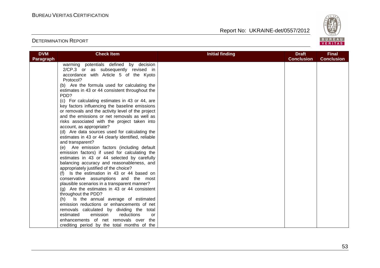

| <b>DVM</b>       | <b>Check Item</b>                                  | <b>Initial finding</b> | <b>Draft</b>      | <b>Final</b>      |
|------------------|----------------------------------------------------|------------------------|-------------------|-------------------|
| <b>Paragraph</b> |                                                    |                        | <b>Conclusion</b> | <b>Conclusion</b> |
|                  | warming potentials defined by decision             |                        |                   |                   |
|                  | 2/CP.3 or as subsequently revised in               |                        |                   |                   |
|                  | accordance with Article 5 of the Kyoto             |                        |                   |                   |
|                  | Protocol?                                          |                        |                   |                   |
|                  | (b) Are the formula used for calculating the       |                        |                   |                   |
|                  | estimates in 43 or 44 consistent throughout the    |                        |                   |                   |
|                  | PDD?                                               |                        |                   |                   |
|                  | (c) For calculating estimates in 43 or 44, are     |                        |                   |                   |
|                  | key factors influencing the baseline emissions     |                        |                   |                   |
|                  | or removals and the activity level of the project  |                        |                   |                   |
|                  | and the emissions or net removals as well as       |                        |                   |                   |
|                  | risks associated with the project taken into       |                        |                   |                   |
|                  | account, as appropriate?                           |                        |                   |                   |
|                  | (d) Are data sources used for calculating the      |                        |                   |                   |
|                  | estimates in 43 or 44 clearly identified, reliable |                        |                   |                   |
|                  | and transparent?                                   |                        |                   |                   |
|                  | (e) Are emission factors (including default        |                        |                   |                   |
|                  | emission factors) if used for calculating the      |                        |                   |                   |
|                  | estimates in 43 or 44 selected by carefully        |                        |                   |                   |
|                  | balancing accuracy and reasonableness, and         |                        |                   |                   |
|                  | appropriately justified of the choice?             |                        |                   |                   |
|                  | (f) Is the estimation in 43 or 44 based on         |                        |                   |                   |
|                  | conservative assumptions and the most              |                        |                   |                   |
|                  | plausible scenarios in a transparent manner?       |                        |                   |                   |
|                  | $(g)$ Are the estimates in 43 or 44 consistent     |                        |                   |                   |
|                  | throughout the PDD?                                |                        |                   |                   |
|                  | (h) Is the annual average of estimated             |                        |                   |                   |
|                  | emission reductions or enhancements of net         |                        |                   |                   |
|                  | removals calculated by dividing the total          |                        |                   |                   |
|                  | estimated<br>emission<br>reductions<br>or          |                        |                   |                   |
|                  | enhancements of net removals over<br>the           |                        |                   |                   |
|                  | crediting period by the total months of the        |                        |                   |                   |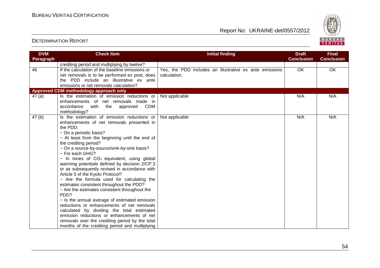

| <b>DVM</b>        | <b>Check Item</b>                                                                        | <b>Initial finding</b>                                  | <b>Draft</b>      | <b>Final</b>      |
|-------------------|------------------------------------------------------------------------------------------|---------------------------------------------------------|-------------------|-------------------|
| Paragraph         |                                                                                          |                                                         | <b>Conclusion</b> | <b>Conclusion</b> |
|                   | crediting period and multiplying by twelve?                                              |                                                         |                   |                   |
| 46                | If the calculation of the baseline emissions or                                          | Yes, the PDD includes an illustrative ex ante emissions | OK                | OK                |
|                   | net removals is to be performed ex post, does                                            | calculation.                                            |                   |                   |
|                   | the PDD include an illustrative ex ante                                                  |                                                         |                   |                   |
|                   | emissions or net removals calculation?                                                   |                                                         |                   |                   |
|                   | Approved CDM methodology approach only                                                   |                                                         |                   |                   |
| 47(a)             | Is the estimation of emission reductions or                                              | Not applicable                                          | N/A               | N/A               |
|                   | enhancements of net removals made in                                                     |                                                         |                   |                   |
|                   | with<br><b>CDM</b><br>accordance<br>the<br>approved                                      |                                                         |                   |                   |
|                   | methodology?                                                                             |                                                         |                   |                   |
| 47 <sub>(b)</sub> | Is the estimation of emission reductions or                                              | Not applicable                                          | N/A               | N/A               |
|                   | enhancements of net removals presented in                                                |                                                         |                   |                   |
|                   | the PDD:                                                                                 |                                                         |                   |                   |
|                   | - On a periodic basis?                                                                   |                                                         |                   |                   |
|                   | - At least from the beginning until the end of                                           |                                                         |                   |                   |
|                   | the crediting period?                                                                    |                                                         |                   |                   |
|                   | - On a source-by-source/sink-by-sink basis?                                              |                                                         |                   |                   |
|                   | - For each GHG?                                                                          |                                                         |                   |                   |
|                   | $-$ In tones of CO <sub>2</sub> equivalent, using global                                 |                                                         |                   |                   |
|                   | warming potentials defined by decision 2/CP.3                                            |                                                         |                   |                   |
|                   | or as subsequently revised in accordance with                                            |                                                         |                   |                   |
|                   | Article 5 of the Kyoto Protocol?                                                         |                                                         |                   |                   |
|                   | - Are the formula used for calculating the                                               |                                                         |                   |                   |
|                   | estimates consistent throughout the PDD?                                                 |                                                         |                   |                   |
|                   | - Are the estimates consistent throughout the<br>PDD?                                    |                                                         |                   |                   |
|                   | - Is the annual average of estimated emission                                            |                                                         |                   |                   |
|                   | reductions or enhancements of net removals                                               |                                                         |                   |                   |
|                   |                                                                                          |                                                         |                   |                   |
|                   | calculated by dividing the total estimated<br>emission reductions or enhancements of net |                                                         |                   |                   |
|                   |                                                                                          |                                                         |                   |                   |
|                   | removals over the crediting period by the total                                          |                                                         |                   |                   |
|                   | months of the crediting period and multiplying                                           |                                                         |                   |                   |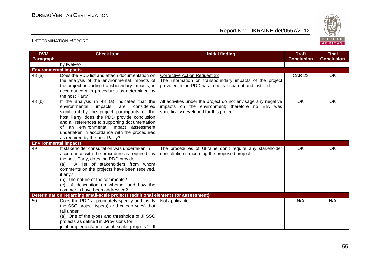

| <b>DVM</b>                   | <b>Check Item</b>                                                                             | <b>Initial finding</b>                                                                                            | <b>Draft</b>      | <b>Final</b>      |
|------------------------------|-----------------------------------------------------------------------------------------------|-------------------------------------------------------------------------------------------------------------------|-------------------|-------------------|
| Paragraph                    |                                                                                               |                                                                                                                   | <b>Conclusion</b> | <b>Conclusion</b> |
|                              | by twelve?                                                                                    |                                                                                                                   |                   |                   |
| <b>Environmental impacts</b> |                                                                                               |                                                                                                                   |                   |                   |
| 48(a)                        | Does the PDD list and attach documentation on                                                 | <b>Corrective Action Request 23</b>                                                                               | <b>CAR 23</b>     | OK                |
|                              | the analysis of the environmental impacts of                                                  | The information on transboundary impacts of the project                                                           |                   |                   |
|                              | the project, including transboundary impacts, in                                              | provided in the PDD has to be transparent and justified.                                                          |                   |                   |
|                              | accordance with procedures as determined by                                                   |                                                                                                                   |                   |                   |
|                              | the host Party?                                                                               |                                                                                                                   | <b>OK</b>         | OK                |
| 48(b)                        | If the analysis in 48 (a) indicates that the<br>environmental<br>impacts<br>considered<br>are | All activities under the project do not envisage any negative<br>impacts on the environment; therefore no EIA was |                   |                   |
|                              | significant by the project participants or the                                                | specifically developed for this project.                                                                          |                   |                   |
|                              | host Party, does the PDD provide conclusion                                                   |                                                                                                                   |                   |                   |
|                              | and all references to supporting documentation                                                |                                                                                                                   |                   |                   |
|                              | of an environmental impact assessment                                                         |                                                                                                                   |                   |                   |
|                              | undertaken in accordance with the procedures                                                  |                                                                                                                   |                   |                   |
|                              | as required by the host Party?                                                                |                                                                                                                   |                   |                   |
| <b>Environmental impacts</b> |                                                                                               |                                                                                                                   |                   |                   |
| 49                           | If stakeholder consultation was undertaken in                                                 | The procedures of Ukraine don't require any stakeholder                                                           | OK                | OK                |
|                              | accordance with the procedure as required by                                                  | consultation concerning the proposed project.                                                                     |                   |                   |
|                              | the host Party, does the PDD provide:<br>A list of stakeholders from whom                     |                                                                                                                   |                   |                   |
|                              | (a)<br>comments on the projects have been received,                                           |                                                                                                                   |                   |                   |
|                              | if any?                                                                                       |                                                                                                                   |                   |                   |
|                              | (b) The nature of the comments?                                                               |                                                                                                                   |                   |                   |
|                              | A description on whether and how the<br>(c)                                                   |                                                                                                                   |                   |                   |
|                              | comments have been addressed?                                                                 |                                                                                                                   |                   |                   |
|                              | Determination regarding small-scale projects (additional elements for assessment)             |                                                                                                                   |                   |                   |
| 50                           | Does the PDD appropriately specify and justify                                                | Not applicable                                                                                                    | N/A               | N/A               |
|                              | the SSC project type(s) and category(ies) that                                                |                                                                                                                   |                   |                   |
|                              | fall under:                                                                                   |                                                                                                                   |                   |                   |
|                              | (a) One of the types and thresholds of JI SSC                                                 |                                                                                                                   |                   |                   |
|                              | projects as defined in .Provisions for                                                        |                                                                                                                   |                   |                   |
|                              | joint implementation small-scale projects.? If                                                |                                                                                                                   |                   |                   |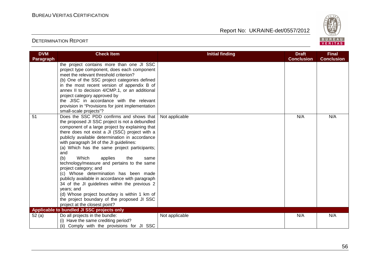

| <b>DVM</b> | <b>Check Item</b>                                                                                                                                                                                                                                                                                                                                                                                                                                                                                                                                                                                                                                                                                                                                                                                              | <b>Initial finding</b> | <b>Draft</b>      | <b>Final</b>      |
|------------|----------------------------------------------------------------------------------------------------------------------------------------------------------------------------------------------------------------------------------------------------------------------------------------------------------------------------------------------------------------------------------------------------------------------------------------------------------------------------------------------------------------------------------------------------------------------------------------------------------------------------------------------------------------------------------------------------------------------------------------------------------------------------------------------------------------|------------------------|-------------------|-------------------|
| Paragraph  |                                                                                                                                                                                                                                                                                                                                                                                                                                                                                                                                                                                                                                                                                                                                                                                                                |                        | <b>Conclusion</b> | <b>Conclusion</b> |
|            | the project contains more than one JI SSC<br>project type component, does each component<br>meet the relevant threshold criterion?<br>(b) One of the SSC project categories defined<br>in the most recent version of appendix B of<br>annex II to decision 4/CMP.1, or an additional<br>project category approved by<br>the JISC in accordance with the relevant<br>provision in "Provisions for joint implementation<br>small-scale projects"?                                                                                                                                                                                                                                                                                                                                                                |                        |                   |                   |
| 51         | Does the SSC PDD confirms and shows that<br>the proposed JI SSC project is not a debundled<br>component of a large project by explaining that<br>there does not exist a JI (SSC) project with a<br>publicly available determination in accordance<br>with paragraph 34 of the JI guidelines:<br>(a) Which has the same project participants;<br>and<br>(b)<br>Which<br>applies<br>the<br>same<br>technology/measure and pertains to the same<br>project category; and<br>(c) Whose determination has been made<br>publicly available in accordance with paragraph<br>34 of the JI guidelines within the previous 2<br>years; and<br>(d) Whose project boundary is within 1 km of<br>the project boundary of the proposed JI SSC<br>project at the closest point?<br>Applicable to bundled JI SSC projects only | Not applicable         | N/A               | N/A               |
|            |                                                                                                                                                                                                                                                                                                                                                                                                                                                                                                                                                                                                                                                                                                                                                                                                                |                        |                   | N/A               |
| 52(a)      | Do all projects in the bundle:<br>(i) Have the same crediting period?<br>(ii) Comply with the provisions for JI SSC                                                                                                                                                                                                                                                                                                                                                                                                                                                                                                                                                                                                                                                                                            | Not applicable         | N/A               |                   |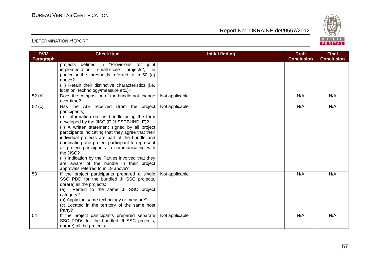

| <b>DVM</b>        | <b>Check Item</b>                                                                                                                                                                                                                                                                                                                                                                                                                                                                                                                                                       | <b>Initial finding</b> | <b>Draft</b>      | <b>Final</b>      |
|-------------------|-------------------------------------------------------------------------------------------------------------------------------------------------------------------------------------------------------------------------------------------------------------------------------------------------------------------------------------------------------------------------------------------------------------------------------------------------------------------------------------------------------------------------------------------------------------------------|------------------------|-------------------|-------------------|
| Paragraph         |                                                                                                                                                                                                                                                                                                                                                                                                                                                                                                                                                                         |                        | <b>Conclusion</b> | <b>Conclusion</b> |
|                   | defined in "Provisions for joint<br>projects<br>implementation small-scale projects", in                                                                                                                                                                                                                                                                                                                                                                                                                                                                                |                        |                   |                   |
|                   | particular the thresholds referred to in 50 (a)<br>above?                                                                                                                                                                                                                                                                                                                                                                                                                                                                                                               |                        |                   |                   |
|                   | (iii) Retain their distinctive characteristics (i.e.                                                                                                                                                                                                                                                                                                                                                                                                                                                                                                                    |                        |                   |                   |
|                   | location, technology/measure etc.)?                                                                                                                                                                                                                                                                                                                                                                                                                                                                                                                                     |                        |                   |                   |
| 52(b)             | Does the composition of the bundle not change<br>over time?                                                                                                                                                                                                                                                                                                                                                                                                                                                                                                             | Not applicable         | N/A               | N/A               |
| 52 <sub>(c)</sub> | Has the AIE received (from the project<br>participants):<br>(i) Information on the bundle using the form<br>developed by the JISC (F-JI-SSCBUNDLE)?<br>(ii) A written statement signed by all project<br>participants indicating that they agree that their<br>individual projects are part of the bundle and<br>nominating one project participant to represent<br>all project participants in communicating with<br>the JISC?<br>(iii) Indication by the Parties involved that they<br>are aware of the bundle in their project<br>approvals referred to in 19 above? | Not applicable         | N/A               | N/A               |
| 53                | If the project participants prepared a single<br>SSC PDD for the bundled JI SSC projects,<br>do(are) all the projects:<br>Pertain to the same JI SSC project<br>(a)<br>category?<br>(b) Apply the same technology or measure?<br>(c) Located in the territory of the same host<br>Party?                                                                                                                                                                                                                                                                                | Not applicable         | N/A               | N/A               |
| 54                | If the project participants prepared separate<br>SSC PDDs for the bundled JI SSC projects,<br>do(are) all the projects:                                                                                                                                                                                                                                                                                                                                                                                                                                                 | Not applicable         | N/A               | N/A               |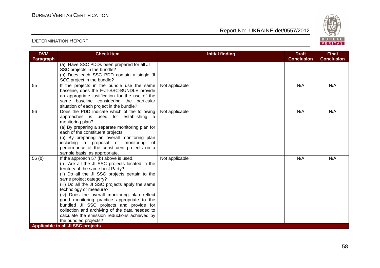

| <b>DVM</b>        | <b>Check Item</b>                                                                       | <b>Initial finding</b> | <b>Draft</b>      | <b>Final</b>      |
|-------------------|-----------------------------------------------------------------------------------------|------------------------|-------------------|-------------------|
| Paragraph         |                                                                                         |                        | <b>Conclusion</b> | <b>Conclusion</b> |
|                   | (a) Have SSC PDDs been prepared for all JI                                              |                        |                   |                   |
|                   | SSC projects in the bundle?                                                             |                        |                   |                   |
|                   | (b) Does each SSC PDD contain a single JI                                               |                        |                   |                   |
|                   | SCC project in the bundle?                                                              |                        |                   |                   |
| 55                | If the projects in the bundle use the same                                              | Not applicable         | N/A               | N/A               |
|                   | baseline, does the F-JI-SSC-BUNDLE provide                                              |                        |                   |                   |
|                   | an appropriate justification for the use of the                                         |                        |                   |                   |
|                   | same baseline considering the particular                                                |                        |                   |                   |
|                   | situation of each project in the bundle?                                                |                        |                   |                   |
| 56                | Does the PDD indicate which of the following                                            | Not applicable         | N/A               | N/A               |
|                   | approaches is used for establishing a                                                   |                        |                   |                   |
|                   | monitoring plan?                                                                        |                        |                   |                   |
|                   | (a) By preparing a separate monitoring plan for                                         |                        |                   |                   |
|                   | each of the constituent projects;                                                       |                        |                   |                   |
|                   | (b) By preparing an overall monitoring plan                                             |                        |                   |                   |
|                   | including a proposal of monitoring of                                                   |                        |                   |                   |
|                   | performance of the constituent projects on a                                            |                        |                   |                   |
|                   | sample basis, as appropriate.                                                           |                        | N/A               | N/A               |
| 56 <sub>(b)</sub> | If the approach 57 (b) above is used,<br>(i) Are all the JI SSC projects located in the | Not applicable         |                   |                   |
|                   | territory of the same host Party?                                                       |                        |                   |                   |
|                   | (ii) Do all the JI SSC projects pertain to the                                          |                        |                   |                   |
|                   | same project category?                                                                  |                        |                   |                   |
|                   | (iii) Do all the JI SSC projects apply the same                                         |                        |                   |                   |
|                   | technology or measure?                                                                  |                        |                   |                   |
|                   | (iv) Does the overall monitoring plan reflect                                           |                        |                   |                   |
|                   | good monitoring practice appropriate to the                                             |                        |                   |                   |
|                   | bundled JI SSC projects and provide for                                                 |                        |                   |                   |
|                   | collection and archiving of the data needed to                                          |                        |                   |                   |
|                   | calculate the emission reductions achieved by                                           |                        |                   |                   |
|                   | the bundled projects?                                                                   |                        |                   |                   |
|                   | <b>Applicable to all JI SSC projects</b>                                                |                        |                   |                   |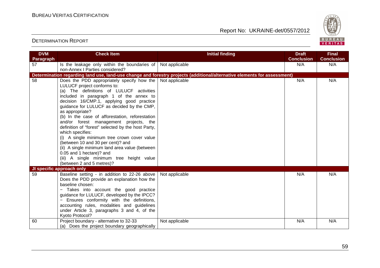

| <b>DVM</b> | <b>Check Item</b>                                                                            | <b>Initial finding</b>                                                                                                   | <b>Draft</b>      | <b>Final</b>      |
|------------|----------------------------------------------------------------------------------------------|--------------------------------------------------------------------------------------------------------------------------|-------------------|-------------------|
| Paragraph  |                                                                                              |                                                                                                                          | <b>Conclusion</b> | <b>Conclusion</b> |
| 57         | Is the leakage only within the boundaries of                                                 | Not applicable                                                                                                           | N/A               | N/A               |
|            | non-Annex I Parties considered?                                                              |                                                                                                                          |                   |                   |
|            |                                                                                              | Determination regarding land use, land-use change and forestry projects (additional/alternative elements for assessment) |                   |                   |
| 58         | Does the PDD appropriately specify how the                                                   | Not applicable                                                                                                           | N/A               | N/A               |
|            | LULUCF project conforms to:                                                                  |                                                                                                                          |                   |                   |
|            | (a) The definitions of LULUCF activities                                                     |                                                                                                                          |                   |                   |
|            | included in paragraph 1 of the annex to                                                      |                                                                                                                          |                   |                   |
|            | decision 16/CMP.1, applying good practice                                                    |                                                                                                                          |                   |                   |
|            | guidance for LULUCF as decided by the CMP,                                                   |                                                                                                                          |                   |                   |
|            | as appropriate?                                                                              |                                                                                                                          |                   |                   |
|            | (b) In the case of afforestation, reforestation                                              |                                                                                                                          |                   |                   |
|            | and/or forest management projects, the<br>definition of "forest" selected by the host Party, |                                                                                                                          |                   |                   |
|            | which specifies:                                                                             |                                                                                                                          |                   |                   |
|            | (i) A single minimum tree crown cover value                                                  |                                                                                                                          |                   |                   |
|            | (between 10 and 30 per cent)? and                                                            |                                                                                                                          |                   |                   |
|            | (ii) A single minimum land area value (between                                               |                                                                                                                          |                   |                   |
|            | 0.05 and 1 hectare)? and                                                                     |                                                                                                                          |                   |                   |
|            | (iii) A single minimum tree height value                                                     |                                                                                                                          |                   |                   |
|            | (between 2 and 5 metres)?                                                                    |                                                                                                                          |                   |                   |
|            | JI specific approach only                                                                    |                                                                                                                          |                   |                   |
| 59         | Baseline setting - in addition to 22-26 above                                                | Not applicable                                                                                                           | N/A               | N/A               |
|            | Does the PDD provide an explanation how the                                                  |                                                                                                                          |                   |                   |
|            | baseline chosen:                                                                             |                                                                                                                          |                   |                   |
|            | Takes into account the good practice                                                         |                                                                                                                          |                   |                   |
|            | guidance for LULUCF, developed by the IPCC?                                                  |                                                                                                                          |                   |                   |
|            | - Ensures conformity with the definitions,                                                   |                                                                                                                          |                   |                   |
|            | accounting rules, modalities and guidelines                                                  |                                                                                                                          |                   |                   |
|            | under Article 3, paragraphs 3 and 4, of the                                                  |                                                                                                                          |                   |                   |
|            | Kyoto Protocol?                                                                              |                                                                                                                          |                   |                   |
| 60         | Project boundary - alternative to 32-33                                                      | Not applicable                                                                                                           | N/A               | N/A               |
|            | (a) Does the project boundary geographically                                                 |                                                                                                                          |                   |                   |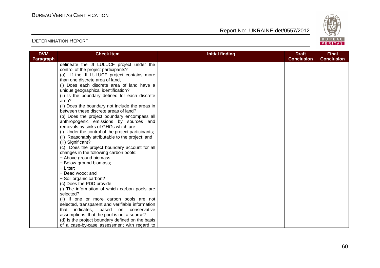

| <b>DVM</b>       | <b>Check Item</b>                                  | <b>Initial finding</b> | <b>Draft</b>      | <b>Final</b>      |
|------------------|----------------------------------------------------|------------------------|-------------------|-------------------|
| <b>Paragraph</b> |                                                    |                        | <b>Conclusion</b> | <b>Conclusion</b> |
|                  | delineate the JI LULUCF project under the          |                        |                   |                   |
|                  | control of the project participants?               |                        |                   |                   |
|                  | (a) If the JI LULUCF project contains more         |                        |                   |                   |
|                  | than one discrete area of land,                    |                        |                   |                   |
|                  | (i) Does each discrete area of land have a         |                        |                   |                   |
|                  | unique geographical identification?                |                        |                   |                   |
|                  | (ii) Is the boundary defined for each discrete     |                        |                   |                   |
|                  | area?                                              |                        |                   |                   |
|                  | (ii) Does the boundary not include the areas in    |                        |                   |                   |
|                  | between these discrete areas of land?              |                        |                   |                   |
|                  | (b) Does the project boundary encompass all        |                        |                   |                   |
|                  | anthropogenic emissions by sources and             |                        |                   |                   |
|                  | removals by sinks of GHGs which are:               |                        |                   |                   |
|                  | (i) Under the control of the project participants; |                        |                   |                   |
|                  | (ii) Reasonably attributable to the project; and   |                        |                   |                   |
|                  | (iii) Significant?                                 |                        |                   |                   |
|                  | (c) Does the project boundary account for all      |                        |                   |                   |
|                  | changes in the following carbon pools:             |                        |                   |                   |
|                  | - Above-ground biomass;                            |                        |                   |                   |
|                  | - Below-ground biomass;                            |                        |                   |                   |
|                  | - Litter;                                          |                        |                   |                   |
|                  | - Dead wood; and                                   |                        |                   |                   |
|                  | - Soil organic carbon?                             |                        |                   |                   |
|                  | (c) Does the PDD provide:                          |                        |                   |                   |
|                  | (i) The information of which carbon pools are      |                        |                   |                   |
|                  | selected?                                          |                        |                   |                   |
|                  | (ii) If one or more carbon pools are not           |                        |                   |                   |
|                  | selected, transparent and verifiable information   |                        |                   |                   |
|                  | that indicates, based on conservative              |                        |                   |                   |
|                  | assumptions, that the pool is not a source?        |                        |                   |                   |
|                  | (d) Is the project boundary defined on the basis   |                        |                   |                   |
|                  | of a case-by-case assessment with regard to        |                        |                   |                   |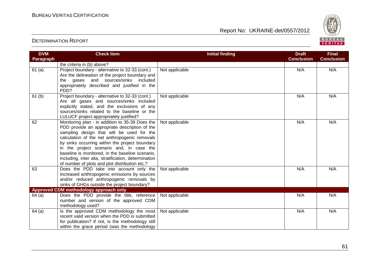

| <b>DVM</b>        | <b>Check Item</b>                                    | <b>Initial finding</b> | <b>Draft</b>      | <b>Final</b>      |
|-------------------|------------------------------------------------------|------------------------|-------------------|-------------------|
| <b>Paragraph</b>  |                                                      |                        | <b>Conclusion</b> | <b>Conclusion</b> |
|                   | the criteria in (b) above?                           |                        |                   |                   |
| 61(a)             | Project boundary - alternative to 32-33 (cont.)      | Not applicable         | N/A               | N/A               |
|                   | Are the delineation of the project boundary and      |                        |                   |                   |
|                   | the gases and<br>sources/sinks included              |                        |                   |                   |
|                   | appropriately described and justified in the         |                        |                   |                   |
|                   | PDD?                                                 |                        |                   |                   |
| 61 <sub>(b)</sub> | Project boundary - alternative to 32-33 (cont.)      | Not applicable         | N/A               | N/A               |
|                   | Are all gases and sources/sinks included             |                        |                   |                   |
|                   | explicitly stated, and the exclusions of any         |                        |                   |                   |
|                   | sources/sinks related to the baseline or the         |                        |                   |                   |
|                   | LULUCF project appropriately justified?              |                        |                   |                   |
| 62                | Monitoring plan - in addition to 35-39 Does the      | Not applicable         | N/A               | N/A               |
|                   | PDD provide an appropriate description of the        |                        |                   |                   |
|                   | sampling design that will be used for the            |                        |                   |                   |
|                   | calculation of the net anthropogenic removals        |                        |                   |                   |
|                   | by sinks occurring within the project boundary       |                        |                   |                   |
|                   | in the project scenario and, in case the             |                        |                   |                   |
|                   | baseline is monitored, in the baseline scenario,     |                        |                   |                   |
|                   | including, inter alia, stratification, determination |                        |                   |                   |
|                   | of number of plots and plot distribution etc.?       |                        |                   |                   |
| 63                | Does the PDD take into account only the              | Not applicable         | N/A               | N/A               |
|                   | increased anthropogenic emissions by sources         |                        |                   |                   |
|                   | and/or reduced anthropogenic removals by             |                        |                   |                   |
|                   | sinks of GHGs outside the project boundary?          |                        |                   |                   |
|                   | Approved CDM methodology approach only               |                        |                   |                   |
| 64(a)             | Does the PDD provide the title, reference            | Not applicable         | N/A               | N/A               |
|                   | number and version of the approved CDM               |                        |                   |                   |
|                   | methodology used?                                    |                        |                   |                   |
| 64(a)             | Is the approved CDM methodology the most             | Not applicable         | N/A               | N/A               |
|                   | recent valid version when the PDD is submitted       |                        |                   |                   |
|                   | for publication? If not, is the methodology still    |                        |                   |                   |
|                   | within the grace period (was the methodology         |                        |                   |                   |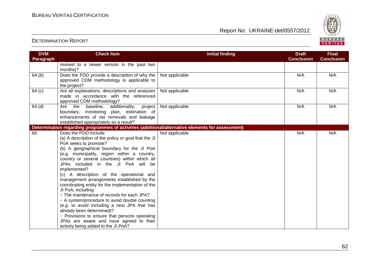

| <b>DVM</b><br>Paragraph | <b>Check Item</b>                                                                                                                                                                                                                                                                                                                                                                                                                                                                                                                                                                                                                                                                                                                                                                               | <b>Initial finding</b> | <b>Draft</b><br><b>Conclusion</b> | <b>Final</b><br><b>Conclusion</b> |
|-------------------------|-------------------------------------------------------------------------------------------------------------------------------------------------------------------------------------------------------------------------------------------------------------------------------------------------------------------------------------------------------------------------------------------------------------------------------------------------------------------------------------------------------------------------------------------------------------------------------------------------------------------------------------------------------------------------------------------------------------------------------------------------------------------------------------------------|------------------------|-----------------------------------|-----------------------------------|
|                         | revised to a newer version in the past two<br>months)?                                                                                                                                                                                                                                                                                                                                                                                                                                                                                                                                                                                                                                                                                                                                          |                        |                                   |                                   |
| 64 (b)                  | Does the PDD provide a description of why the<br>approved CDM methodology is applicable to<br>the project?                                                                                                                                                                                                                                                                                                                                                                                                                                                                                                                                                                                                                                                                                      | Not applicable         | N/A                               | N/A                               |
| 64 (c)                  | Are all explanations, descriptions and analyses<br>made in accordance with the referenced<br>approved CDM methodology?                                                                                                                                                                                                                                                                                                                                                                                                                                                                                                                                                                                                                                                                          | Not applicable         | N/A                               | N/A                               |
| $64$ (d)                | the baseline, additionality,<br>Are<br>project<br>boundary, monitoring plan, estimation of<br>enhancements of net removals and leakage<br>established appropriately as a result?                                                                                                                                                                                                                                                                                                                                                                                                                                                                                                                                                                                                                | Not applicable         | N/A                               | N/A                               |
|                         | Determination regarding programmes of activities (additional/alternative elements for assessment)                                                                                                                                                                                                                                                                                                                                                                                                                                                                                                                                                                                                                                                                                               |                        |                                   |                                   |
| 66                      | Does the PDD include:<br>(a) A description of the policy or goal that the JI<br>PoA seeks to promote?<br>(b) A geographical boundary for the JI PoA<br>(e.g. municipality, region within a country,<br>country or several countries) within which all<br>JPAs included in the JI PoA will be<br>implemented?<br>(c) A description of the operational and<br>management arrangements established by the<br>coordinating entity for the implementation of the<br>JI PoA, including:<br>- The maintenance of records for each JPA?<br>- A system/procedure to avoid double counting<br>(e.g. to avoid including a new JPA that has<br>already been determined)?<br>- Provisions to ensure that persons operating<br>JPAs are aware and have agreed to their<br>activity being added to the JI PoA? | Not applicable         | N/A                               | N/A                               |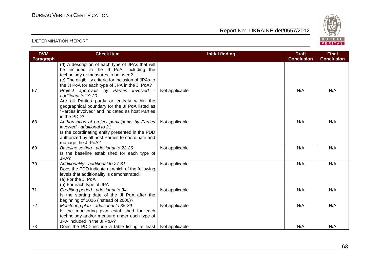

| <b>DVM</b> | <b>Check Item</b>                                                                                                                                                                                                                             | <b>Initial finding</b> | <b>Draft</b>      | <b>Final</b>      |
|------------|-----------------------------------------------------------------------------------------------------------------------------------------------------------------------------------------------------------------------------------------------|------------------------|-------------------|-------------------|
| Paragraph  |                                                                                                                                                                                                                                               |                        | <b>Conclusion</b> | <b>Conclusion</b> |
|            | (d) A description of each type of JPAs that will<br>be included in the JI PoA, including the<br>technology or measures to be used?<br>(e) The eligibility criteria for inclusion of JPAs to<br>the JI PoA for each type of JPA in the JI PoA? |                        |                   |                   |
| 67         | Project approvals by Parties involved<br>additional to 19-20<br>Are all Parties partly or entirely within the<br>geographical boundary for the JI PoA listed as<br>"Parties involved" and indicated as host Parties<br>in the PDD?            | Not applicable         | N/A               | N/A               |
| 68         | Authorization of project participants by Parties<br>involved - additional to 21<br>Is the coordinating entity presented in the PDD<br>authorized by all host Parties to coordinate and<br>manage the JI PoA?                                  | Not applicable         | N/A               | N/A               |
| 69         | Baseline setting - additional to 22-26<br>Is the baseline established for each type of<br>JPA?                                                                                                                                                | Not applicable         | N/A               | N/A               |
| 70         | Additionality - additional to 27-31<br>Does the PDD indicate at which of the following<br>levels that additionality is demonstrated?<br>(a) For the JI PoA<br>(b) For each type of JPA                                                        | Not applicable         | N/A               | N/A               |
| 71         | Crediting period - additional to 34<br>Is the starting date of the JI PoA after the<br>beginning of 2006 (instead of 2000)?                                                                                                                   | Not applicable         | N/A               | N/A               |
| 72         | Monitoring plan - additional to 35-39<br>Is the monitoring plan established for each<br>technology and/or measure under each type of<br>JPA included in the JI PoA?                                                                           | Not applicable         | N/A               | N/A               |
| 73         | Does the PDD include a table listing at least                                                                                                                                                                                                 | Not applicable         | N/A               | N/A               |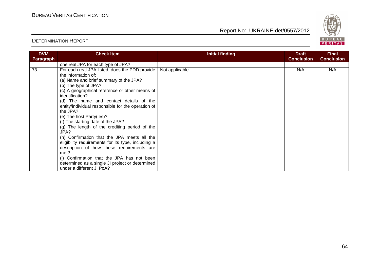

| <b>DVM</b> | <b>Check Item</b>                                  | Initial finding | <b>Draft</b>      | <b>Final</b>      |
|------------|----------------------------------------------------|-----------------|-------------------|-------------------|
| Paragraph  |                                                    |                 | <b>Conclusion</b> | <b>Conclusion</b> |
|            | one real JPA for each type of JPA?                 |                 |                   |                   |
| 73         | For each real JPA listed, does the PDD provide     | Not applicable  | N/A               | N/A               |
|            | the information of:                                |                 |                   |                   |
|            | (a) Name and brief summary of the JPA?             |                 |                   |                   |
|            | (b) The type of JPA?                               |                 |                   |                   |
|            | (c) A geographical reference or other means of     |                 |                   |                   |
|            | identification?                                    |                 |                   |                   |
|            | (d) The name and contact details of the            |                 |                   |                   |
|            | entity/individual responsible for the operation of |                 |                   |                   |
|            | the JPA?                                           |                 |                   |                   |
|            | (e) The host Party(ies)?                           |                 |                   |                   |
|            | (f) The starting date of the JPA?                  |                 |                   |                   |
|            | (g) The length of the crediting period of the      |                 |                   |                   |
|            | JPA?                                               |                 |                   |                   |
|            | (h) Confirmation that the JPA meets all the        |                 |                   |                   |
|            | eligibility requirements for its type, including a |                 |                   |                   |
|            | description of how these requirements are          |                 |                   |                   |
|            | met?                                               |                 |                   |                   |
|            | (i) Confirmation that the JPA has not been         |                 |                   |                   |
|            | determined as a single JI project or determined    |                 |                   |                   |
|            | under a different JI PoA?                          |                 |                   |                   |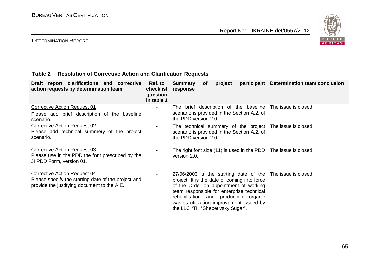

# DETERMINATION REPORT

# **Table 2 Resolution of Corrective Action and Clarification Requests**

| Draft report clarifications and corrective<br>action requests by determination team                                                | Ref. to<br>checklist<br>question<br>in table 1 | <b>Summary</b><br>project<br><b>of</b><br>response                                                                                                                                                                                                                                                                            | participant   Determination team conclusion |
|------------------------------------------------------------------------------------------------------------------------------------|------------------------------------------------|-------------------------------------------------------------------------------------------------------------------------------------------------------------------------------------------------------------------------------------------------------------------------------------------------------------------------------|---------------------------------------------|
| Corrective Action Request 01<br>Please add brief description of the baseline<br>scenario.                                          |                                                | The brief description of the baseline<br>scenario is provided in the Section A.2. of<br>the PDD version 2.0.                                                                                                                                                                                                                  | The issue is closed.                        |
| <b>Corrective Action Request 02</b><br>Please add technical summery of the project<br>scenario.                                    |                                                | The technical summery of the project The issue is closed.<br>scenario is provided in the Section A.2. of<br>the PDD version 2.0.                                                                                                                                                                                              |                                             |
| Corrective Action Request 03<br>Please use in the PDD the font prescribed by the<br>JI PDD Form, version 01.                       |                                                | The right font size $(11)$ is used in the PDD  <br>version 2.0.                                                                                                                                                                                                                                                               | The issue is closed.                        |
| Corrective Action Request 04<br>Please specify the starting date of the project and<br>provide the justifying document to the AIE. |                                                | $27/06/2003$ is the starting date of the The issue is closed.<br>project. It is the date of coming into force<br>of the Order on appointment of working<br>team responsible for enterprise technical<br>rehabilitation and production organic<br>wastes utilization improvement issued by<br>the LLC "TH "Shepetivsky Sugar". |                                             |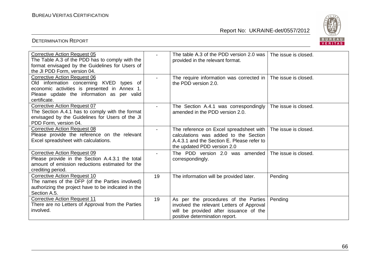

| <b>Corrective Action Request 05</b><br>The Table A.3 of the PDD has to comply with the<br>format envisaged by the Guidelines for Users of<br>the JI PDD Form, version 04.                     |                          | The table A.3 of the PDD version 2.0 was 1<br>provided in the relevant format.                                                                                  | The issue is closed. |
|-----------------------------------------------------------------------------------------------------------------------------------------------------------------------------------------------|--------------------------|-----------------------------------------------------------------------------------------------------------------------------------------------------------------|----------------------|
| <b>Corrective Action Request 06</b><br>Old information concerning KVED types of<br>economic activities is presented in Annex 1.<br>Please update the information as per valid<br>certificate. |                          | The require information was corrected in   The issue is closed.<br>the PDD version 2.0.                                                                         |                      |
| <b>Corrective Action Request 07</b><br>The Section A.4.1 has to comply with the format<br>envisaged by the Guidelines for Users of the JI<br>PDD Form, version 04.                            | $\overline{\phantom{0}}$ | The Section A.4.1 was correspondingly<br>amended in the PDD version 2.0.                                                                                        | The issue is closed. |
| <b>Corrective Action Request 08</b><br>Please provide the reference on the relevant<br>Excel spreadsheet with calculations.                                                                   | $\overline{\phantom{0}}$ | The reference on Excel spreadsheet with  <br>calculations was added to the Section<br>A.4.3.1 and the Section E. Please refer to<br>the updated PDD version 2.0 | The issue is closed. |
| Corrective Action Request 09<br>Please provide in the Section A.4.3.1 the total<br>amount of emission reductions estimated for the<br>crediting period.                                       |                          | The PDD version 2.0 was amended The issue is closed.<br>correspondingly.                                                                                        |                      |
| <b>Corrective Action Request 10</b><br>The names of the DFP (of the Parties involved)<br>authorizing the project have to be indicated in the<br>Section A.5.                                  | 19                       | The information will be provided later.                                                                                                                         | Pending              |
| <b>Corrective Action Request 11</b><br>There are no Letters of Approval from the Parties<br>involved.                                                                                         | 19                       | As per the procedures of the Parties<br>involved the relevant Letters of Approval<br>will be provided after issuance of the<br>positive determination report.   | Pending              |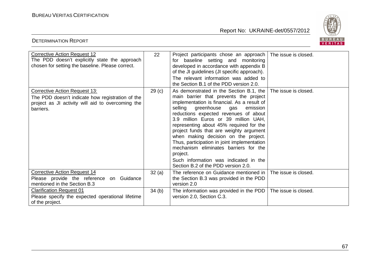DETERMINATION REPORT

Report No: UKRAINE-det/0557/2012



| <b>Corrective Action Request 12</b><br>The PDD doesn't explicitly state the approach<br>chosen for setting the baseline. Please correct.                   | 22                | Project participants chose an approach<br>for baseline setting and monitoring<br>developed in accordance with appendix B<br>of the JI guidelines (JI specific approach).<br>The relevant information was added to<br>the Section B.1 of the PDD version 2.0.                                                                                                                                                                                                                                                                                                              | The issue is closed. |
|------------------------------------------------------------------------------------------------------------------------------------------------------------|-------------------|---------------------------------------------------------------------------------------------------------------------------------------------------------------------------------------------------------------------------------------------------------------------------------------------------------------------------------------------------------------------------------------------------------------------------------------------------------------------------------------------------------------------------------------------------------------------------|----------------------|
| <b>Corrective Action Request 13:</b><br>The PDD doesn't indicate how registration of the<br>project as JI activity will aid to overcoming the<br>barriers. | 29 <sub>(c)</sub> | As demonstrated in the Section B.1, the<br>main barrier that prevents the project<br>implementation is financial. As a result of<br>selling greenhouse gas<br>emission<br>reductions expected revenues of about<br>3.9 million Euros or 39 million UAH,<br>representing about 45% required for the<br>project funds that are weighty argument<br>when making decision on the project.<br>Thus, participation in joint implementation<br>mechanism eliminates barriers for the<br>project.<br>Such information was indicated in the<br>Section B.2 of the PDD version 2.0. | The issue is closed. |
| <b>Corrective Action Request 14</b><br>Please provide the reference<br>Guidance<br>on<br>mentioned in the Section B.3                                      | 32(a)             | The reference on Guidance mentioned in<br>the Section B.3 was provided in the PDD<br>version 2.0                                                                                                                                                                                                                                                                                                                                                                                                                                                                          | The issue is closed. |
| <b>Clarification Request 01</b><br>Please specify the expected operational lifetime<br>of the project.                                                     | 34(b)             | The information was provided in the PDD<br>version 2.0, Section C.3.                                                                                                                                                                                                                                                                                                                                                                                                                                                                                                      | The issue is closed. |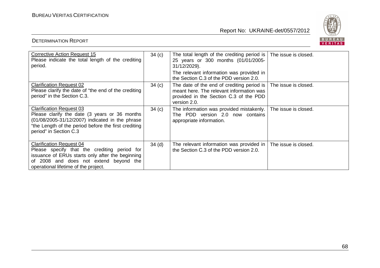

| Corrective Action Request 15<br>Please indicate the total length of the crediting<br>period.                                                                                                                          | 34(c)    | The total length of the crediting period is   The issue is closed.<br>25 years or 300 months (01/01/2005-<br>31/12/2029).<br>The relevant information was provided in<br>the Section C.3 of the PDD version 2.0. |                      |
|-----------------------------------------------------------------------------------------------------------------------------------------------------------------------------------------------------------------------|----------|------------------------------------------------------------------------------------------------------------------------------------------------------------------------------------------------------------------|----------------------|
| <b>Clarification Request 02</b><br>Please clarify the date of "the end of the crediting<br>period" in the Section C.3.                                                                                                | 34(c)    | The date of the end of crediting period is   The issue is closed.<br>meant here. The relevant information was<br>provided in the Section C.3 of the PDD<br>version 2.0.                                          |                      |
| <b>Clarification Request 03</b><br>Please clarify the date (3 years or 36 months<br>(01/08/2005-31/12/2007) indicated in the phrase<br>"the Length of the period before the first crediting<br>period" in Section C.3 | 34(c)    | The information was provided mistakenly.<br>PDD version 2.0 now contains<br>The<br>appropriate information.                                                                                                      | The issue is closed. |
| <b>Clarification Request 04</b><br>Please specify that the crediting period for<br>issuance of ERUs starts only after the beginning<br>of 2008 and does not extend beyond the<br>operational lifetime of the project. | $34$ (d) | The relevant information was provided in<br>the Section C.3 of the PDD version 2.0.                                                                                                                              | The issue is closed. |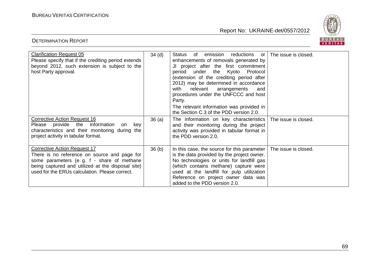DETERMINATION REPORT

Report No: UKRAINE-det/0557/2012



| <b>Clarification Request 05</b><br>Please specify that if the crediting period extends<br>beyond 2012, such extension is subject to the<br>host Party approval.                                                                          | 34 <sub>(d)</sub> | <b>Status</b><br>emission reductions or<br>of<br>enhancements of removals generated by<br>JI project after the first commitment<br>period under the Kyoto Protocol<br>(extension of the crediting period after<br>2012) may be determined in accordance<br>relevant<br>with<br>arrangements<br>and<br>procedures under the UNFCCC and host<br>Party.<br>The relevant information was provided in<br>the Section C.3 of the PDD version 2.0. | The issue is closed. |
|------------------------------------------------------------------------------------------------------------------------------------------------------------------------------------------------------------------------------------------|-------------------|---------------------------------------------------------------------------------------------------------------------------------------------------------------------------------------------------------------------------------------------------------------------------------------------------------------------------------------------------------------------------------------------------------------------------------------------|----------------------|
| Corrective Action Request 16<br>Please provide the<br>information<br>key<br>on<br>characteristics and their monitoring during the<br>project activity in tabular format.                                                                 | 36(a)             | The information on key characteristics   The issue is closed.<br>and their monitoring during the project<br>activity was provided in tabular format in<br>the PDD version 2.0.                                                                                                                                                                                                                                                              |                      |
| <b>Corrective Action Request 17</b><br>There is no reference on source and page for<br>some parameters (e.g. f - share of methane<br>being captured and utilized at the disposal site)<br>used for the ERUs calculation. Please correct. | 36(b)             | In this case, the source for this parameter<br>is the data provided by the project owner.<br>No technologies or units for landfill gas<br>(which contains methane) capture were<br>used at the landfill for pulp utilization<br>Reference on project owner data was<br>added to the PDD version 2.0.                                                                                                                                        | The issue is closed. |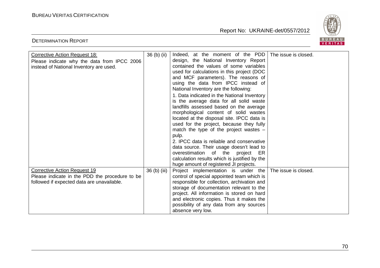DETERMINATION REPORT

Report No: UKRAINE-det/0557/2012



| <b>Corrective Action Request 18:</b><br>Please indicate why the data from IPCC 2006<br>instead of National Inventory are used. | 36 (b) (ii)  | Indeed, at the moment of the PDD<br>design, the National Inventory Report<br>contained the values of some variables<br>used for calculations in this project (DOC<br>and MCF parameters). The reasons of<br>using the data from IPCC instead of<br>National Inventory are the following:<br>1. Data indicated in the National Inventory<br>is the average data for all solid waste<br>landfills assessed based on the average<br>morphological content of solid wastes<br>located at the disposal site. IPCC data is<br>used for the project, because they fully<br>match the type of the project wastes $-$<br>pulp.<br>2. IPCC data is reliable and conservative<br>data source. Their usage doesn't lead to<br>overestimation of the<br>project<br>ER.<br>calculation results which is justified by the<br>huge amount of registered JI projects. | The issue is closed. |
|--------------------------------------------------------------------------------------------------------------------------------|--------------|------------------------------------------------------------------------------------------------------------------------------------------------------------------------------------------------------------------------------------------------------------------------------------------------------------------------------------------------------------------------------------------------------------------------------------------------------------------------------------------------------------------------------------------------------------------------------------------------------------------------------------------------------------------------------------------------------------------------------------------------------------------------------------------------------------------------------------------------------|----------------------|
| <b>Corrective Action Request 19</b>                                                                                            | 36 (b) (iii) | Project implementation is under the                                                                                                                                                                                                                                                                                                                                                                                                                                                                                                                                                                                                                                                                                                                                                                                                                  | The issue is closed. |
| Please indicate in the PDD the procedure to be<br>followed if expected data are unavailable.                                   |              | control of special appointed team which is                                                                                                                                                                                                                                                                                                                                                                                                                                                                                                                                                                                                                                                                                                                                                                                                           |                      |
|                                                                                                                                |              | responsible for collection, archivation and<br>storage of documentation relevant to the                                                                                                                                                                                                                                                                                                                                                                                                                                                                                                                                                                                                                                                                                                                                                              |                      |
|                                                                                                                                |              | project. All information is stored on hard                                                                                                                                                                                                                                                                                                                                                                                                                                                                                                                                                                                                                                                                                                                                                                                                           |                      |
|                                                                                                                                |              | and electronic copies. Thus it makes the                                                                                                                                                                                                                                                                                                                                                                                                                                                                                                                                                                                                                                                                                                                                                                                                             |                      |
|                                                                                                                                |              | possibility of any data from any sources                                                                                                                                                                                                                                                                                                                                                                                                                                                                                                                                                                                                                                                                                                                                                                                                             |                      |
|                                                                                                                                |              | absence very low.                                                                                                                                                                                                                                                                                                                                                                                                                                                                                                                                                                                                                                                                                                                                                                                                                                    |                      |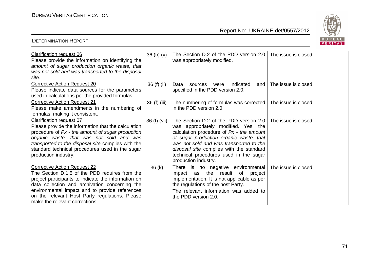

| Clarification request 06<br>Please provide the information on identifying the | 36 <sub>(b)</sub> <sub>(v)</sub> | The Section D.2 of the PDD version 2.0<br>was appropriately modified. | The issue is closed. |
|-------------------------------------------------------------------------------|----------------------------------|-----------------------------------------------------------------------|----------------------|
| amount of sugar production organic waste, that                                |                                  |                                                                       |                      |
| was not sold and was transported to the disposal                              |                                  |                                                                       |                      |
|                                                                               |                                  |                                                                       |                      |
| site.                                                                         |                                  |                                                                       |                      |
| <b>Corrective Action Request 20</b>                                           | 36 (f) (ii)                      | indicated<br>Data<br>sources<br>were<br>and I                         | The issue is closed. |
| Please indicate data sources for the parameters                               |                                  | specified in the PDD version 2.0.                                     |                      |
| used in calculations per the provided formulas.                               |                                  |                                                                       |                      |
| <b>Corrective Action Request 21</b>                                           | 36 (f) (iii)                     | The numbering of formulas was corrected                               | The issue is closed. |
| Please make amendments in the numbering of                                    |                                  | in the PDD version 2.0.                                               |                      |
| formulas, making it consistent.                                               |                                  |                                                                       |                      |
| Clarification request 07                                                      | 36 (f) (vii)                     | The Section D.2 of the PDD version 2.0                                | The issue is closed. |
| Please provide the information that the calculation                           |                                  | was appropriately modified. Yes, the                                  |                      |
| procedure of Px - the amount of sugar production                              |                                  | calculation procedure of Px - the amount                              |                      |
| organic waste, that was not sold and was                                      |                                  | of sugar production organic waste, that                               |                      |
| transported to the disposal site complies with the                            |                                  | was not sold and was transported to the                               |                      |
| standard technical procedures used in the sugar                               |                                  | disposal site complies with the standard                              |                      |
| production industry.                                                          |                                  | technical procedures used in the sugar                                |                      |
|                                                                               |                                  | production industry.                                                  |                      |
| <b>Corrective Action Request 22</b>                                           | 36(k)                            | There is no negative environmental                                    | The issue is closed. |
| The Section D.1.5 of the PDD requires from the                                |                                  | impact as the result of<br>project                                    |                      |
| project participants to indicate the information on                           |                                  | implementation. It is not applicable as per                           |                      |
| data collection and archivation concerning the                                |                                  | the regulations of the host Party.                                    |                      |
| environmental impact and to provide references                                |                                  |                                                                       |                      |
|                                                                               |                                  | The relevant information was added to                                 |                      |
| on the relevant Host Party regulations. Please                                |                                  | the PDD version 2.0.                                                  |                      |
| make the relevant corrections.                                                |                                  |                                                                       |                      |